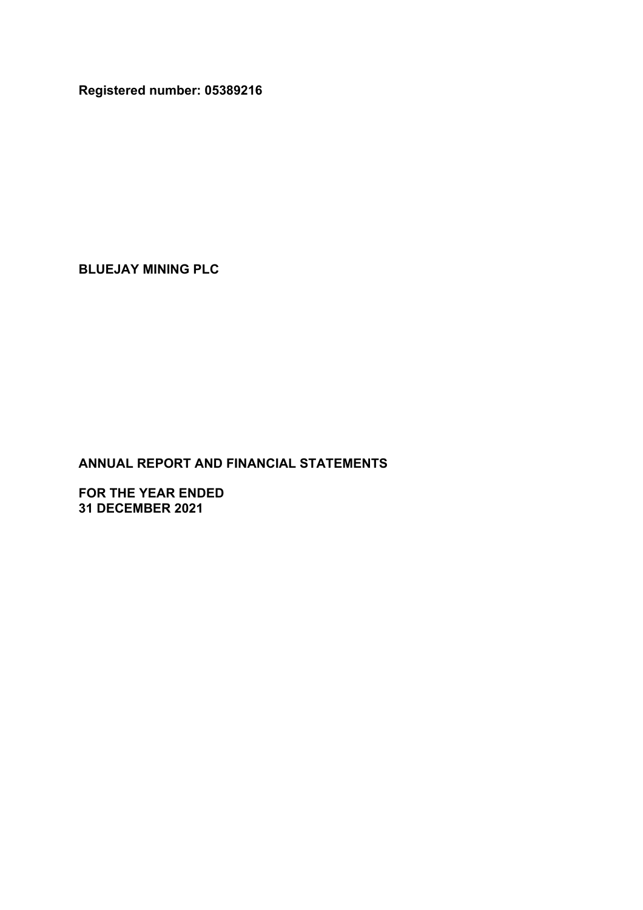**Registered number: 05389216**

**BLUEJAY MINING PLC**

**ANNUAL REPORT AND FINANCIAL STATEMENTS**

**FOR THE YEAR ENDED 31 DECEMBER 2021**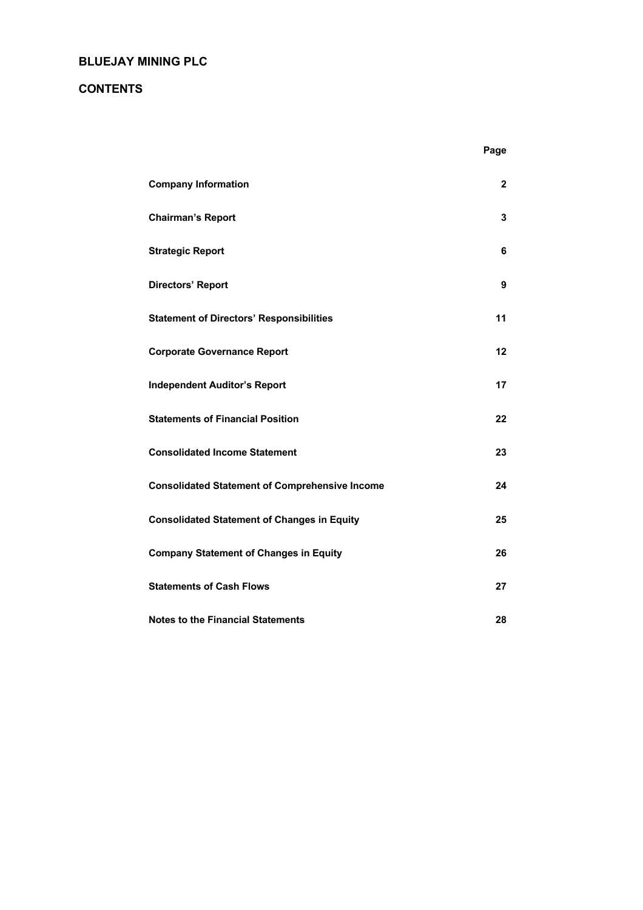# **CONTENTS**

| <b>Company Information</b>                            | $\mathbf{2}$ |
|-------------------------------------------------------|--------------|
| <b>Chairman's Report</b>                              | 3            |
| <b>Strategic Report</b>                               | 6            |
| <b>Directors' Report</b>                              | 9            |
| <b>Statement of Directors' Responsibilities</b>       | 11           |
| <b>Corporate Governance Report</b>                    | 12           |
| <b>Independent Auditor's Report</b>                   | 17           |
| <b>Statements of Financial Position</b>               | 22           |
| <b>Consolidated Income Statement</b>                  | 23           |
| <b>Consolidated Statement of Comprehensive Income</b> | 24           |
| <b>Consolidated Statement of Changes in Equity</b>    | 25           |
| <b>Company Statement of Changes in Equity</b>         | 26           |
| <b>Statements of Cash Flows</b>                       | 27           |
| <b>Notes to the Financial Statements</b>              | 28           |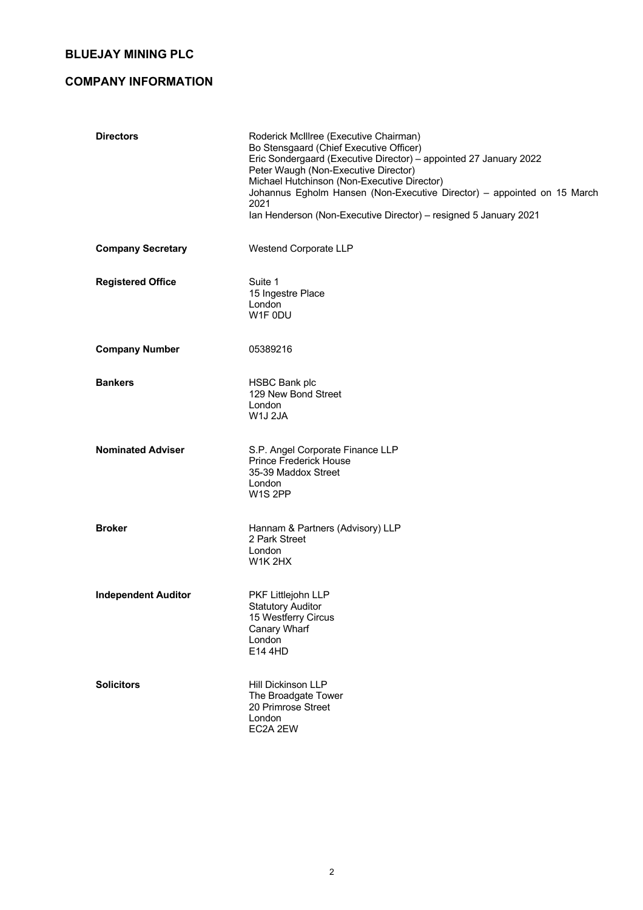# **COMPANY INFORMATION**

| <b>Directors</b>           | Roderick McIllree (Executive Chairman)<br>Bo Stensgaard (Chief Executive Officer)<br>Eric Sondergaard (Executive Director) - appointed 27 January 2022<br>Peter Waugh (Non-Executive Director)<br>Michael Hutchinson (Non-Executive Director)<br>Johannus Egholm Hansen (Non-Executive Director) - appointed on 15 March<br>2021<br>Ian Henderson (Non-Executive Director) - resigned 5 January 2021 |
|----------------------------|------------------------------------------------------------------------------------------------------------------------------------------------------------------------------------------------------------------------------------------------------------------------------------------------------------------------------------------------------------------------------------------------------|
| <b>Company Secretary</b>   | Westend Corporate LLP                                                                                                                                                                                                                                                                                                                                                                                |
| <b>Registered Office</b>   | Suite 1<br>15 Ingestre Place<br>London<br>W1F 0DU                                                                                                                                                                                                                                                                                                                                                    |
| <b>Company Number</b>      | 05389216                                                                                                                                                                                                                                                                                                                                                                                             |
| <b>Bankers</b>             | <b>HSBC Bank plc</b><br>129 New Bond Street<br>London<br>W1J 2JA                                                                                                                                                                                                                                                                                                                                     |
| <b>Nominated Adviser</b>   | S.P. Angel Corporate Finance LLP<br><b>Prince Frederick House</b><br>35-39 Maddox Street<br>London<br>W <sub>1</sub> S <sub>2PP</sub>                                                                                                                                                                                                                                                                |
| <b>Broker</b>              | Hannam & Partners (Advisory) LLP<br>2 Park Street<br>London<br>W1K 2HX                                                                                                                                                                                                                                                                                                                               |
| <b>Independent Auditor</b> | PKF Littlejohn LLP<br><b>Statutory Auditor</b><br>15 Westferry Circus<br>Canary Wharf<br>London<br>E14 4HD                                                                                                                                                                                                                                                                                           |
| <b>Solicitors</b>          | Hill Dickinson LLP<br>The Broadgate Tower<br>20 Primrose Street<br>London<br>EC2A 2EW                                                                                                                                                                                                                                                                                                                |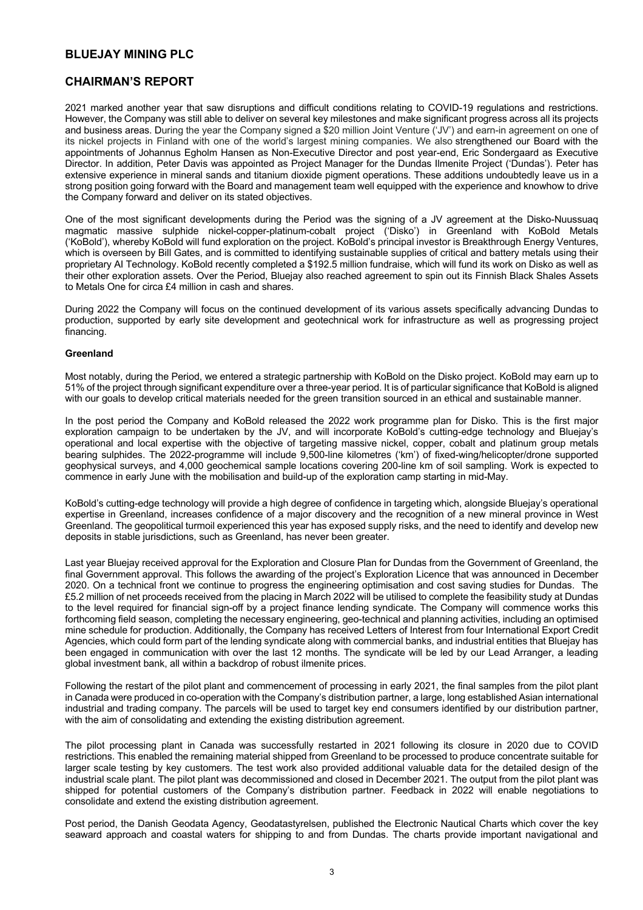# **CHAIRMAN'S REPORT**

2021 marked another year that saw disruptions and difficult conditions relating to COVID-19 regulations and restrictions. However, the Company was still able to deliver on several key milestones and make significant progress across all its projects and business areas. During the year the Company signed a \$20 million Joint Venture ('JV') and earn-in agreement on one of its nickel projects in Finland with one of the world's largest mining companies. We also strengthened our Board with the appointments of Johannus Egholm Hansen as Non-Executive Director and post year-end, Eric Sondergaard as Executive Director. In addition, Peter Davis was appointed as Project Manager for the Dundas Ilmenite Project ('Dundas'). Peter has extensive experience in mineral sands and titanium dioxide pigment operations. These additions undoubtedly leave us in a strong position going forward with the Board and management team well equipped with the experience and knowhow to drive the Company forward and deliver on its stated objectives.

One of the most significant developments during the Period was the signing of a JV agreement at the Disko-Nuussuaq magmatic massive sulphide nickel-copper-platinum-cobalt project ('Disko') in Greenland with KoBold Metals ('KoBold'), whereby KoBold will fund exploration on the project. KoBold's principal investor is Breakthrough Energy Ventures, which is overseen by Bill Gates, and is committed to identifying sustainable supplies of critical and battery metals using their proprietary AI Technology. KoBold recently completed a \$192.5 million fundraise, which will fund its work on Disko as well as their other exploration assets. Over the Period, Bluejay also reached agreement to spin out its Finnish Black Shales Assets to Metals One for circa £4 million in cash and shares.

During 2022 the Company will focus on the continued development of its various assets specifically advancing Dundas to production, supported by early site development and geotechnical work for infrastructure as well as progressing project financing.

## **Greenland**

Most notably, during the Period, we entered a strategic partnership with KoBold on the Disko project. KoBold may earn up to 51% of the project through significant expenditure over a three-year period. It is of particular significance that KoBold is aligned with our goals to develop critical materials needed for the green transition sourced in an ethical and sustainable manner.

In the post period the Company and KoBold released the 2022 work programme plan for Disko. This is the first major exploration campaign to be undertaken by the JV, and will incorporate KoBold's cutting-edge technology and Bluejay's operational and local expertise with the objective of targeting massive nickel, copper, cobalt and platinum group metals bearing sulphides. The 2022-programme will include 9,500-line kilometres ('km') of fixed-wing/helicopter/drone supported geophysical surveys, and 4,000 geochemical sample locations covering 200-line km of soil sampling. Work is expected to commence in early June with the mobilisation and build-up of the exploration camp starting in mid-May.

KoBold's cutting-edge technology will provide a high degree of confidence in targeting which, alongside Bluejay's operational expertise in Greenland, increases confidence of a major discovery and the recognition of a new mineral province in West Greenland. The geopolitical turmoil experienced this year has exposed supply risks, and the need to identify and develop new deposits in stable jurisdictions, such as Greenland, has never been greater.

Last year Bluejay received approval for the Exploration and Closure Plan for Dundas from the Government of Greenland, the final Government approval. This follows the awarding of the project's Exploration Licence that was announced in December 2020. On a technical front we continue to progress the engineering optimisation and cost saving studies for Dundas. The £5.2 million of net proceeds received from the placing in March 2022 will be utilised to complete the feasibility study at Dundas to the level required for financial sign-off by a project finance lending syndicate. The Company will commence works this forthcoming field season, completing the necessary engineering, geo-technical and planning activities, including an optimised mine schedule for production. Additionally, the Company has received Letters of Interest from four International Export Credit Agencies, which could form part of the lending syndicate along with commercial banks, and industrial entities that Bluejay has been engaged in communication with over the last 12 months. The syndicate will be led by our Lead Arranger, a leading global investment bank, all within a backdrop of robust ilmenite prices.

Following the restart of the pilot plant and commencement of processing in early 2021, the final samples from the pilot plant in Canada were produced in co-operation with the Company's distribution partner, a large, long established Asian international industrial and trading company. The parcels will be used to target key end consumers identified by our distribution partner, with the aim of consolidating and extending the existing distribution agreement.

The pilot processing plant in Canada was successfully restarted in 2021 following its closure in 2020 due to COVID restrictions. This enabled the remaining material shipped from Greenland to be processed to produce concentrate suitable for larger scale testing by key customers. The test work also provided additional valuable data for the detailed design of the industrial scale plant. The pilot plant was decommissioned and closed in December 2021. The output from the pilot plant was shipped for potential customers of the Company's distribution partner. Feedback in 2022 will enable negotiations to consolidate and extend the existing distribution agreement.

Post period, the Danish Geodata Agency, Geodatastyrelsen, published the Electronic Nautical Charts which cover the key seaward approach and coastal waters for shipping to and from Dundas. The charts provide important navigational and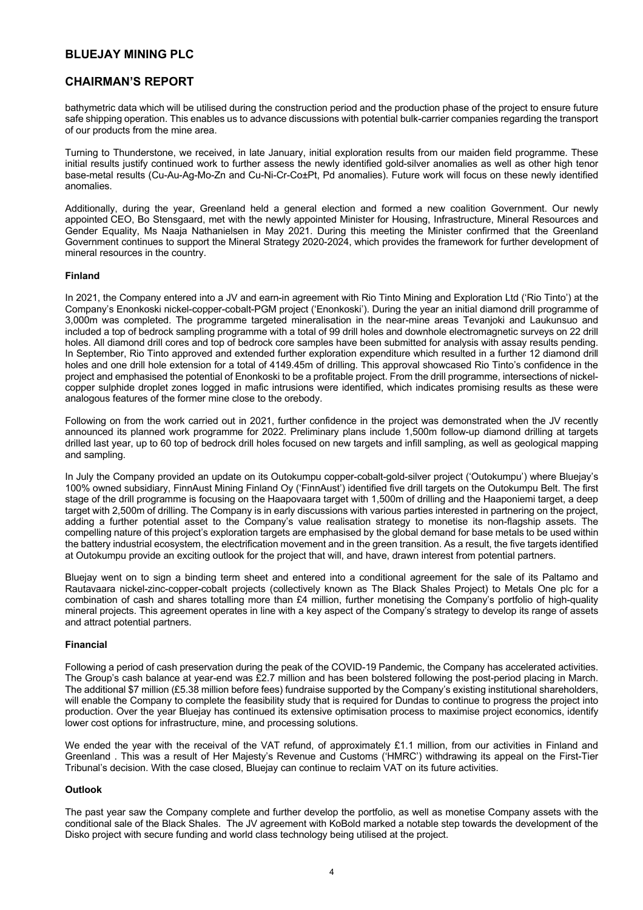# **CHAIRMAN'S REPORT**

bathymetric data which will be utilised during the construction period and the production phase of the project to ensure future safe shipping operation. This enables us to advance discussions with potential bulk-carrier companies regarding the transport of our products from the mine area.

Turning to Thunderstone, we received, in late January, initial exploration results from our maiden field programme. These initial results justify continued work to further assess the newly identified gold-silver anomalies as well as other high tenor base-metal results (Cu-Au-Ag-Mo-Zn and Cu-Ni-Cr-Co±Pt, Pd anomalies). Future work will focus on these newly identified anomalies.

Additionally, during the year, Greenland held a general election and formed a new coalition Government. Our newly appointed CEO, Bo Stensgaard, met with the newly appointed Minister for Housing, Infrastructure, Mineral Resources and Gender Equality, Ms Naaja Nathanielsen in May 2021. During this meeting the Minister confirmed that the Greenland Government continues to support the Mineral Strategy 2020-2024, which provides the framework for further development of mineral resources in the country.

## **Finland**

In 2021, the Company entered into a JV and earn-in agreement with Rio Tinto Mining and Exploration Ltd ('Rio Tinto') at the Company's Enonkoski nickel-copper-cobalt-PGM project ('Enonkoski'). During the year an initial diamond drill programme of 3,000m was completed. The programme targeted mineralisation in the near-mine areas Tevanjoki and Laukunsuo and included a top of bedrock sampling programme with a total of 99 drill holes and downhole electromagnetic surveys on 22 drill holes. All diamond drill cores and top of bedrock core samples have been submitted for analysis with assay results pending. In September, Rio Tinto approved and extended further exploration expenditure which resulted in a further 12 diamond drill holes and one drill hole extension for a total of 4149.45m of drilling. This approval showcased Rio Tinto's confidence in the project and emphasised the potential of Enonkoski to be a profitable project. From the drill programme, intersections of nickelcopper sulphide droplet zones logged in mafic intrusions were identified, which indicates promising results as these were analogous features of the former mine close to the orebody.

Following on from the work carried out in 2021, further confidence in the project was demonstrated when the JV recently announced its planned work programme for 2022. Preliminary plans include 1,500m follow-up diamond drilling at targets drilled last year, up to 60 top of bedrock drill holes focused on new targets and infill sampling, as well as geological mapping and sampling.

In July the Company provided an update on its Outokumpu copper-cobalt-gold-silver project ('Outokumpu') where Bluejay's 100% owned subsidiary, FinnAust Mining Finland Oy ('FinnAust') identified five drill targets on the Outokumpu Belt. The first stage of the drill programme is focusing on the Haapovaara target with 1,500m of drilling and the Haaponiemi target, a deep target with 2,500m of drilling. The Company is in early discussions with various parties interested in partnering on the project, adding a further potential asset to the Company's value realisation strategy to monetise its non-flagship assets. The compelling nature of this project's exploration targets are emphasised by the global demand for base metals to be used within the battery industrial ecosystem, the electrification movement and in the green transition. As a result, the five targets identified at Outokumpu provide an exciting outlook for the project that will, and have, drawn interest from potential partners.

Bluejay went on to sign a binding term sheet and entered into a conditional agreement for the sale of its Paltamo and Rautavaara nickel-zinc-copper-cobalt projects (collectively known as The Black Shales Project) to Metals One plc for a combination of cash and shares totalling more than £4 million, further monetising the Company's portfolio of high-quality mineral projects. This agreement operates in line with a key aspect of the Company's strategy to develop its range of assets and attract potential partners.

### **Financial**

Following a period of cash preservation during the peak of the COVID-19 Pandemic, the Company has accelerated activities. The Group's cash balance at year-end was £2.7 million and has been bolstered following the post-period placing in March. The additional \$7 million (£5.38 million before fees) fundraise supported by the Company's existing institutional shareholders, will enable the Company to complete the feasibility study that is required for Dundas to continue to progress the project into production. Over the year Bluejay has continued its extensive optimisation process to maximise project economics, identify lower cost options for infrastructure, mine, and processing solutions.

We ended the year with the receival of the VAT refund, of approximately £1.1 million, from our activities in Finland and Greenland . This was a result of Her Majesty's Revenue and Customs ('HMRC') withdrawing its appeal on the First-Tier Tribunal's decision. With the case closed, Bluejay can continue to reclaim VAT on its future activities.

### **Outlook**

The past year saw the Company complete and further develop the portfolio, as well as monetise Company assets with the conditional sale of the Black Shales. The JV agreement with KoBold marked a notable step towards the development of the Disko project with secure funding and world class technology being utilised at the project.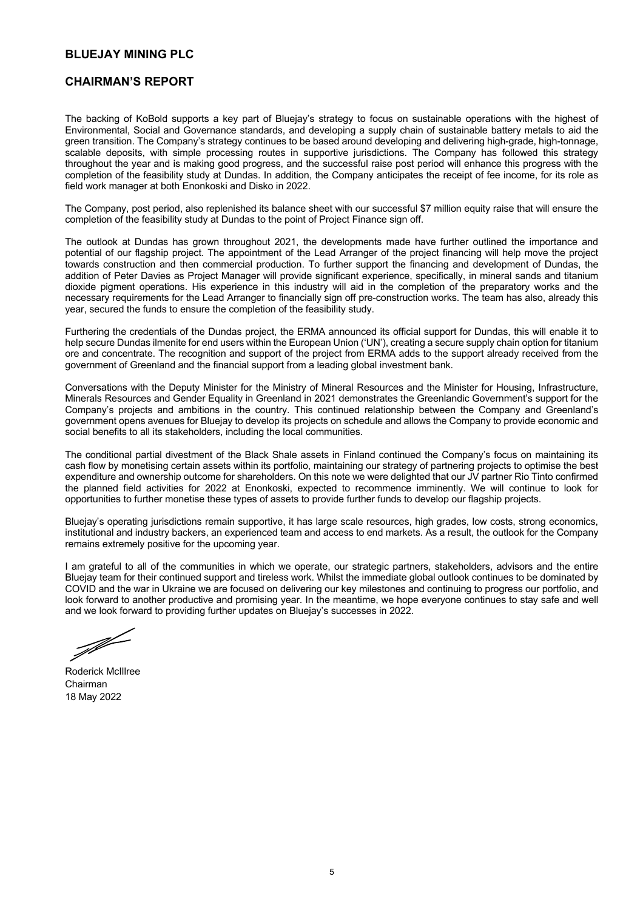## **CHAIRMAN'S REPORT**

The backing of KoBold supports a key part of Bluejay's strategy to focus on sustainable operations with the highest of Environmental, Social and Governance standards, and developing a supply chain of sustainable battery metals to aid the green transition. The Company's strategy continues to be based around developing and delivering high-grade, high-tonnage, scalable deposits, with simple processing routes in supportive jurisdictions. The Company has followed this strategy throughout the year and is making good progress, and the successful raise post period will enhance this progress with the completion of the feasibility study at Dundas. In addition, the Company anticipates the receipt of fee income, for its role as field work manager at both Enonkoski and Disko in 2022.

The Company, post period, also replenished its balance sheet with our successful \$7 million equity raise that will ensure the completion of the feasibility study at Dundas to the point of Project Finance sign off.

The outlook at Dundas has grown throughout 2021, the developments made have further outlined the importance and potential of our flagship project. The appointment of the Lead Arranger of the project financing will help move the project towards construction and then commercial production. To further support the financing and development of Dundas, the addition of Peter Davies as Project Manager will provide significant experience, specifically, in mineral sands and titanium dioxide pigment operations. His experience in this industry will aid in the completion of the preparatory works and the necessary requirements for the Lead Arranger to financially sign off pre-construction works. The team has also, already this year, secured the funds to ensure the completion of the feasibility study.

Furthering the credentials of the Dundas project, the ERMA announced its official support for Dundas, this will enable it to help secure Dundas ilmenite for end users within the European Union ('UN'), creating a secure supply chain option for titanium ore and concentrate. The recognition and support of the project from ERMA adds to the support already received from the government of Greenland and the financial support from a leading global investment bank.

Conversations with the Deputy Minister for the Ministry of Mineral Resources and the Minister for Housing, Infrastructure, Minerals Resources and Gender Equality in Greenland in 2021 demonstrates the Greenlandic Government's support for the Company's projects and ambitions in the country. This continued relationship between the Company and Greenland's government opens avenues for Bluejay to develop its projects on schedule and allows the Company to provide economic and social benefits to all its stakeholders, including the local communities.

The conditional partial divestment of the Black Shale assets in Finland continued the Company's focus on maintaining its cash flow by monetising certain assets within its portfolio, maintaining our strategy of partnering projects to optimise the best expenditure and ownership outcome for shareholders. On this note we were delighted that our JV partner Rio Tinto confirmed the planned field activities for 2022 at Enonkoski, expected to recommence imminently. We will continue to look for opportunities to further monetise these types of assets to provide further funds to develop our flagship projects.

Bluejay's operating jurisdictions remain supportive, it has large scale resources, high grades, low costs, strong economics, institutional and industry backers, an experienced team and access to end markets. As a result, the outlook for the Company remains extremely positive for the upcoming year.

I am grateful to all of the communities in which we operate, our strategic partners, stakeholders, advisors and the entire Bluejay team for their continued support and tireless work. Whilst the immediate global outlook continues to be dominated by COVID and the war in Ukraine we are focused on delivering our key milestones and continuing to progress our portfolio, and look forward to another productive and promising year. In the meantime, we hope everyone continues to stay safe and well and we look forward to providing further updates on Bluejay's successes in 2022.

J

Roderick McIllree Chairman 18 May 2022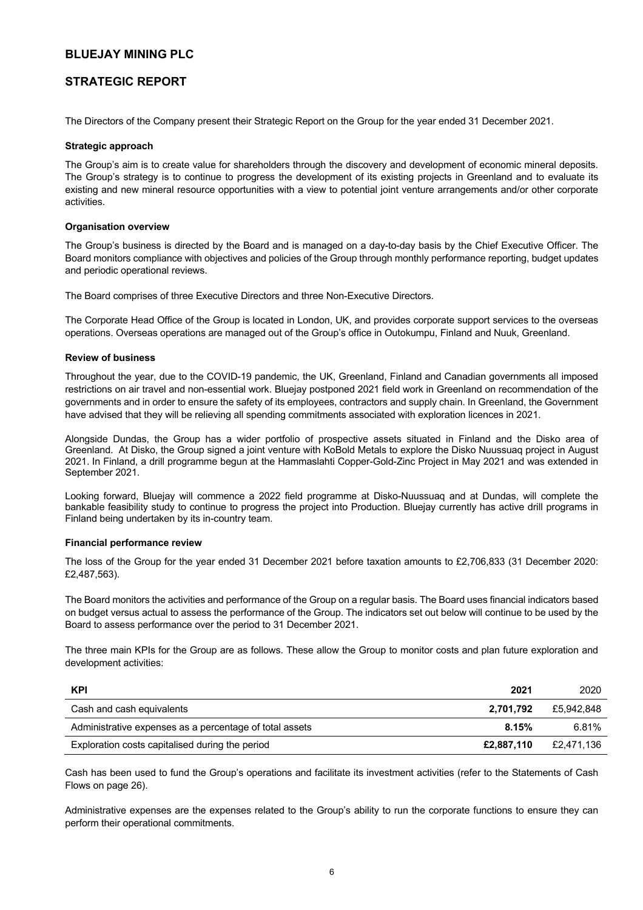# **STRATEGIC REPORT**

The Directors of the Company present their Strategic Report on the Group for the year ended 31 December 2021.

## **Strategic approach**

The Group's aim is to create value for shareholders through the discovery and development of economic mineral deposits. The Group's strategy is to continue to progress the development of its existing projects in Greenland and to evaluate its existing and new mineral resource opportunities with a view to potential joint venture arrangements and/or other corporate activities.

## **Organisation overview**

The Group's business is directed by the Board and is managed on a day-to-day basis by the Chief Executive Officer. The Board monitors compliance with objectives and policies of the Group through monthly performance reporting, budget updates and periodic operational reviews.

The Board comprises of three Executive Directors and three Non-Executive Directors.

The Corporate Head Office of the Group is located in London, UK, and provides corporate support services to the overseas operations. Overseas operations are managed out of the Group's office in Outokumpu, Finland and Nuuk, Greenland.

## **Review of business**

Throughout the year, due to the COVID-19 pandemic, the UK, Greenland, Finland and Canadian governments all imposed restrictions on air travel and non-essential work. Bluejay postponed 2021 field work in Greenland on recommendation of the governments and in order to ensure the safety of its employees, contractors and supply chain. In Greenland, the Government have advised that they will be relieving all spending commitments associated with exploration licences in 2021.

Alongside Dundas, the Group has a wider portfolio of prospective assets situated in Finland and the Disko area of Greenland. At Disko, the Group signed a joint venture with KoBold Metals to explore the Disko Nuussuaq project in August 2021. In Finland, a drill programme begun at the Hammaslahti Copper-Gold-Zinc Project in May 2021 and was extended in September 2021.

Looking forward, Bluejay will commence a 2022 field programme at Disko-Nuussuaq and at Dundas, will complete the bankable feasibility study to continue to progress the project into Production. Bluejay currently has active drill programs in Finland being undertaken by its in-country team.

### **Financial performance review**

The loss of the Group for the year ended 31 December 2021 before taxation amounts to £2,706,833 (31 December 2020: £2,487,563).

The Board monitors the activities and performance of the Group on a regular basis. The Board uses financial indicators based on budget versus actual to assess the performance of the Group. The indicators set out below will continue to be used by the Board to assess performance over the period to 31 December 2021.

The three main KPIs for the Group are as follows. These allow the Group to monitor costs and plan future exploration and development activities:

| <b>KPI</b>                                              | 2021       | 2020       |
|---------------------------------------------------------|------------|------------|
| Cash and cash equivalents                               | 2.701.792  | £5.942.848 |
| Administrative expenses as a percentage of total assets | 8.15%      | 6.81%      |
| Exploration costs capitalised during the period         | £2,887,110 | £2.471.136 |

Cash has been used to fund the Group's operations and facilitate its investment activities (refer to the Statements of Cash Flows on page 26).

Administrative expenses are the expenses related to the Group's ability to run the corporate functions to ensure they can perform their operational commitments.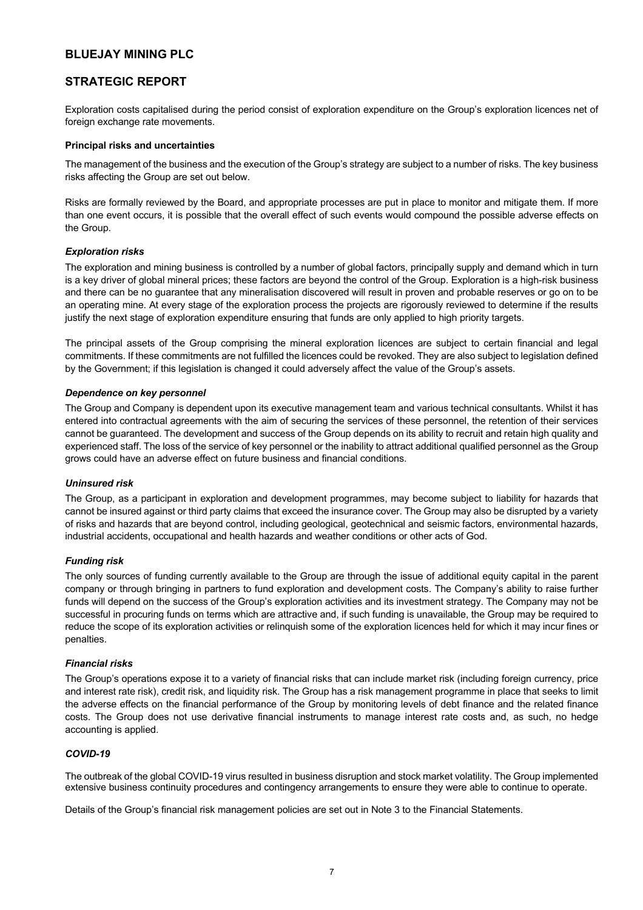# **STRATEGIC REPORT**

Exploration costs capitalised during the period consist of exploration expenditure on the Group's exploration licences net of foreign exchange rate movements.

## **Principal risks and uncertainties**

The management of the business and the execution of the Group's strategy are subject to a number of risks. The key business risks affecting the Group are set out below.

Risks are formally reviewed by the Board, and appropriate processes are put in place to monitor and mitigate them. If more than one event occurs, it is possible that the overall effect of such events would compound the possible adverse effects on the Group.

## *Exploration risks*

The exploration and mining business is controlled by a number of global factors, principally supply and demand which in turn is a key driver of global mineral prices; these factors are beyond the control of the Group. Exploration is a high-risk business and there can be no guarantee that any mineralisation discovered will result in proven and probable reserves or go on to be an operating mine. At every stage of the exploration process the projects are rigorously reviewed to determine if the results justify the next stage of exploration expenditure ensuring that funds are only applied to high priority targets.

The principal assets of the Group comprising the mineral exploration licences are subject to certain financial and legal commitments. If these commitments are not fulfilled the licences could be revoked. They are also subject to legislation defined by the Government; if this legislation is changed it could adversely affect the value of the Group's assets.

## *Dependence on key personnel*

The Group and Company is dependent upon its executive management team and various technical consultants. Whilst it has entered into contractual agreements with the aim of securing the services of these personnel, the retention of their services cannot be guaranteed. The development and success of the Group depends on its ability to recruit and retain high quality and experienced staff. The loss of the service of key personnel or the inability to attract additional qualified personnel as the Group grows could have an adverse effect on future business and financial conditions.

### *Uninsured risk*

The Group, as a participant in exploration and development programmes, may become subject to liability for hazards that cannot be insured against or third party claims that exceed the insurance cover. The Group may also be disrupted by a variety of risks and hazards that are beyond control, including geological, geotechnical and seismic factors, environmental hazards, industrial accidents, occupational and health hazards and weather conditions or other acts of God.

### *Funding risk*

The only sources of funding currently available to the Group are through the issue of additional equity capital in the parent company or through bringing in partners to fund exploration and development costs. The Company's ability to raise further funds will depend on the success of the Group's exploration activities and its investment strategy. The Company may not be successful in procuring funds on terms which are attractive and, if such funding is unavailable, the Group may be required to reduce the scope of its exploration activities or relinquish some of the exploration licences held for which it may incur fines or penalties.

### *Financial risks*

The Group's operations expose it to a variety of financial risks that can include market risk (including foreign currency, price and interest rate risk), credit risk, and liquidity risk. The Group has a risk management programme in place that seeks to limit the adverse effects on the financial performance of the Group by monitoring levels of debt finance and the related finance costs. The Group does not use derivative financial instruments to manage interest rate costs and, as such, no hedge accounting is applied.

## *COVID-19*

The outbreak of the global COVID-19 virus resulted in business disruption and stock market volatility. The Group implemented extensive business continuity procedures and contingency arrangements to ensure they were able to continue to operate.

Details of the Group's financial risk management policies are set out in Note 3 to the Financial Statements.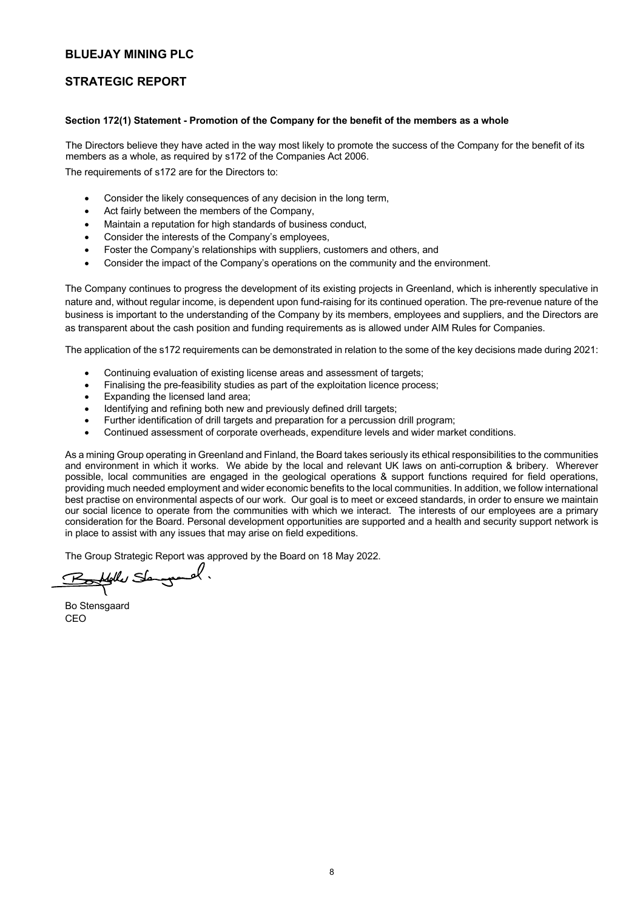# **STRATEGIC REPORT**

## **Section 172(1) Statement - Promotion of the Company for the benefit of the members as a whole**

The Directors believe they have acted in the way most likely to promote the success of the Company for the benefit of its members as a whole, as required by s172 of the Companies Act 2006.

The requirements of s172 are for the Directors to:

- Consider the likely consequences of any decision in the long term,
- Act fairly between the members of the Company,
- Maintain a reputation for high standards of business conduct,
- Consider the interests of the Company's employees,
- Foster the Company's relationships with suppliers, customers and others, and
- Consider the impact of the Company's operations on the community and the environment.

The Company continues to progress the development of its existing projects in Greenland, which is inherently speculative in nature and, without regular income, is dependent upon fund-raising for its continued operation. The pre-revenue nature of the business is important to the understanding of the Company by its members, employees and suppliers, and the Directors are as transparent about the cash position and funding requirements as is allowed under AIM Rules for Companies.

The application of the s172 requirements can be demonstrated in relation to the some of the key decisions made during 2021:

- Continuing evaluation of existing license areas and assessment of targets;
- Finalising the pre-feasibility studies as part of the exploitation licence process;
- Expanding the licensed land area;
- Identifying and refining both new and previously defined drill targets;
- Further identification of drill targets and preparation for a percussion drill program;
- Continued assessment of corporate overheads, expenditure levels and wider market conditions.

As a mining Group operating in Greenland and Finland, the Board takes seriously its ethical responsibilities to the communities and environment in which it works. We abide by the local and relevant UK laws on anti-corruption & bribery. Wherever possible, local communities are engaged in the geological operations & support functions required for field operations, providing much needed employment and wider economic benefits to the local communities. In addition, we follow international best practise on environmental aspects of our work. Our goal is to meet or exceed standards, in order to ensure we maintain our social licence to operate from the communities with which we interact. The interests of our employees are a primary consideration for the Board. Personal development opportunities are supported and a health and security support network is in place to assist with any issues that may arise on field expeditions.

The Group Strategic Report was approved by the Board on 18 May 2022.<br>Report was approved by the Board on 18 May 2022.

Bo Stensgaard CEO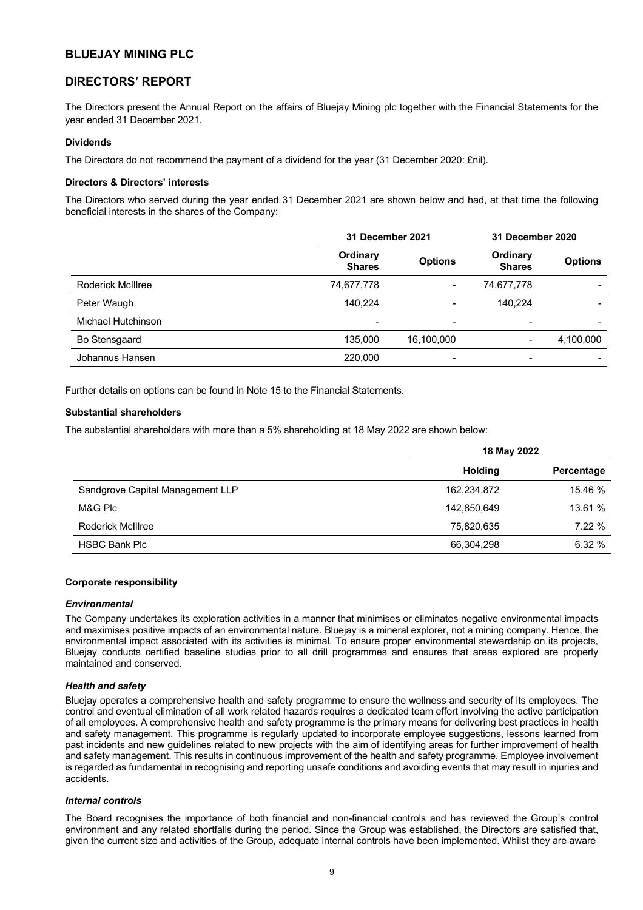# **DIRECTORS' REPORT**

The Directors present the Annual Report on the affairs of Bluejay Mining plc together with the Financial Statements for the year ended 31 December 2021.

## **Dividends**

The Directors do not recommend the payment of a dividend for the year (31 December 2020: £nil).

### **Directors & Directors' interests**

The Directors who served during the year ended 31 December 2021 are shown below and had, at that time the following beneficial interests in the shares of the Company:

|                          | 31 December 2021          |                          | 31 December 2020          |                |
|--------------------------|---------------------------|--------------------------|---------------------------|----------------|
|                          | Ordinary<br><b>Shares</b> | <b>Options</b>           | Ordinary<br><b>Shares</b> | <b>Options</b> |
| <b>Roderick McIllree</b> | 74,677,778                | $\overline{\phantom{a}}$ | 74,677,778                |                |
| Peter Waugh              | 140.224                   |                          | 140.224                   |                |
| Michael Hutchinson       | -                         | $\overline{\phantom{0}}$ |                           |                |
| Bo Stensgaard            | 135.000                   | 16,100,000               |                           | 4,100,000      |
| Johannus Hansen          | 220,000                   | $\overline{\phantom{0}}$ | $\overline{\phantom{0}}$  |                |

Further details on options can be found in Note 15 to the Financial Statements.

### **Substantial shareholders**

The substantial shareholders with more than a 5% shareholding at 18 May 2022 are shown below:

|                                  | 18 May 2022    |            |  |
|----------------------------------|----------------|------------|--|
|                                  | <b>Holding</b> | Percentage |  |
| Sandgrove Capital Management LLP | 162,234,872    | 15.46 %    |  |
| M&G Plc                          | 142.850.649    | 13.61 %    |  |
| Roderick McIllree                | 75,820,635     | 7.22%      |  |
| <b>HSBC Bank Plc</b>             | 66,304,298     | 6.32%      |  |

#### **Corporate responsibility**

#### *Environmental*

The Company undertakes its exploration activities in a manner that minimises or eliminates negative environmental impacts and maximises positive impacts of an environmental nature. Bluejay is a mineral explorer, not a mining company. Hence, the environmental impact associated with its activities is minimal. To ensure proper environmental stewardship on its projects, Bluejay conducts certified baseline studies prior to all drill programmes and ensures that areas explored are properly maintained and conserved.

### *Health and safety*

Bluejay operates a comprehensive health and safety programme to ensure the wellness and security of its employees. The control and eventual elimination of all work related hazards requires a dedicated team effort involving the active participation of all employees. A comprehensive health and safety programme is the primary means for delivering best practices in health and safety management. This programme is regularly updated to incorporate employee suggestions, lessons learned from past incidents and new guidelines related to new projects with the aim of identifying areas for further improvement of health and safety management. This results in continuous improvement of the health and safety programme. Employee involvement is regarded as fundamental in recognising and reporting unsafe conditions and avoiding events that may result in injuries and accidents.

## *Internal controls*

The Board recognises the importance of both financial and non-financial controls and has reviewed the Group's control environment and any related shortfalls during the period. Since the Group was established, the Directors are satisfied that, given the current size and activities of the Group, adequate internal controls have been implemented. Whilst they are aware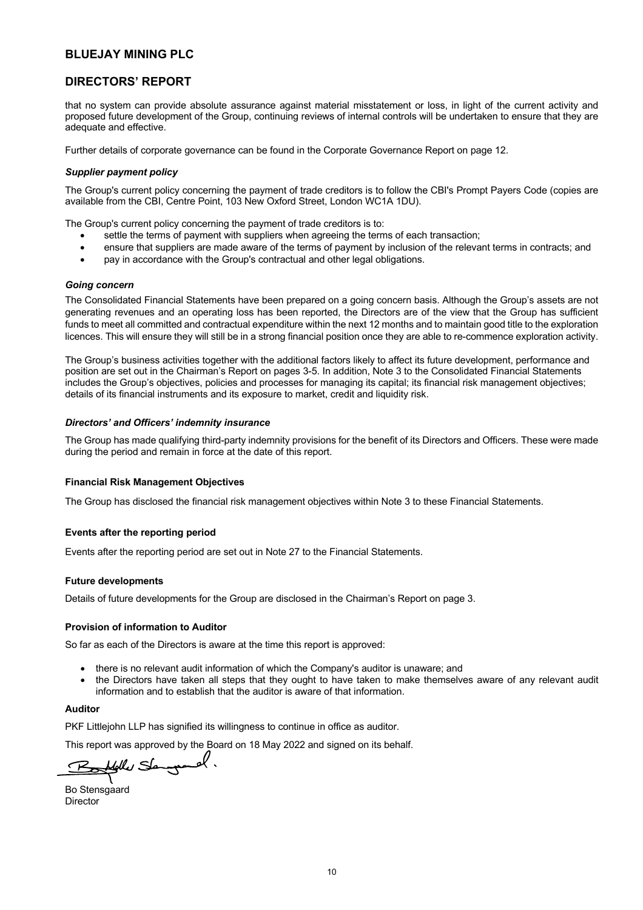# **DIRECTORS' REPORT**

that no system can provide absolute assurance against material misstatement or loss, in light of the current activity and proposed future development of the Group, continuing reviews of internal controls will be undertaken to ensure that they are adequate and effective.

Further details of corporate governance can be found in the Corporate Governance Report on page 12.

### *Supplier payment policy*

The Group's current policy concerning the payment of trade creditors is to follow the CBI's Prompt Payers Code (copies are available from the CBI, Centre Point, 103 New Oxford Street, London WC1A 1DU).

The Group's current policy concerning the payment of trade creditors is to:

- settle the terms of payment with suppliers when agreeing the terms of each transaction;
- ensure that suppliers are made aware of the terms of payment by inclusion of the relevant terms in contracts; and
- pay in accordance with the Group's contractual and other legal obligations.

#### *Going concern*

The Consolidated Financial Statements have been prepared on a going concern basis. Although the Group's assets are not generating revenues and an operating loss has been reported, the Directors are of the view that the Group has sufficient funds to meet all committed and contractual expenditure within the next 12 months and to maintain good title to the exploration licences. This will ensure they will still be in a strong financial position once they are able to re-commence exploration activity.

The Group's business activities together with the additional factors likely to affect its future development, performance and position are set out in the Chairman's Report on pages 3-5. In addition, Note 3 to the Consolidated Financial Statements includes the Group's objectives, policies and processes for managing its capital; its financial risk management objectives; details of its financial instruments and its exposure to market, credit and liquidity risk.

### *Directors' and Officers' indemnity insurance*

The Group has made qualifying third-party indemnity provisions for the benefit of its Directors and Officers. These were made during the period and remain in force at the date of this report.

### **Financial Risk Management Objectives**

The Group has disclosed the financial risk management objectives within Note 3 to these Financial Statements.

### **Events after the reporting period**

Events after the reporting period are set out in Note 27 to the Financial Statements.

### **Future developments**

Details of future developments for the Group are disclosed in the Chairman's Report on page 3.

### **Provision of information to Auditor**

So far as each of the Directors is aware at the time this report is approved:

- there is no relevant audit information of which the Company's auditor is unaware; and
- the Directors have taken all steps that they ought to have taken to make themselves aware of any relevant audit information and to establish that the auditor is aware of that information.

#### **Auditor**

PKF Littlejohn LLP has signified its willingness to continue in office as auditor.

This report was approved by the Board on 18 May 2022 and signed on its behalf.

felle Semyand.

Bo Stensgaard Director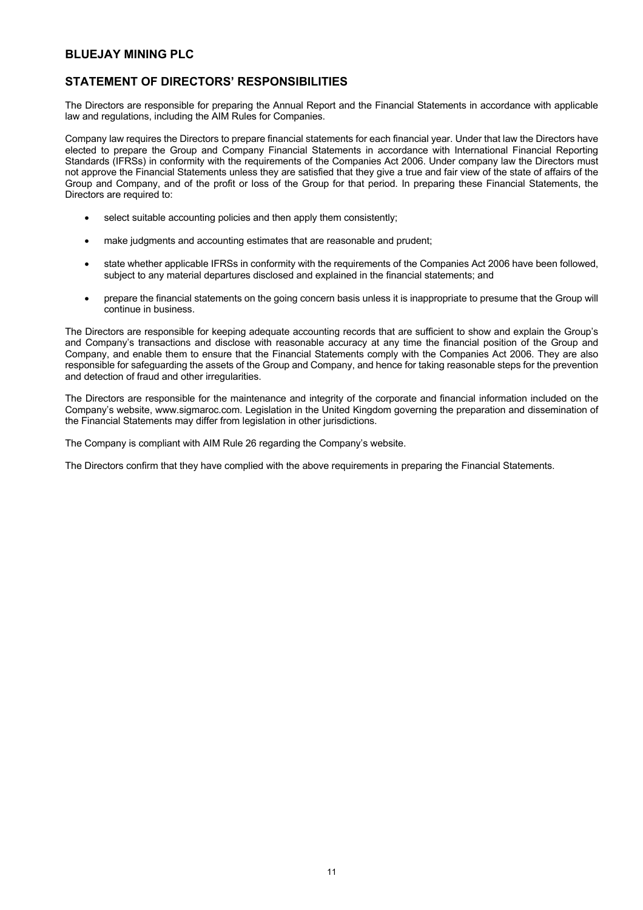# **STATEMENT OF DIRECTORS' RESPONSIBILITIES**

The Directors are responsible for preparing the Annual Report and the Financial Statements in accordance with applicable law and regulations, including the AIM Rules for Companies.

Company law requires the Directors to prepare financial statements for each financial year. Under that law the Directors have elected to prepare the Group and Company Financial Statements in accordance with International Financial Reporting Standards (IFRSs) in conformity with the requirements of the Companies Act 2006. Under company law the Directors must not approve the Financial Statements unless they are satisfied that they give a true and fair view of the state of affairs of the Group and Company, and of the profit or loss of the Group for that period. In preparing these Financial Statements, the Directors are required to:

- select suitable accounting policies and then apply them consistently;
- make judgments and accounting estimates that are reasonable and prudent;
- state whether applicable IFRSs in conformity with the requirements of the Companies Act 2006 have been followed, subject to any material departures disclosed and explained in the financial statements; and
- prepare the financial statements on the going concern basis unless it is inappropriate to presume that the Group will continue in business.

The Directors are responsible for keeping adequate accounting records that are sufficient to show and explain the Group's and Company's transactions and disclose with reasonable accuracy at any time the financial position of the Group and Company, and enable them to ensure that the Financial Statements comply with the Companies Act 2006. They are also responsible for safeguarding the assets of the Group and Company, and hence for taking reasonable steps for the prevention and detection of fraud and other irregularities.

The Directors are responsible for the maintenance and integrity of the corporate and financial information included on the Company's website, www.sigmaroc.com. Legislation in the United Kingdom governing the preparation and dissemination of the Financial Statements may differ from legislation in other jurisdictions.

The Company is compliant with AIM Rule 26 regarding the Company's website.

The Directors confirm that they have complied with the above requirements in preparing the Financial Statements.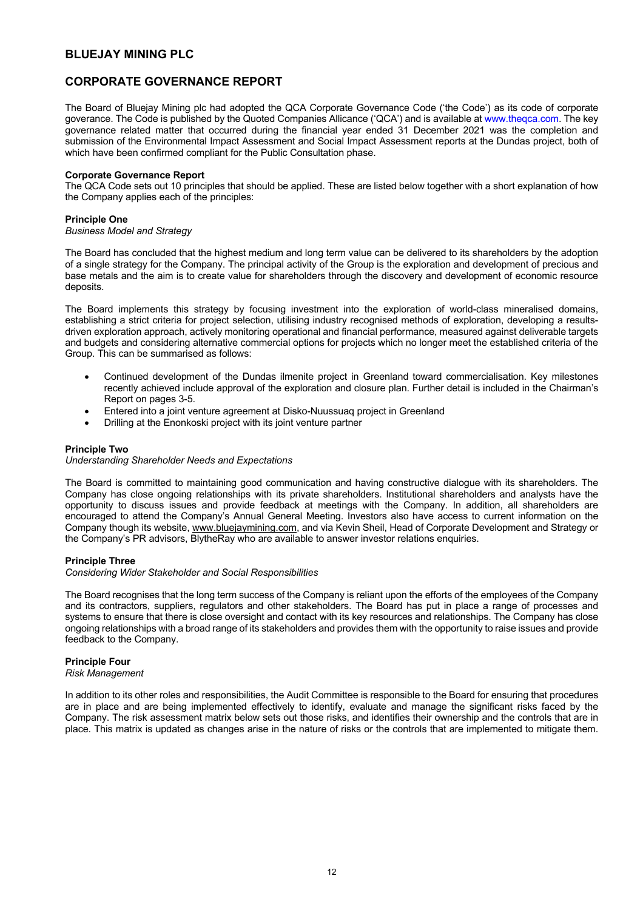# **CORPORATE GOVERNANCE REPORT**

The Board of Bluejay Mining plc had adopted the QCA Corporate Governance Code ('the Code') as its code of corporate goverance. The Code is published by the Quoted Companies Allicance ('QCA') and is available at www.theqca.com. The key governance related matter that occurred during the financial year ended 31 December 2021 was the completion and submission of the Environmental Impact Assessment and Social Impact Assessment reports at the Dundas project, both of which have been confirmed compliant for the Public Consultation phase.

## **Corporate Governance Report**

The QCA Code sets out 10 principles that should be applied. These are listed below together with a short explanation of how the Company applies each of the principles:

## **Principle One**

## *Business Model and Strategy*

The Board has concluded that the highest medium and long term value can be delivered to its shareholders by the adoption of a single strategy for the Company. The principal activity of the Group is the exploration and development of precious and base metals and the aim is to create value for shareholders through the discovery and development of economic resource deposits.

The Board implements this strategy by focusing investment into the exploration of world-class mineralised domains, establishing a strict criteria for project selection, utilising industry recognised methods of exploration, developing a resultsdriven exploration approach, actively monitoring operational and financial performance, measured against deliverable targets and budgets and considering alternative commercial options for projects which no longer meet the established criteria of the Group. This can be summarised as follows:

- Continued development of the Dundas ilmenite project in Greenland toward commercialisation. Key milestones recently achieved include approval of the exploration and closure plan. Further detail is included in the Chairman's Report on pages 3-5.
- Entered into a joint venture agreement at Disko-Nuussuaq project in Greenland
- Drilling at the Enonkoski project with its joint venture partner

## **Principle Two**

### *Understanding Shareholder Needs and Expectations*

The Board is committed to maintaining good communication and having constructive dialogue with its shareholders. The Company has close ongoing relationships with its private shareholders. Institutional shareholders and analysts have the opportunity to discuss issues and provide feedback at meetings with the Company. In addition, all shareholders are encouraged to attend the Company's Annual General Meeting. Investors also have access to current information on the Company though its website, www.bluejaymining.com, and via Kevin Sheil, Head of Corporate Development and Strategy or the Company's PR advisors, BlytheRay who are available to answer investor relations enquiries.

## **Principle Three**

### *Considering Wider Stakeholder and Social Responsibilities*

The Board recognises that the long term success of the Company is reliant upon the efforts of the employees of the Company and its contractors, suppliers, regulators and other stakeholders. The Board has put in place a range of processes and systems to ensure that there is close oversight and contact with its key resources and relationships. The Company has close ongoing relationships with a broad range of its stakeholders and provides them with the opportunity to raise issues and provide feedback to the Company.

## **Principle Four**

## *Risk Management*

In addition to its other roles and responsibilities, the Audit Committee is responsible to the Board for ensuring that procedures are in place and are being implemented effectively to identify, evaluate and manage the significant risks faced by the Company. The risk assessment matrix below sets out those risks, and identifies their ownership and the controls that are in place. This matrix is updated as changes arise in the nature of risks or the controls that are implemented to mitigate them.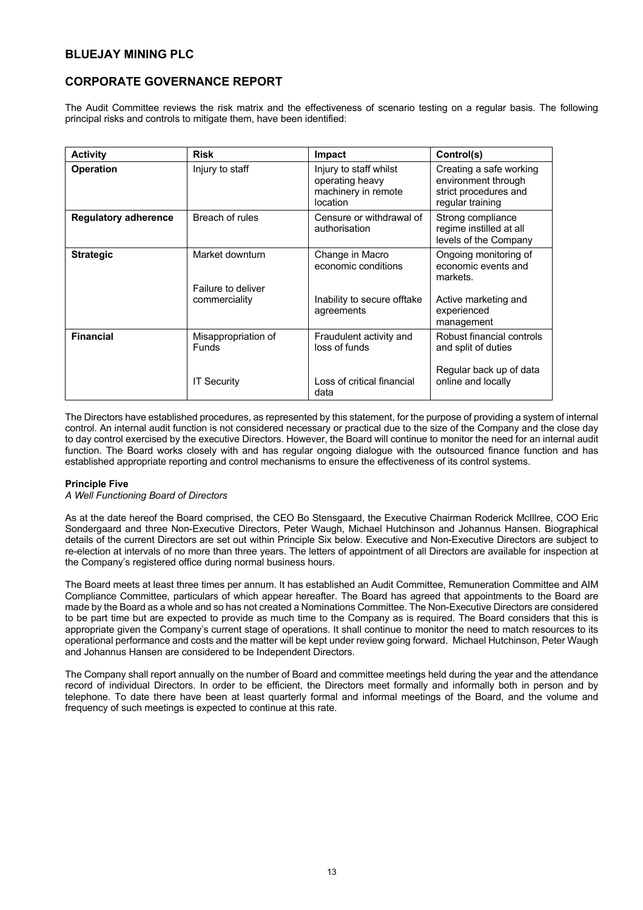# **CORPORATE GOVERNANCE REPORT**

The Audit Committee reviews the risk matrix and the effectiveness of scenario testing on a regular basis. The following principal risks and controls to mitigate them, have been identified:

| <b>Activity</b>             | <b>Risk</b>                                               | <b>Impact</b>                                                                       | Control(s)                                                                                                    |
|-----------------------------|-----------------------------------------------------------|-------------------------------------------------------------------------------------|---------------------------------------------------------------------------------------------------------------|
| <b>Operation</b>            | Injury to staff                                           | Injury to staff whilst<br>operating heavy<br>machinery in remote<br>location        | Creating a safe working<br>environment through<br>strict procedures and<br>regular training                   |
| <b>Regulatory adherence</b> | Breach of rules                                           | Censure or withdrawal of<br>authorisation                                           | Strong compliance<br>regime instilled at all<br>levels of the Company                                         |
| <b>Strategic</b>            | Market downturn<br>Failure to deliver<br>commerciality    | Change in Macro<br>economic conditions<br>Inability to secure offtake<br>agreements | Ongoing monitoring of<br>economic events and<br>markets.<br>Active marketing and<br>experienced<br>management |
| <b>Financial</b>            | Misappropriation of<br><b>Funds</b><br><b>IT Security</b> | Fraudulent activity and<br>loss of funds<br>Loss of critical financial<br>data      | Robust financial controls<br>and split of duties<br>Regular back up of data<br>online and locally             |

The Directors have established procedures, as represented by this statement, for the purpose of providing a system of internal control. An internal audit function is not considered necessary or practical due to the size of the Company and the close day to day control exercised by the executive Directors. However, the Board will continue to monitor the need for an internal audit function. The Board works closely with and has regular ongoing dialogue with the outsourced finance function and has established appropriate reporting and control mechanisms to ensure the effectiveness of its control systems.

## **Principle Five**

## *A Well Functioning Board of Directors*

As at the date hereof the Board comprised, the CEO Bo Stensgaard, the Executive Chairman Roderick McIllree, COO Eric Sondergaard and three Non-Executive Directors, Peter Waugh, Michael Hutchinson and Johannus Hansen. Biographical details of the current Directors are set out within Principle Six below. Executive and Non-Executive Directors are subject to re-election at intervals of no more than three years. The letters of appointment of all Directors are available for inspection at the Company's registered office during normal business hours.

The Board meets at least three times per annum. It has established an Audit Committee, Remuneration Committee and AIM Compliance Committee, particulars of which appear hereafter. The Board has agreed that appointments to the Board are made by the Board as a whole and so has not created a Nominations Committee. The Non-Executive Directors are considered to be part time but are expected to provide as much time to the Company as is required. The Board considers that this is appropriate given the Company's current stage of operations. It shall continue to monitor the need to match resources to its operational performance and costs and the matter will be kept under review going forward. Michael Hutchinson, Peter Waugh and Johannus Hansen are considered to be Independent Directors.

The Company shall report annually on the number of Board and committee meetings held during the year and the attendance record of individual Directors. In order to be efficient, the Directors meet formally and informally both in person and by telephone. To date there have been at least quarterly formal and informal meetings of the Board, and the volume and frequency of such meetings is expected to continue at this rate.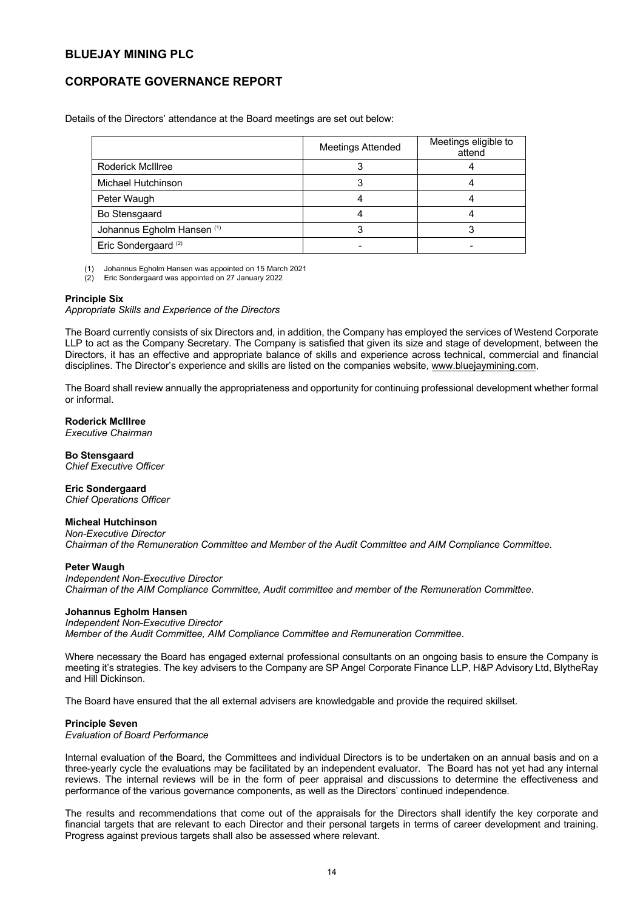# **CORPORATE GOVERNANCE REPORT**

Details of the Directors' attendance at the Board meetings are set out below:

|                                 | <b>Meetings Attended</b> | Meetings eligible to<br>attend |
|---------------------------------|--------------------------|--------------------------------|
| <b>Roderick McIllree</b>        |                          |                                |
| Michael Hutchinson              |                          |                                |
| Peter Waugh                     |                          |                                |
| Bo Stensgaard                   |                          |                                |
| Johannus Egholm Hansen (1)      |                          |                                |
| Eric Sondergaard <sup>(2)</sup> |                          |                                |

(1) Johannus Egholm Hansen was appointed on 15 March 2021

(2) Eric Sondergaard was appointed on 27 January 2022

### **Principle Six**

*Appropriate Skills and Experience of the Directors* 

The Board currently consists of six Directors and, in addition, the Company has employed the services of Westend Corporate LLP to act as the Company Secretary. The Company is satisfied that given its size and stage of development, between the Directors, it has an effective and appropriate balance of skills and experience across technical, commercial and financial disciplines. The Director's experience and skills are listed on the companies website, www.bluejaymining.com,

The Board shall review annually the appropriateness and opportunity for continuing professional development whether formal or informal.

## **Roderick McIllree**

*Executive Chairman*

**Bo Stensgaard** *Chief Executive Officer* 

**Eric Sondergaard** *Chief Operations Officer* 

## **Micheal Hutchinson**

*Non-Executive Director Chairman of the Remuneration Committee and Member of the Audit Committee and AIM Compliance Committee.*

### **Peter Waugh**

*Independent Non-Executive Director Chairman of the AIM Compliance Committee, Audit committee and member of the Remuneration Committee*.

## **Johannus Egholm Hansen**

## *Independent Non-Executive Director*

*Member of the Audit Committee, AIM Compliance Committee and Remuneration Committee*.

Where necessary the Board has engaged external professional consultants on an ongoing basis to ensure the Company is meeting it's strategies. The key advisers to the Company are SP Angel Corporate Finance LLP, H&P Advisory Ltd, BlytheRay and Hill Dickinson.

The Board have ensured that the all external advisers are knowledgable and provide the required skillset.

### **Principle Seven**

*Evaluation of Board Performance* 

Internal evaluation of the Board, the Committees and individual Directors is to be undertaken on an annual basis and on a three-yearly cycle the evaluations may be facilitated by an independent evaluator. The Board has not yet had any internal reviews. The internal reviews will be in the form of peer appraisal and discussions to determine the effectiveness and performance of the various governance components, as well as the Directors' continued independence.

The results and recommendations that come out of the appraisals for the Directors shall identify the key corporate and financial targets that are relevant to each Director and their personal targets in terms of career development and training. Progress against previous targets shall also be assessed where relevant.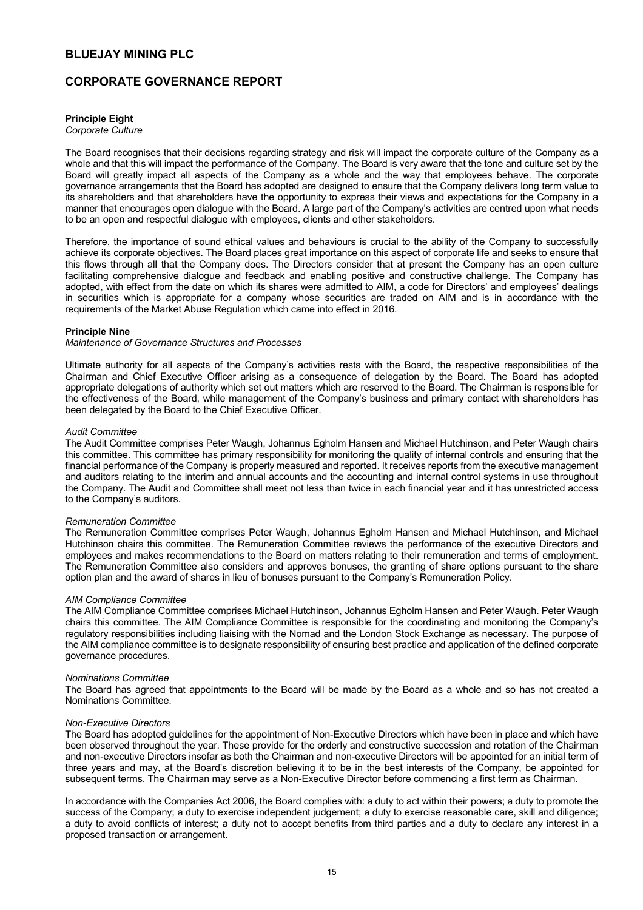## **CORPORATE GOVERNANCE REPORT**

## **Principle Eight**

*Corporate Culture* 

The Board recognises that their decisions regarding strategy and risk will impact the corporate culture of the Company as a whole and that this will impact the performance of the Company. The Board is very aware that the tone and culture set by the Board will greatly impact all aspects of the Company as a whole and the way that employees behave. The corporate governance arrangements that the Board has adopted are designed to ensure that the Company delivers long term value to its shareholders and that shareholders have the opportunity to express their views and expectations for the Company in a manner that encourages open dialogue with the Board. A large part of the Company's activities are centred upon what needs to be an open and respectful dialogue with employees, clients and other stakeholders.

Therefore, the importance of sound ethical values and behaviours is crucial to the ability of the Company to successfully achieve its corporate objectives. The Board places great importance on this aspect of corporate life and seeks to ensure that this flows through all that the Company does. The Directors consider that at present the Company has an open culture facilitating comprehensive dialogue and feedback and enabling positive and constructive challenge. The Company has adopted, with effect from the date on which its shares were admitted to AIM, a code for Directors' and employees' dealings in securities which is appropriate for a company whose securities are traded on AIM and is in accordance with the requirements of the Market Abuse Regulation which came into effect in 2016.

### **Principle Nine**

#### *Maintenance of Governance Structures and Processes*

Ultimate authority for all aspects of the Company's activities rests with the Board, the respective responsibilities of the Chairman and Chief Executive Officer arising as a consequence of delegation by the Board. The Board has adopted appropriate delegations of authority which set out matters which are reserved to the Board. The Chairman is responsible for the effectiveness of the Board, while management of the Company's business and primary contact with shareholders has been delegated by the Board to the Chief Executive Officer.

#### *Audit Committee*

The Audit Committee comprises Peter Waugh, Johannus Egholm Hansen and Michael Hutchinson, and Peter Waugh chairs this committee. This committee has primary responsibility for monitoring the quality of internal controls and ensuring that the financial performance of the Company is properly measured and reported. It receives reports from the executive management and auditors relating to the interim and annual accounts and the accounting and internal control systems in use throughout the Company. The Audit and Committee shall meet not less than twice in each financial year and it has unrestricted access to the Company's auditors.

#### *Remuneration Committee*

The Remuneration Committee comprises Peter Waugh, Johannus Egholm Hansen and Michael Hutchinson, and Michael Hutchinson chairs this committee. The Remuneration Committee reviews the performance of the executive Directors and employees and makes recommendations to the Board on matters relating to their remuneration and terms of employment. The Remuneration Committee also considers and approves bonuses, the granting of share options pursuant to the share option plan and the award of shares in lieu of bonuses pursuant to the Company's Remuneration Policy.

### *AIM Compliance Committee*

The AIM Compliance Committee comprises Michael Hutchinson, Johannus Egholm Hansen and Peter Waugh. Peter Waugh chairs this committee. The AIM Compliance Committee is responsible for the coordinating and monitoring the Company's regulatory responsibilities including liaising with the Nomad and the London Stock Exchange as necessary. The purpose of the AIM compliance committee is to designate responsibility of ensuring best practice and application of the defined corporate governance procedures.

#### *Nominations Committee*

The Board has agreed that appointments to the Board will be made by the Board as a whole and so has not created a Nominations Committee.

### *Non-Executive Directors*

The Board has adopted guidelines for the appointment of Non-Executive Directors which have been in place and which have been observed throughout the year. These provide for the orderly and constructive succession and rotation of the Chairman and non-executive Directors insofar as both the Chairman and non-executive Directors will be appointed for an initial term of three years and may, at the Board's discretion believing it to be in the best interests of the Company, be appointed for subsequent terms. The Chairman may serve as a Non-Executive Director before commencing a first term as Chairman.

In accordance with the Companies Act 2006, the Board complies with: a duty to act within their powers; a duty to promote the success of the Company; a duty to exercise independent judgement; a duty to exercise reasonable care, skill and diligence; a duty to avoid conflicts of interest; a duty not to accept benefits from third parties and a duty to declare any interest in a proposed transaction or arrangement.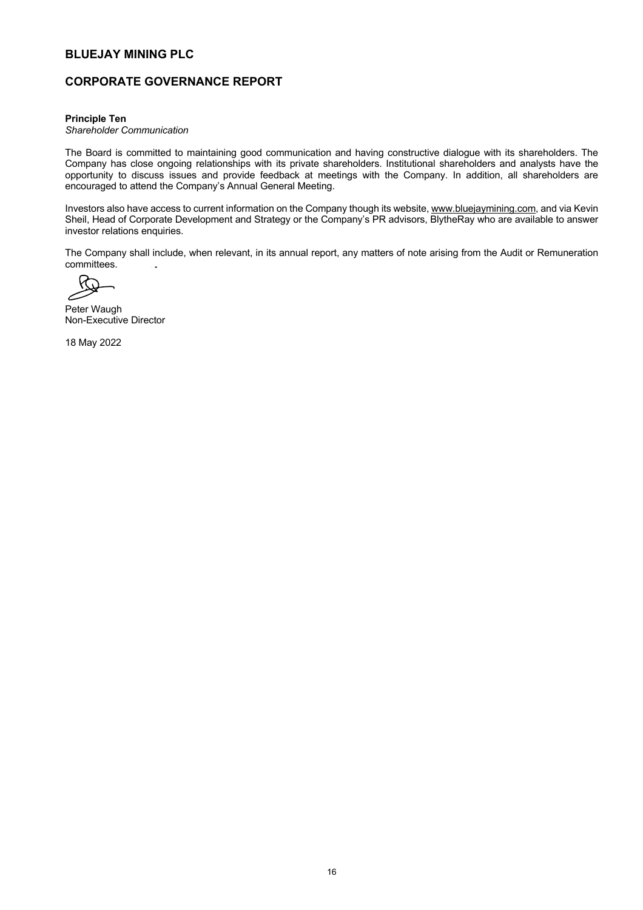# **CORPORATE GOVERNANCE REPORT**

#### **Principle Ten**

*Shareholder Communication* 

The Board is committed to maintaining good communication and having constructive dialogue with its shareholders. The Company has close ongoing relationships with its private shareholders. Institutional shareholders and analysts have the opportunity to discuss issues and provide feedback at meetings with the Company. In addition, all shareholders are encouraged to attend the Company's Annual General Meeting.

Investors also have access to current information on the Company though its website, www.bluejaymining.com, and via Kevin Sheil, Head of Corporate Development and Strategy or the Company's PR advisors, BlytheRay who are available to answer investor relations enquiries.

The Company shall include, when relevant, in its annual report, any matters of note arising from the Audit or Remuneration committees.

Peter Waugh Non-Executive Director

18 May 2022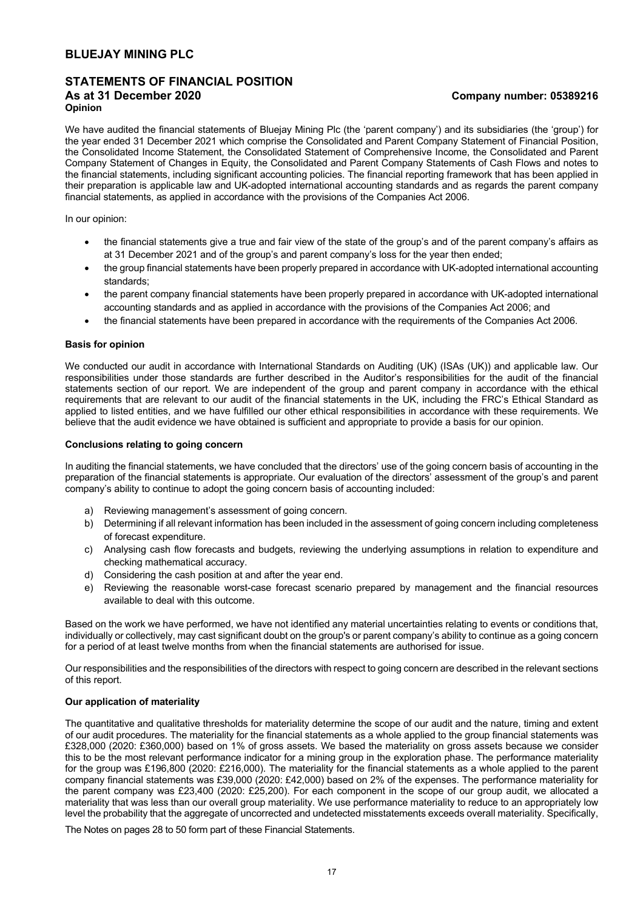## **STATEMENTS OF FINANCIAL POSITION As at 31 December 2020 Company number: 05389216 Opinion**

We have audited the financial statements of Bluejay Mining Plc (the 'parent company') and its subsidiaries (the 'group') for the year ended 31 December 2021 which comprise the Consolidated and Parent Company Statement of Financial Position, the Consolidated Income Statement, the Consolidated Statement of Comprehensive Income, the Consolidated and Parent Company Statement of Changes in Equity, the Consolidated and Parent Company Statements of Cash Flows and notes to the financial statements, including significant accounting policies. The financial reporting framework that has been applied in their preparation is applicable law and UK-adopted international accounting standards and as regards the parent company financial statements, as applied in accordance with the provisions of the Companies Act 2006.

In our opinion:

- the financial statements give a true and fair view of the state of the group's and of the parent company's affairs as at 31 December 2021 and of the group's and parent company's loss for the year then ended;
- the group financial statements have been properly prepared in accordance with UK-adopted international accounting standards;
- the parent company financial statements have been properly prepared in accordance with UK-adopted international accounting standards and as applied in accordance with the provisions of the Companies Act 2006; and
- the financial statements have been prepared in accordance with the requirements of the Companies Act 2006.

#### **Basis for opinion**

We conducted our audit in accordance with International Standards on Auditing (UK) (ISAs (UK)) and applicable law. Our responsibilities under those standards are further described in the Auditor's responsibilities for the audit of the financial statements section of our report. We are independent of the group and parent company in accordance with the ethical requirements that are relevant to our audit of the financial statements in the UK, including the FRC's Ethical Standard as applied to listed entities, and we have fulfilled our other ethical responsibilities in accordance with these requirements. We believe that the audit evidence we have obtained is sufficient and appropriate to provide a basis for our opinion.

#### **Conclusions relating to going concern**

In auditing the financial statements, we have concluded that the directors' use of the going concern basis of accounting in the preparation of the financial statements is appropriate. Our evaluation of the directors' assessment of the group's and parent company's ability to continue to adopt the going concern basis of accounting included:

- a) Reviewing management's assessment of going concern.
- b) Determining if all relevant information has been included in the assessment of going concern including completeness of forecast expenditure.
- c) Analysing cash flow forecasts and budgets, reviewing the underlying assumptions in relation to expenditure and checking mathematical accuracy.
- d) Considering the cash position at and after the year end.
- e) Reviewing the reasonable worst-case forecast scenario prepared by management and the financial resources available to deal with this outcome.

Based on the work we have performed, we have not identified any material uncertainties relating to events or conditions that, individually or collectively, may cast significant doubt on the group's or parent company's ability to continue as a going concern for a period of at least twelve months from when the financial statements are authorised for issue.

Our responsibilities and the responsibilities of the directors with respect to going concern are described in the relevant sections of this report.

#### **Our application of materiality**

The quantitative and qualitative thresholds for materiality determine the scope of our audit and the nature, timing and extent of our audit procedures. The materiality for the financial statements as a whole applied to the group financial statements was £328,000 (2020: £360,000) based on 1% of gross assets. We based the materiality on gross assets because we consider this to be the most relevant performance indicator for a mining group in the exploration phase. The performance materiality for the group was £196,800 (2020: £216,000). The materiality for the financial statements as a whole applied to the parent company financial statements was £39,000 (2020: £42,000) based on 2% of the expenses. The performance materiality for the parent company was £23,400 (2020: £25,200). For each component in the scope of our group audit, we allocated a materiality that was less than our overall group materiality. We use performance materiality to reduce to an appropriately low level the probability that the aggregate of uncorrected and undetected misstatements exceeds overall materiality. Specifically,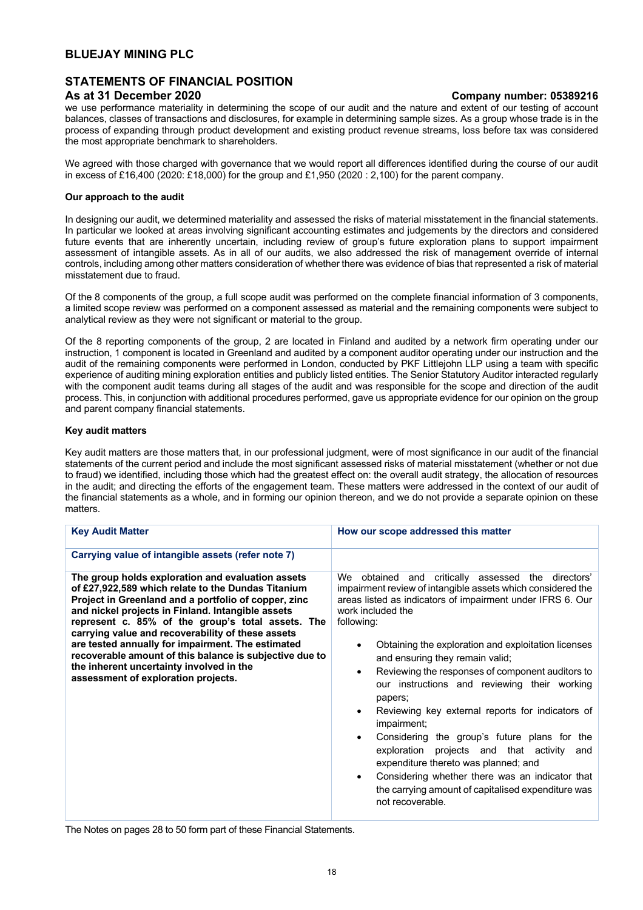# **STATEMENTS OF FINANCIAL POSITION**

we use performance materiality in determining the scope of our audit and the nature and extent of our testing of account balances, classes of transactions and disclosures, for example in determining sample sizes. As a group whose trade is in the process of expanding through product development and existing product revenue streams, loss before tax was considered the most appropriate benchmark to shareholders.

We agreed with those charged with governance that we would report all differences identified during the course of our audit in excess of £16,400 (2020: £18,000) for the group and £1,950 (2020 : 2,100) for the parent company.

## **Our approach to the audit**

In designing our audit, we determined materiality and assessed the risks of material misstatement in the financial statements. In particular we looked at areas involving significant accounting estimates and judgements by the directors and considered future events that are inherently uncertain, including review of group's future exploration plans to support impairment assessment of intangible assets. As in all of our audits, we also addressed the risk of management override of internal controls, including among other matters consideration of whether there was evidence of bias that represented a risk of material misstatement due to fraud.

Of the 8 components of the group, a full scope audit was performed on the complete financial information of 3 components, a limited scope review was performed on a component assessed as material and the remaining components were subject to analytical review as they were not significant or material to the group.

Of the 8 reporting components of the group, 2 are located in Finland and audited by a network firm operating under our instruction, 1 component is located in Greenland and audited by a component auditor operating under our instruction and the audit of the remaining components were performed in London, conducted by PKF Littlejohn LLP using a team with specific experience of auditing mining exploration entities and publicly listed entities. The Senior Statutory Auditor interacted regularly with the component audit teams during all stages of the audit and was responsible for the scope and direction of the audit process. This, in conjunction with additional procedures performed, gave us appropriate evidence for our opinion on the group and parent company financial statements.

## **Key audit matters**

Key audit matters are those matters that, in our professional judgment, were of most significance in our audit of the financial statements of the current period and include the most significant assessed risks of material misstatement (whether or not due to fraud) we identified, including those which had the greatest effect on: the overall audit strategy, the allocation of resources in the audit; and directing the efforts of the engagement team. These matters were addressed in the context of our audit of the financial statements as a whole, and in forming our opinion thereon, and we do not provide a separate opinion on these matters.

| Carrying value of intangible assets (refer note 7)<br>The group holds exploration and evaluation assets<br>We obtained and critically assessed the directors'<br>of £27,922,589 which relate to the Dundas Titanium<br>impairment review of intangible assets which considered the<br>areas listed as indicators of impairment under IFRS 6. Our<br>Project in Greenland and a portfolio of copper, zinc<br>and nickel projects in Finland. Intangible assets<br>work included the<br>represent c. 85% of the group's total assets. The<br>following:<br>carrying value and recoverability of these assets<br>are tested annually for impairment. The estimated<br>Obtaining the exploration and exploitation licenses<br>recoverable amount of this balance is subjective due to<br>and ensuring they remain valid;<br>the inherent uncertainty involved in the<br>Reviewing the responses of component auditors to<br>$\bullet$<br>assessment of exploration projects.<br>our instructions and reviewing their working<br>papers;<br>Reviewing key external reports for indicators of<br>$\bullet$<br>impairment;<br>Considering the group's future plans for the<br>$\bullet$<br>projects and that activity<br>exploration<br>and<br>expenditure thereto was planned; and<br>Considering whether there was an indicator that<br>$\bullet$<br>the carrying amount of capitalised expenditure was<br>not recoverable. | <b>Key Audit Matter</b> | How our scope addressed this matter |
|------------------------------------------------------------------------------------------------------------------------------------------------------------------------------------------------------------------------------------------------------------------------------------------------------------------------------------------------------------------------------------------------------------------------------------------------------------------------------------------------------------------------------------------------------------------------------------------------------------------------------------------------------------------------------------------------------------------------------------------------------------------------------------------------------------------------------------------------------------------------------------------------------------------------------------------------------------------------------------------------------------------------------------------------------------------------------------------------------------------------------------------------------------------------------------------------------------------------------------------------------------------------------------------------------------------------------------------------------------------------------------------------------------------------|-------------------------|-------------------------------------|
|                                                                                                                                                                                                                                                                                                                                                                                                                                                                                                                                                                                                                                                                                                                                                                                                                                                                                                                                                                                                                                                                                                                                                                                                                                                                                                                                                                                                                        |                         |                                     |
|                                                                                                                                                                                                                                                                                                                                                                                                                                                                                                                                                                                                                                                                                                                                                                                                                                                                                                                                                                                                                                                                                                                                                                                                                                                                                                                                                                                                                        |                         |                                     |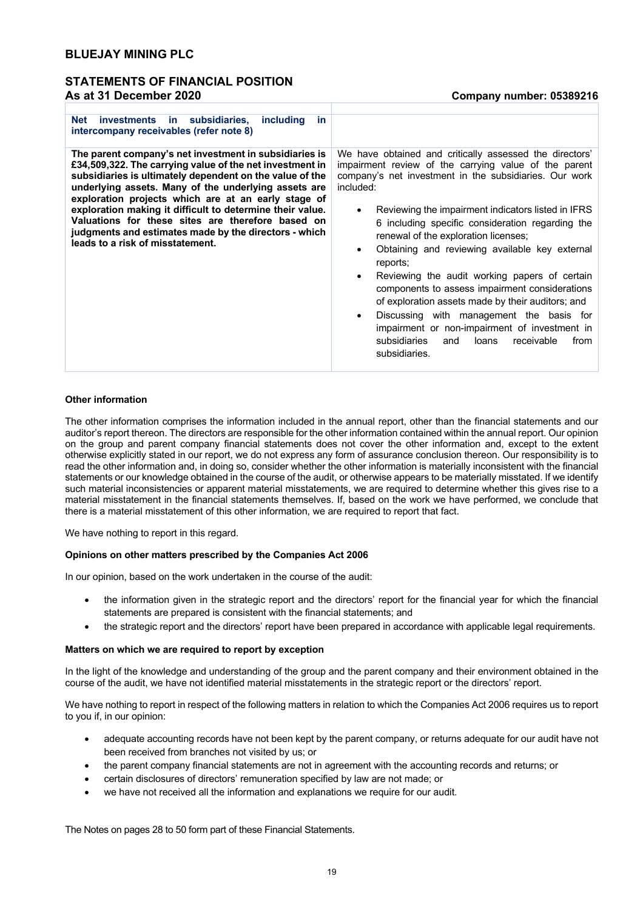## **STATEMENTS OF FINANCIAL POSITION As at 31 December 2020 Company number: 05389216**

| <b>Net</b><br>investments in subsidiaries,<br>including<br>in.<br>intercompany receivables (refer note 8)                                                                                                                                                                                                                                                                                                                                                                                                    |                                                                                                                                                                                                                                                                                                                                                                                                                                                                                                                                                                                                                                                                                                                                     |
|--------------------------------------------------------------------------------------------------------------------------------------------------------------------------------------------------------------------------------------------------------------------------------------------------------------------------------------------------------------------------------------------------------------------------------------------------------------------------------------------------------------|-------------------------------------------------------------------------------------------------------------------------------------------------------------------------------------------------------------------------------------------------------------------------------------------------------------------------------------------------------------------------------------------------------------------------------------------------------------------------------------------------------------------------------------------------------------------------------------------------------------------------------------------------------------------------------------------------------------------------------------|
| The parent company's net investment in subsidiaries is<br>£34,509,322. The carrying value of the net investment in<br>subsidiaries is ultimately dependent on the value of the<br>underlying assets. Many of the underlying assets are<br>exploration projects which are at an early stage of<br>exploration making it difficult to determine their value.<br>Valuations for these sites are therefore based on<br>judgments and estimates made by the directors - which<br>leads to a risk of misstatement. | We have obtained and critically assessed the directors'<br>impairment review of the carrying value of the parent<br>company's net investment in the subsidiaries. Our work<br>included:<br>Reviewing the impairment indicators listed in IFRS<br>6 including specific consideration regarding the<br>renewal of the exploration licenses;<br>Obtaining and reviewing available key external<br>reports;<br>Reviewing the audit working papers of certain<br>components to assess impairment considerations<br>of exploration assets made by their auditors; and<br>Discussing with management the basis for<br>impairment or non-impairment of investment in<br>subsidiaries<br>and<br>loans<br>receivable<br>from<br>subsidiaries. |

## **Other information**

The other information comprises the information included in the annual report, other than the financial statements and our auditor's report thereon. The directors are responsible for the other information contained within the annual report. Our opinion on the group and parent company financial statements does not cover the other information and, except to the extent otherwise explicitly stated in our report, we do not express any form of assurance conclusion thereon. Our responsibility is to read the other information and, in doing so, consider whether the other information is materially inconsistent with the financial statements or our knowledge obtained in the course of the audit, or otherwise appears to be materially misstated. If we identify such material inconsistencies or apparent material misstatements, we are required to determine whether this gives rise to a material misstatement in the financial statements themselves. If, based on the work we have performed, we conclude that there is a material misstatement of this other information, we are required to report that fact.

We have nothing to report in this regard.

### **Opinions on other matters prescribed by the Companies Act 2006**

In our opinion, based on the work undertaken in the course of the audit:

- the information given in the strategic report and the directors' report for the financial year for which the financial statements are prepared is consistent with the financial statements; and
- the strategic report and the directors' report have been prepared in accordance with applicable legal requirements.

#### **Matters on which we are required to report by exception**

In the light of the knowledge and understanding of the group and the parent company and their environment obtained in the course of the audit, we have not identified material misstatements in the strategic report or the directors' report.

We have nothing to report in respect of the following matters in relation to which the Companies Act 2006 requires us to report to you if, in our opinion:

- adequate accounting records have not been kept by the parent company, or returns adequate for our audit have not been received from branches not visited by us; or
- the parent company financial statements are not in agreement with the accounting records and returns; or
- certain disclosures of directors' remuneration specified by law are not made; or
- we have not received all the information and explanations we require for our audit.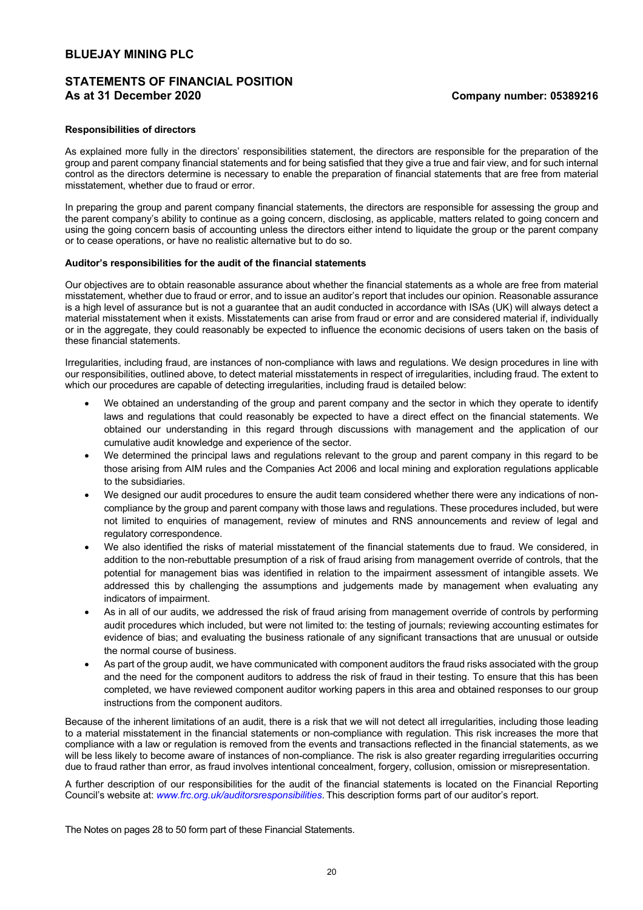# **STATEMENTS OF FINANCIAL POSITION As at 31 December 2020 Company number: 05389216**

#### **Responsibilities of directors**

As explained more fully in the directors' responsibilities statement, the directors are responsible for the preparation of the group and parent company financial statements and for being satisfied that they give a true and fair view, and for such internal control as the directors determine is necessary to enable the preparation of financial statements that are free from material misstatement, whether due to fraud or error.

In preparing the group and parent company financial statements, the directors are responsible for assessing the group and the parent company's ability to continue as a going concern, disclosing, as applicable, matters related to going concern and using the going concern basis of accounting unless the directors either intend to liquidate the group or the parent company or to cease operations, or have no realistic alternative but to do so.

#### **Auditor's responsibilities for the audit of the financial statements**

Our objectives are to obtain reasonable assurance about whether the financial statements as a whole are free from material misstatement, whether due to fraud or error, and to issue an auditor's report that includes our opinion. Reasonable assurance is a high level of assurance but is not a guarantee that an audit conducted in accordance with ISAs (UK) will always detect a material misstatement when it exists. Misstatements can arise from fraud or error and are considered material if, individually or in the aggregate, they could reasonably be expected to influence the economic decisions of users taken on the basis of these financial statements.

Irregularities, including fraud, are instances of non-compliance with laws and regulations. We design procedures in line with our responsibilities, outlined above, to detect material misstatements in respect of irregularities, including fraud. The extent to which our procedures are capable of detecting irregularities, including fraud is detailed below:

- We obtained an understanding of the group and parent company and the sector in which they operate to identify laws and regulations that could reasonably be expected to have a direct effect on the financial statements. We obtained our understanding in this regard through discussions with management and the application of our cumulative audit knowledge and experience of the sector.
- We determined the principal laws and regulations relevant to the group and parent company in this regard to be those arising from AIM rules and the Companies Act 2006 and local mining and exploration regulations applicable to the subsidiaries.
- We designed our audit procedures to ensure the audit team considered whether there were any indications of noncompliance by the group and parent company with those laws and regulations. These procedures included, but were not limited to enquiries of management, review of minutes and RNS announcements and review of legal and regulatory correspondence.
- We also identified the risks of material misstatement of the financial statements due to fraud. We considered, in addition to the non-rebuttable presumption of a risk of fraud arising from management override of controls, that the potential for management bias was identified in relation to the impairment assessment of intangible assets. We addressed this by challenging the assumptions and judgements made by management when evaluating any indicators of impairment.
- As in all of our audits, we addressed the risk of fraud arising from management override of controls by performing audit procedures which included, but were not limited to: the testing of journals; reviewing accounting estimates for evidence of bias; and evaluating the business rationale of any significant transactions that are unusual or outside the normal course of business.
- As part of the group audit, we have communicated with component auditors the fraud risks associated with the group and the need for the component auditors to address the risk of fraud in their testing. To ensure that this has been completed, we have reviewed component auditor working papers in this area and obtained responses to our group instructions from the component auditors.

Because of the inherent limitations of an audit, there is a risk that we will not detect all irregularities, including those leading to a material misstatement in the financial statements or non-compliance with regulation. This risk increases the more that compliance with a law or regulation is removed from the events and transactions reflected in the financial statements, as we will be less likely to become aware of instances of non-compliance. The risk is also greater regarding irregularities occurring due to fraud rather than error, as fraud involves intentional concealment, forgery, collusion, omission or misrepresentation.

A further description of our responsibilities for the audit of the financial statements is located on the Financial Reporting Council's website at: *www.frc.org.uk/auditorsresponsibilities*. This description forms part of our auditor's report.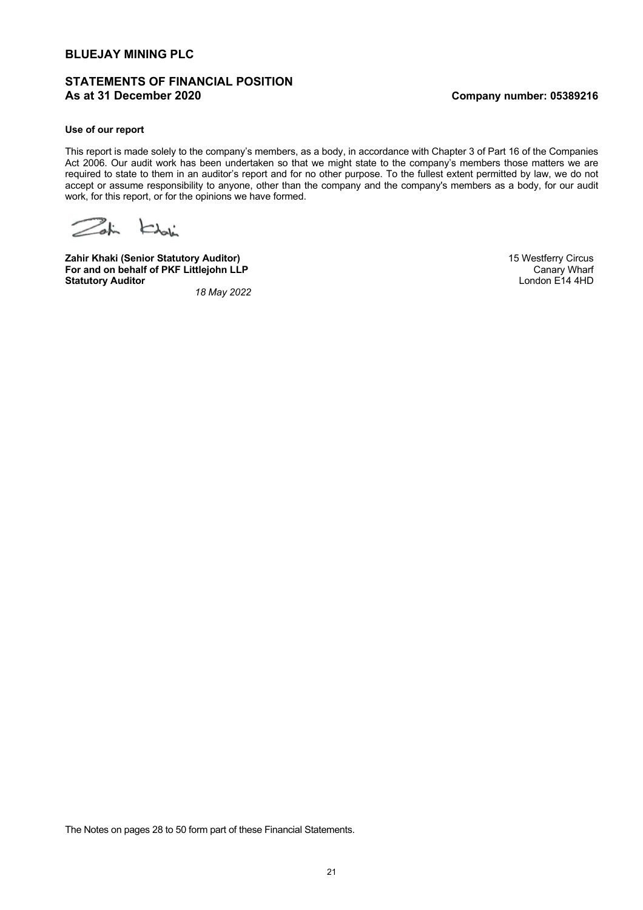# **STATEMENTS OF FINANCIAL POSITION As at 31 December 2020 Company number: 05389216**

## **Use of our report**

This report is made solely to the company's members, as a body, in accordance with Chapter 3 of Part 16 of the Companies Act 2006. Our audit work has been undertaken so that we might state to the company's members those matters we are required to state to them in an auditor's report and for no other purpose. To the fullest extent permitted by law, we do not accept or assume responsibility to anyone, other than the company and the company's members as a body, for our audit work, for this report, or for the opinions we have formed.

Zohn Kholin

**Zahir Khaki (Senior Statutory Auditor)** 15 Westferry Circus **For and on behalf of PKF Littlejohn LLP** Canary Wharf Canary Wharf Canary Wharf Canary Wharf Canary Wharf Canary Wharf Statutory Auditor **Statutory Auditor** 

 *18 May 2022*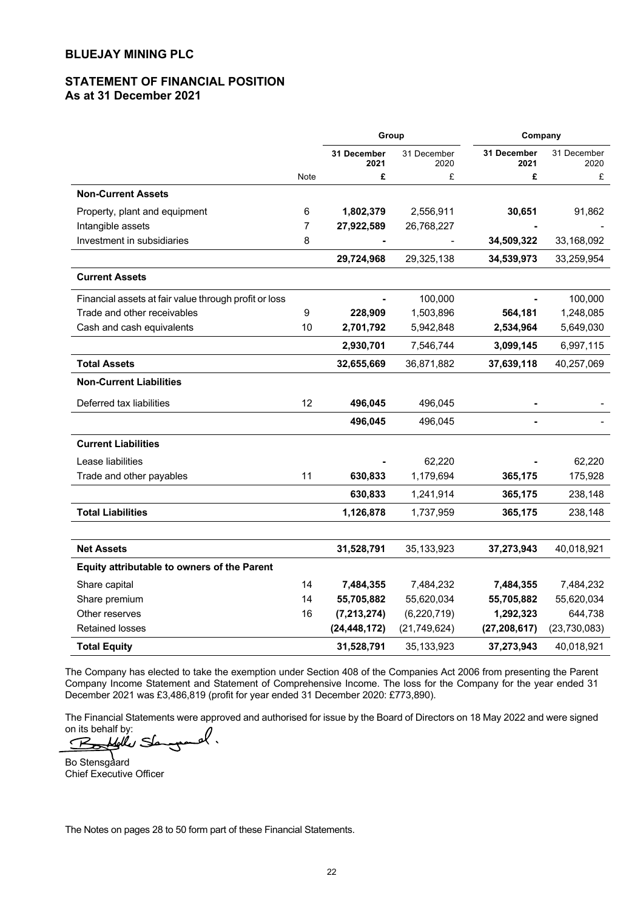# **STATEMENT OF FINANCIAL POSITION As at 31 December 2021**

|                                                       |                | Group               |                     |                     |                     | Company |  |
|-------------------------------------------------------|----------------|---------------------|---------------------|---------------------|---------------------|---------|--|
|                                                       |                | 31 December<br>2021 | 31 December<br>2020 | 31 December<br>2021 | 31 December<br>2020 |         |  |
|                                                       | Note           | £                   | £                   | £                   | £                   |         |  |
| <b>Non-Current Assets</b>                             |                |                     |                     |                     |                     |         |  |
| Property, plant and equipment                         | 6              | 1,802,379           | 2,556,911           | 30,651              | 91,862              |         |  |
| Intangible assets                                     | $\overline{7}$ | 27,922,589          | 26,768,227          |                     |                     |         |  |
| Investment in subsidiaries                            | 8              |                     |                     | 34,509,322          | 33,168,092          |         |  |
|                                                       |                | 29,724,968          | 29,325,138          | 34,539,973          | 33,259,954          |         |  |
| <b>Current Assets</b>                                 |                |                     |                     |                     |                     |         |  |
| Financial assets at fair value through profit or loss |                |                     | 100,000             |                     | 100,000             |         |  |
| Trade and other receivables                           | 9              | 228,909             | 1,503,896           | 564,181             | 1,248,085           |         |  |
| Cash and cash equivalents                             | 10             | 2,701,792           | 5,942,848           | 2,534,964           | 5,649,030           |         |  |
|                                                       |                | 2,930,701           | 7,546,744           | 3,099,145           | 6,997,115           |         |  |
| <b>Total Assets</b>                                   |                | 32,655,669          | 36,871,882          | 37,639,118          | 40,257,069          |         |  |
| <b>Non-Current Liabilities</b>                        |                |                     |                     |                     |                     |         |  |
| Deferred tax liabilities                              | 12             | 496,045             | 496,045             |                     |                     |         |  |
|                                                       |                | 496,045             | 496,045             |                     |                     |         |  |
| <b>Current Liabilities</b>                            |                |                     |                     |                     |                     |         |  |
| Lease liabilities                                     |                |                     | 62,220              |                     | 62,220              |         |  |
| Trade and other payables                              | 11             | 630,833             | 1,179,694           | 365,175             | 175,928             |         |  |
|                                                       |                | 630,833             | 1,241,914           | 365,175             | 238,148             |         |  |
| <b>Total Liabilities</b>                              |                | 1,126,878           | 1,737,959           | 365,175             | 238,148             |         |  |
|                                                       |                |                     |                     |                     |                     |         |  |
| <b>Net Assets</b>                                     |                | 31,528,791          | 35, 133, 923        | 37,273,943          | 40,018,921          |         |  |
| Equity attributable to owners of the Parent           |                |                     |                     |                     |                     |         |  |
| Share capital                                         | 14             | 7,484,355           | 7,484,232           | 7,484,355           | 7,484,232           |         |  |
| Share premium                                         | 14             | 55,705,882          | 55,620,034          | 55,705,882          | 55,620,034          |         |  |
| Other reserves                                        | 16             | (7, 213, 274)       | (6, 220, 719)       | 1,292,323           | 644,738             |         |  |
| <b>Retained losses</b>                                |                | (24, 448, 172)      | (21, 749, 624)      | (27, 208, 617)      | (23, 730, 083)      |         |  |
| <b>Total Equity</b>                                   |                | 31,528,791          | 35,133,923          | 37,273,943          | 40,018,921          |         |  |

The Company has elected to take the exemption under Section 408 of the Companies Act 2006 from presenting the Parent Company Income Statement and Statement of Comprehensive Income. The loss for the Company for the year ended 31 December 2021 was £3,486,819 (profit for year ended 31 December 2020: £773,890).

The Financial Statements were approved and authorised for issue by the Board of Directors on 18 May 2022 and were signed

on its behalf by:<br>Builder Slampond.

Bo Stensgaard Chief Executive Officer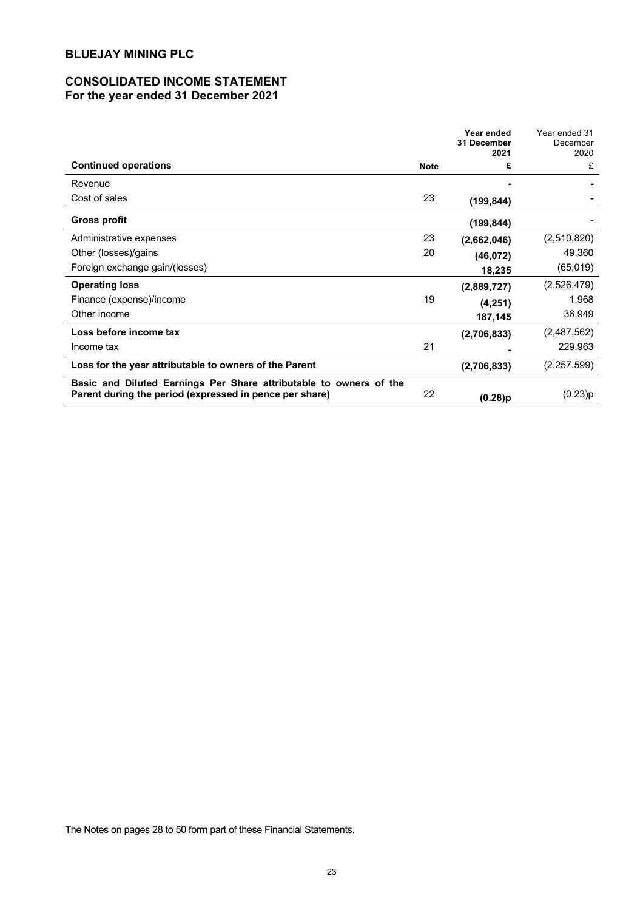# **CONSOLIDATED INCOME STATEMENT For the year ended 31 December 2021**

|                                                                                                                               |             | Year ended<br>31 December<br>2021 | Year ended 31<br>December<br>2020 |
|-------------------------------------------------------------------------------------------------------------------------------|-------------|-----------------------------------|-----------------------------------|
| <b>Continued operations</b>                                                                                                   | <b>Note</b> | £                                 | £                                 |
| Revenue                                                                                                                       |             |                                   |                                   |
| Cost of sales                                                                                                                 | 23          | (199,844)                         |                                   |
| <b>Gross profit</b>                                                                                                           |             | (199.844)                         |                                   |
| Administrative expenses                                                                                                       | 23          | (2,662,046)                       | (2,510,820)                       |
| Other (losses)/gains                                                                                                          | 20          | (46, 072)                         | 49,360                            |
| Foreign exchange gain/(losses)                                                                                                |             | 18,235                            | (65, 019)                         |
| <b>Operating loss</b>                                                                                                         |             | (2,889,727)                       | (2,526,479)                       |
| Finance (expense)/income                                                                                                      | 19          | (4,251)                           | 1,968                             |
| Other income                                                                                                                  |             | 187,145                           | 36,949                            |
| Loss before income tax                                                                                                        |             | (2,706,833)                       | (2,487,562)                       |
| Income tax                                                                                                                    | 21          |                                   | 229,963                           |
| Loss for the year attributable to owners of the Parent                                                                        |             | (2,706,833)                       | (2, 257, 599)                     |
| Basic and Diluted Earnings Per Share attributable to owners of the<br>Parent during the period (expressed in pence per share) | 22          | (0.28)p                           | (0.23)p                           |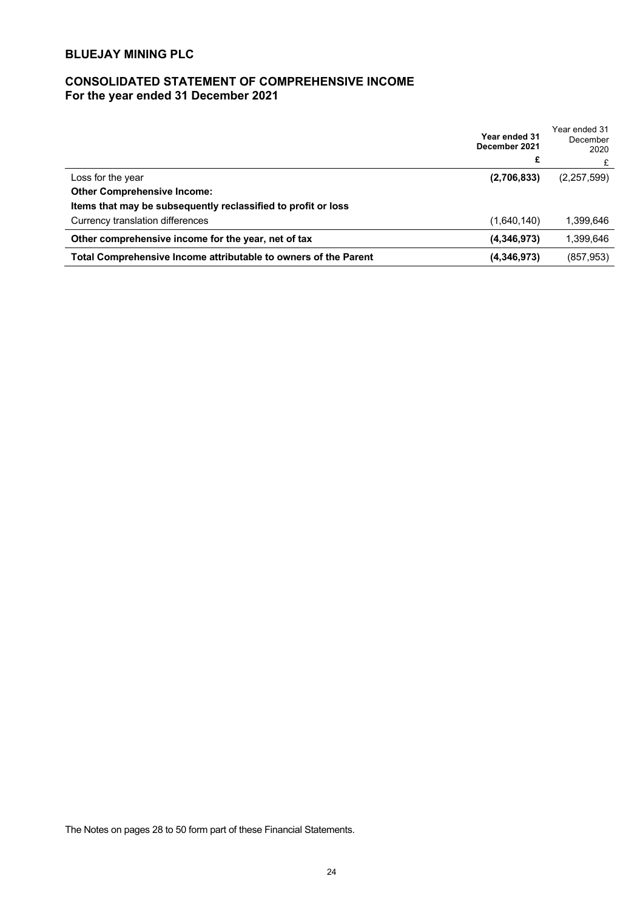# **CONSOLIDATED STATEMENT OF COMPREHENSIVE INCOME For the year ended 31 December 2021**

|                                                                 | Year ended 31<br>December 2021<br>£ | Year ended 31<br>December<br>2020 |
|-----------------------------------------------------------------|-------------------------------------|-----------------------------------|
|                                                                 |                                     |                                   |
| Loss for the year                                               | (2,706,833)                         | (2,257,599)                       |
| <b>Other Comprehensive Income:</b>                              |                                     |                                   |
| Items that may be subsequently reclassified to profit or loss   |                                     |                                   |
| Currency translation differences                                | (1,640,140)                         | 1.399.646                         |
| Other comprehensive income for the year, net of tax             | (4,346,973)                         | 1.399.646                         |
| Total Comprehensive Income attributable to owners of the Parent | (4,346,973)                         | (857,953)                         |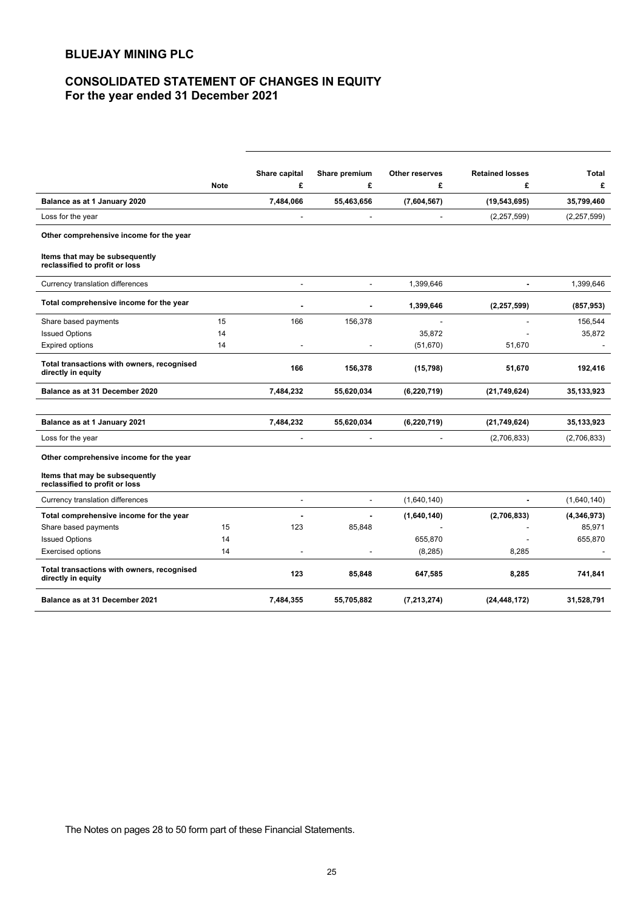# **CONSOLIDATED STATEMENT OF CHANGES IN EQUITY For the year ended 31 December 2021**

|                                                                  |             | Share capital            | Share premium            | Other reserves | <b>Retained losses</b> | Total         |
|------------------------------------------------------------------|-------------|--------------------------|--------------------------|----------------|------------------------|---------------|
|                                                                  | <b>Note</b> | £                        | £                        | £              | £                      | £             |
| Balance as at 1 January 2020                                     |             | 7,484,066                | 55,463,656               | (7,604,567)    | (19, 543, 695)         | 35,799,460    |
| Loss for the year                                                |             |                          |                          |                | (2, 257, 599)          | (2, 257, 599) |
| Other comprehensive income for the year                          |             |                          |                          |                |                        |               |
| Items that may be subsequently<br>reclassified to profit or loss |             |                          |                          |                |                        |               |
| Currency translation differences                                 |             |                          |                          | 1,399,646      |                        | 1,399,646     |
| Total comprehensive income for the year                          |             |                          |                          | 1,399,646      | (2, 257, 599)          | (857, 953)    |
| Share based payments                                             | 15          | 166                      | 156,378                  |                |                        | 156,544       |
| <b>Issued Options</b>                                            | 14          |                          |                          | 35,872         |                        | 35,872        |
| <b>Expired options</b>                                           | 14          |                          |                          | (51, 670)      | 51,670                 |               |
| Total transactions with owners, recognised<br>directly in equity |             | 166                      | 156,378                  | (15, 798)      | 51,670                 | 192,416       |
| Balance as at 31 December 2020                                   |             | 7,484,232                | 55,620,034               | (6, 220, 719)  | (21, 749, 624)         | 35,133,923    |
|                                                                  |             |                          |                          |                |                        |               |
| Balance as at 1 January 2021                                     |             | 7,484,232                | 55,620,034               | (6, 220, 719)  | (21,749,624)           | 35,133,923    |
| Loss for the year                                                |             | ÷,                       | $\overline{a}$           | $\blacksquare$ | (2,706,833)            | (2,706,833)   |
| Other comprehensive income for the year                          |             |                          |                          |                |                        |               |
| Items that may be subsequently<br>reclassified to profit or loss |             |                          |                          |                |                        |               |
| Currency translation differences                                 |             | $\overline{\phantom{a}}$ | $\overline{\phantom{a}}$ | (1,640,140)    | $\blacksquare$         | (1,640,140)   |
| Total comprehensive income for the year                          |             |                          |                          | (1,640,140)    | (2,706,833)            | (4,346,973)   |
| Share based payments                                             | 15          | 123                      | 85,848                   |                |                        | 85,971        |
| <b>Issued Options</b>                                            | 14          |                          |                          | 655,870        |                        | 655,870       |
| <b>Exercised options</b>                                         | 14          |                          |                          | (8, 285)       | 8,285                  |               |
| Total transactions with owners, recognised<br>directly in equity |             | 123                      | 85,848                   | 647,585        | 8,285                  | 741,841       |
| Balance as at 31 December 2021                                   |             | 7,484,355                | 55,705,882               | (7, 213, 274)  | (24, 448, 172)         | 31,528,791    |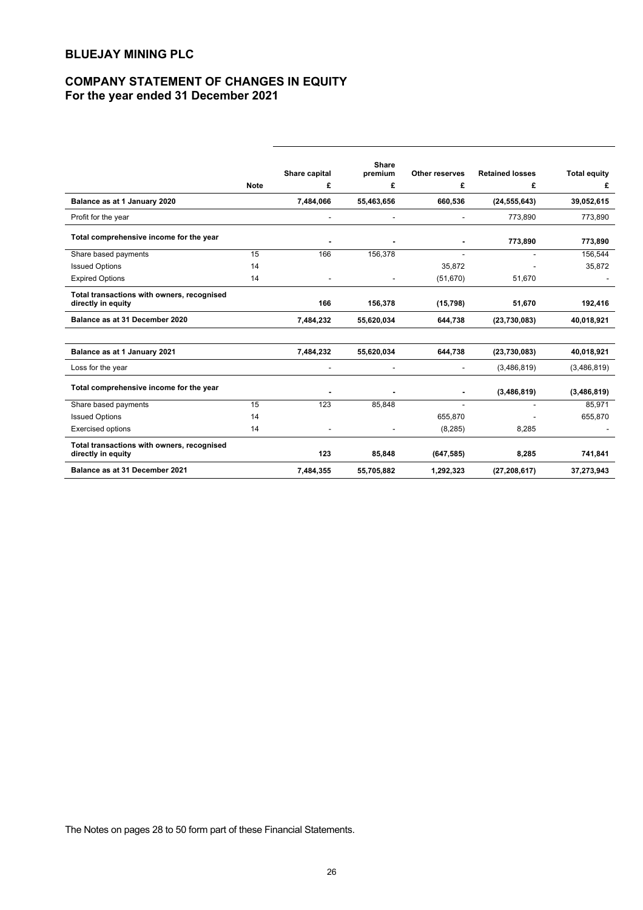# **COMPANY STATEMENT OF CHANGES IN EQUITY For the year ended 31 December 2021**

|                                                                  |             | Share capital  | <b>Share</b><br>premium | Other reserves | <b>Retained losses</b> | <b>Total equity</b> |
|------------------------------------------------------------------|-------------|----------------|-------------------------|----------------|------------------------|---------------------|
|                                                                  | <b>Note</b> | £              | £                       | £              | £                      | £                   |
| Balance as at 1 January 2020                                     |             | 7,484,066      | 55,463,656              | 660,536        | (24, 555, 643)         | 39,052,615          |
| Profit for the year                                              |             |                |                         |                | 773,890                | 773,890             |
| Total comprehensive income for the year                          |             |                |                         |                | 773,890                | 773,890             |
| Share based payments                                             | 15          | 166            | 156,378                 | ÷              |                        | 156,544             |
| <b>Issued Options</b>                                            | 14          |                |                         | 35,872         |                        | 35,872              |
| <b>Expired Options</b>                                           | 14          |                |                         | (51, 670)      | 51,670                 |                     |
| Total transactions with owners, recognised<br>directly in equity |             | 166            | 156,378                 | (15, 798)      | 51,670                 | 192,416             |
| Balance as at 31 December 2020                                   |             | 7,484,232      | 55,620,034              | 644,738        | (23,730,083)           | 40,018,921          |
| Balance as at 1 January 2021                                     |             | 7,484,232      | 55,620,034              | 644,738        | (23,730,083)           | 40,018,921          |
| Loss for the year                                                |             |                |                         |                | (3,486,819)            | (3,486,819)         |
| Total comprehensive income for the year                          |             |                | $\blacksquare$          | $\blacksquare$ | (3,486,819)            | (3,486,819)         |
| Share based payments                                             | 15          | 123            | 85,848                  |                |                        | 85,971              |
| <b>Issued Options</b>                                            | 14          |                |                         | 655,870        |                        | 655,870             |
| <b>Exercised options</b>                                         | 14          | $\overline{a}$ |                         | (8, 285)       | 8,285                  |                     |
| Total transactions with owners, recognised<br>directly in equity |             | 123            | 85,848                  | (647, 585)     | 8,285                  | 741,841             |
| Balance as at 31 December 2021                                   |             | 7,484,355      | 55,705,882              | 1,292,323      | (27, 208, 617)         | 37,273,943          |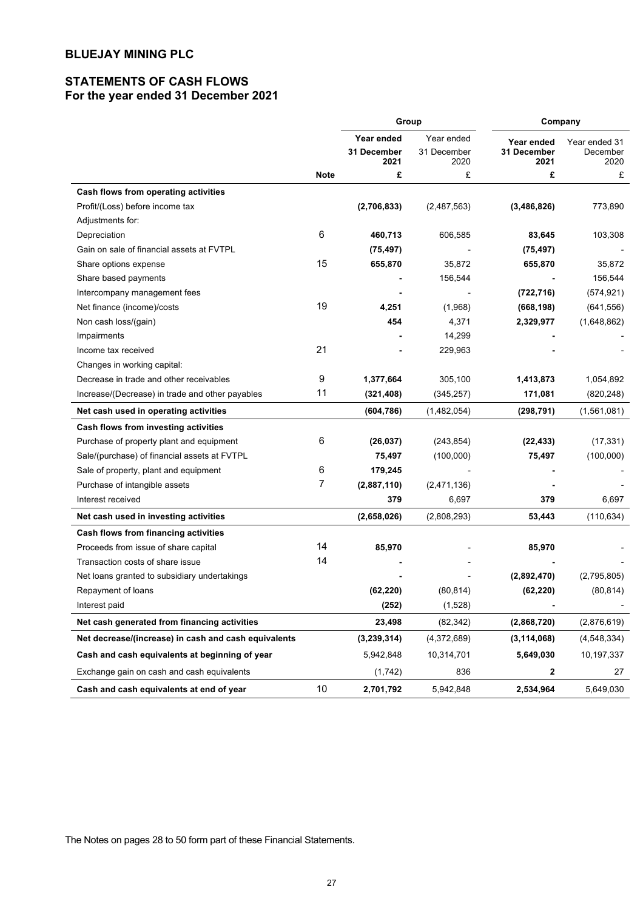# **STATEMENTS OF CASH FLOWS For the year ended 31 December 2021**

|                                                      |                | Group                            |                           | Company                   |                           |  |
|------------------------------------------------------|----------------|----------------------------------|---------------------------|---------------------------|---------------------------|--|
|                                                      |                | Year ended<br><b>31 December</b> | Year ended<br>31 December | Year ended<br>31 December | Year ended 31<br>December |  |
|                                                      | <b>Note</b>    | 2021<br>£                        | 2020<br>£                 | 2021<br>£                 | 2020<br>£                 |  |
|                                                      |                |                                  |                           |                           |                           |  |
| Cash flows from operating activities                 |                |                                  |                           |                           |                           |  |
| Profit/(Loss) before income tax                      |                | (2,706,833)                      | (2,487,563)               | (3,486,826)               | 773,890                   |  |
| Adjustments for:                                     |                |                                  |                           |                           |                           |  |
| Depreciation                                         | 6              | 460,713                          | 606,585                   | 83,645                    | 103,308                   |  |
| Gain on sale of financial assets at FVTPL            |                | (75, 497)                        |                           | (75, 497)                 |                           |  |
| Share options expense                                | 15             | 655,870                          | 35,872                    | 655,870                   | 35,872                    |  |
| Share based payments                                 |                |                                  | 156,544                   |                           | 156,544                   |  |
| Intercompany management fees                         |                |                                  |                           | (722, 716)                | (574, 921)                |  |
| Net finance (income)/costs                           | 19             | 4,251                            | (1,968)                   | (668, 198)                | (641, 556)                |  |
| Non cash loss/(gain)                                 |                | 454                              | 4,371                     | 2,329,977                 | (1,648,862)               |  |
| Impairments                                          |                |                                  | 14,299                    |                           |                           |  |
| Income tax received                                  | 21             |                                  | 229,963                   |                           |                           |  |
| Changes in working capital:                          |                |                                  |                           |                           |                           |  |
| Decrease in trade and other receivables              | 9              | 1,377,664                        | 305,100                   | 1,413,873                 | 1,054,892                 |  |
| Increase/(Decrease) in trade and other payables      | 11             | (321, 408)                       | (345, 257)                | 171,081                   | (820, 248)                |  |
| Net cash used in operating activities                |                | (604, 786)                       | (1,482,054)               | (298, 791)                | (1,561,081)               |  |
| Cash flows from investing activities                 |                |                                  |                           |                           |                           |  |
| Purchase of property plant and equipment             | 6              | (26, 037)                        | (243, 854)                | (22, 433)                 | (17, 331)                 |  |
| Sale/(purchase) of financial assets at FVTPL         |                | 75,497                           | (100,000)                 | 75,497                    | (100,000)                 |  |
| Sale of property, plant and equipment                | 6              | 179,245                          |                           |                           |                           |  |
| Purchase of intangible assets                        | $\overline{7}$ | (2,887,110)                      | (2,471,136)               |                           |                           |  |
| Interest received                                    |                | 379                              | 6,697                     | 379                       | 6,697                     |  |
| Net cash used in investing activities                |                | (2,658,026)                      | (2,808,293)               | 53,443                    | (110, 634)                |  |
| Cash flows from financing activities                 |                |                                  |                           |                           |                           |  |
| Proceeds from issue of share capital                 | 14             | 85,970                           |                           | 85,970                    |                           |  |
| Transaction costs of share issue                     | 14             |                                  |                           |                           |                           |  |
| Net loans granted to subsidiary undertakings         |                |                                  |                           | (2,892,470)               | (2,795,805)               |  |
| Repayment of loans                                   |                | (62, 220)                        | (80, 814)                 | (62, 220)                 | (80, 814)                 |  |
| Interest paid                                        |                | (252)                            | (1,528)                   | ٠                         |                           |  |
| Net cash generated from financing activities         |                | 23,498                           | (82, 342)                 | (2,868,720)               | (2,876,619)               |  |
| Net decrease/(increase) in cash and cash equivalents |                | (3,239,314)                      | (4,372,689)               | (3, 114, 068)             | (4,548,334)               |  |
| Cash and cash equivalents at beginning of year       |                | 5,942,848                        | 10,314,701                | 5,649,030                 | 10,197,337                |  |
| Exchange gain on cash and cash equivalents           |                | (1,742)                          | 836                       | 2                         | 27                        |  |
| Cash and cash equivalents at end of year             | 10             | 2,701,792                        | 5,942,848                 | 2,534,964                 | 5,649,030                 |  |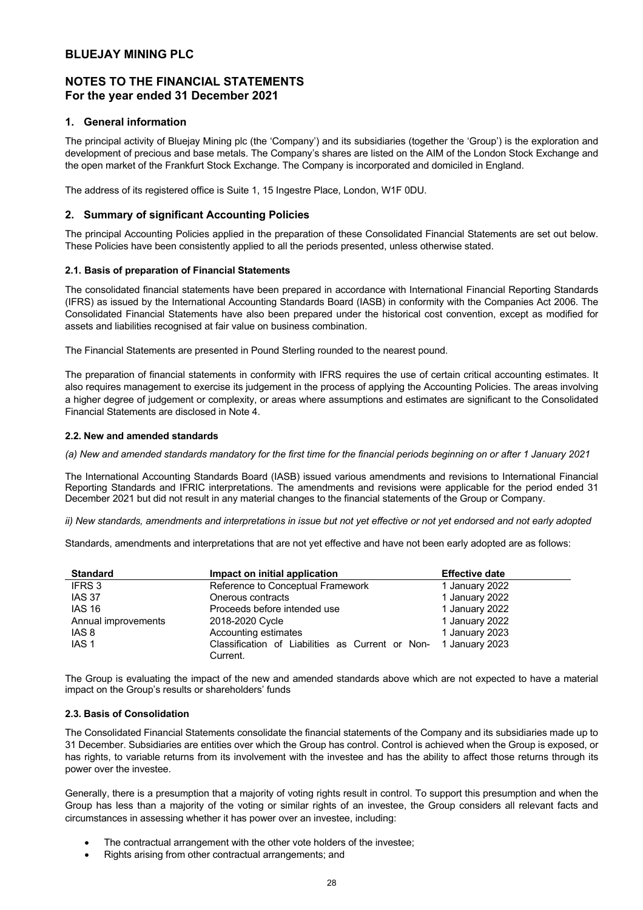# **NOTES TO THE FINANCIAL STATEMENTS For the year ended 31 December 2021**

## **1. General information**

The principal activity of Bluejay Mining plc (the 'Company') and its subsidiaries (together the 'Group') is the exploration and development of precious and base metals. The Company's shares are listed on the AIM of the London Stock Exchange and the open market of the Frankfurt Stock Exchange. The Company is incorporated and domiciled in England.

The address of its registered office is Suite 1, 15 Ingestre Place, London, W1F 0DU.

## **2. Summary of significant Accounting Policies**

The principal Accounting Policies applied in the preparation of these Consolidated Financial Statements are set out below. These Policies have been consistently applied to all the periods presented, unless otherwise stated.

## **2.1. Basis of preparation of Financial Statements**

The consolidated financial statements have been prepared in accordance with International Financial Reporting Standards (IFRS) as issued by the International Accounting Standards Board (IASB) in conformity with the Companies Act 2006. The Consolidated Financial Statements have also been prepared under the historical cost convention, except as modified for assets and liabilities recognised at fair value on business combination.

The Financial Statements are presented in Pound Sterling rounded to the nearest pound.

The preparation of financial statements in conformity with IFRS requires the use of certain critical accounting estimates. It also requires management to exercise its judgement in the process of applying the Accounting Policies. The areas involving a higher degree of judgement or complexity, or areas where assumptions and estimates are significant to the Consolidated Financial Statements are disclosed in Note 4.

## **2.2. New and amended standards**

*(a) New and amended standards mandatory for the first time for the financial periods beginning on or after 1 January 2021*

The International Accounting Standards Board (IASB) issued various amendments and revisions to International Financial Reporting Standards and IFRIC interpretations. The amendments and revisions were applicable for the period ended 31 December 2021 but did not result in any material changes to the financial statements of the Group or Company.

*ii) New standards, amendments and interpretations in issue but not yet effective or not yet endorsed and not early adopted*

Standards, amendments and interpretations that are not yet effective and have not been early adopted are as follows:

| <b>Standard</b>     | Impact on initial application                    | <b>Effective date</b> |
|---------------------|--------------------------------------------------|-----------------------|
| IFRS 3              | Reference to Conceptual Framework                | 1 January 2022        |
| <b>IAS 37</b>       | Onerous contracts                                | 1 January 2022        |
| <b>IAS 16</b>       | Proceeds before intended use                     | 1 January 2022        |
| Annual improvements | 2018-2020 Cycle                                  | 1 January 2022        |
| IAS 8               | Accounting estimates                             | 1 January 2023        |
| IAS 1               | Classification of Liabilities as Current or Non- | 1 January 2023        |
|                     | Current.                                         |                       |

The Group is evaluating the impact of the new and amended standards above which are not expected to have a material impact on the Group's results or shareholders' funds

## **2.3. Basis of Consolidation**

The Consolidated Financial Statements consolidate the financial statements of the Company and its subsidiaries made up to 31 December. Subsidiaries are entities over which the Group has control. Control is achieved when the Group is exposed, or has rights, to variable returns from its involvement with the investee and has the ability to affect those returns through its power over the investee.

Generally, there is a presumption that a majority of voting rights result in control. To support this presumption and when the Group has less than a majority of the voting or similar rights of an investee, the Group considers all relevant facts and circumstances in assessing whether it has power over an investee, including:

- The contractual arrangement with the other vote holders of the investee;
- Rights arising from other contractual arrangements; and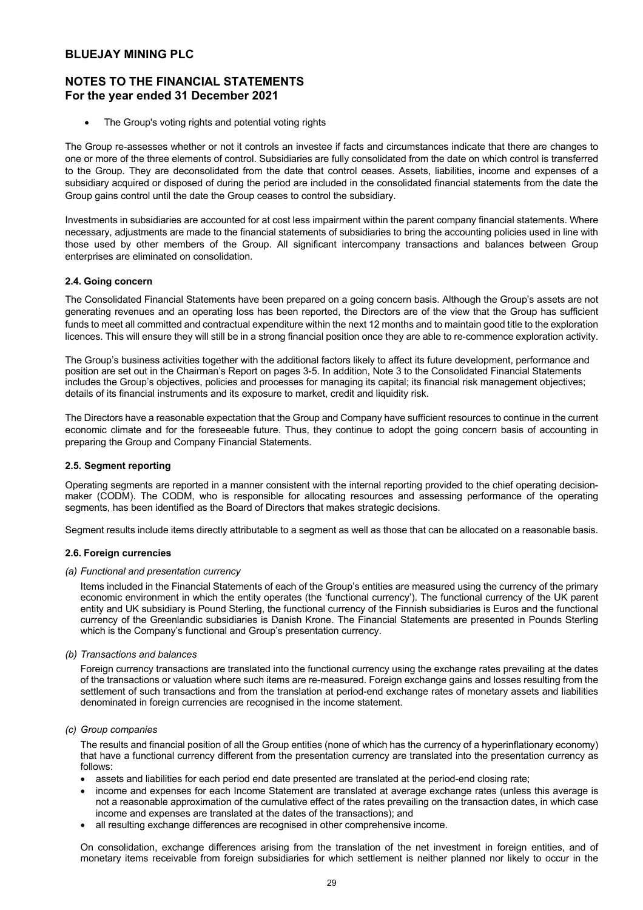# **NOTES TO THE FINANCIAL STATEMENTS For the year ended 31 December 2021**

The Group's voting rights and potential voting rights

The Group re-assesses whether or not it controls an investee if facts and circumstances indicate that there are changes to one or more of the three elements of control. Subsidiaries are fully consolidated from the date on which control is transferred to the Group. They are deconsolidated from the date that control ceases. Assets, liabilities, income and expenses of a subsidiary acquired or disposed of during the period are included in the consolidated financial statements from the date the Group gains control until the date the Group ceases to control the subsidiary.

Investments in subsidiaries are accounted for at cost less impairment within the parent company financial statements. Where necessary, adjustments are made to the financial statements of subsidiaries to bring the accounting policies used in line with those used by other members of the Group. All significant intercompany transactions and balances between Group enterprises are eliminated on consolidation.

## **2.4. Going concern**

The Consolidated Financial Statements have been prepared on a going concern basis. Although the Group's assets are not generating revenues and an operating loss has been reported, the Directors are of the view that the Group has sufficient funds to meet all committed and contractual expenditure within the next 12 months and to maintain good title to the exploration licences. This will ensure they will still be in a strong financial position once they are able to re-commence exploration activity.

The Group's business activities together with the additional factors likely to affect its future development, performance and position are set out in the Chairman's Report on pages 3-5. In addition, Note 3 to the Consolidated Financial Statements includes the Group's objectives, policies and processes for managing its capital; its financial risk management objectives; details of its financial instruments and its exposure to market, credit and liquidity risk.

The Directors have a reasonable expectation that the Group and Company have sufficient resources to continue in the current economic climate and for the foreseeable future. Thus, they continue to adopt the going concern basis of accounting in preparing the Group and Company Financial Statements.

## **2.5. Segment reporting**

Operating segments are reported in a manner consistent with the internal reporting provided to the chief operating decisionmaker (CODM). The CODM, who is responsible for allocating resources and assessing performance of the operating segments, has been identified as the Board of Directors that makes strategic decisions.

Segment results include items directly attributable to a segment as well as those that can be allocated on a reasonable basis.

### **2.6. Foreign currencies**

### *(a) Functional and presentation currency*

Items included in the Financial Statements of each of the Group's entities are measured using the currency of the primary economic environment in which the entity operates (the 'functional currency'). The functional currency of the UK parent entity and UK subsidiary is Pound Sterling, the functional currency of the Finnish subsidiaries is Euros and the functional currency of the Greenlandic subsidiaries is Danish Krone. The Financial Statements are presented in Pounds Sterling which is the Company's functional and Group's presentation currency.

### *(b) Transactions and balances*

Foreign currency transactions are translated into the functional currency using the exchange rates prevailing at the dates of the transactions or valuation where such items are re-measured. Foreign exchange gains and losses resulting from the settlement of such transactions and from the translation at period-end exchange rates of monetary assets and liabilities denominated in foreign currencies are recognised in the income statement.

### *(c) Group companies*

The results and financial position of all the Group entities (none of which has the currency of a hyperinflationary economy) that have a functional currency different from the presentation currency are translated into the presentation currency as follows:

- assets and liabilities for each period end date presented are translated at the period-end closing rate;
- income and expenses for each Income Statement are translated at average exchange rates (unless this average is not a reasonable approximation of the cumulative effect of the rates prevailing on the transaction dates, in which case income and expenses are translated at the dates of the transactions); and
- all resulting exchange differences are recognised in other comprehensive income.

On consolidation, exchange differences arising from the translation of the net investment in foreign entities, and of monetary items receivable from foreign subsidiaries for which settlement is neither planned nor likely to occur in the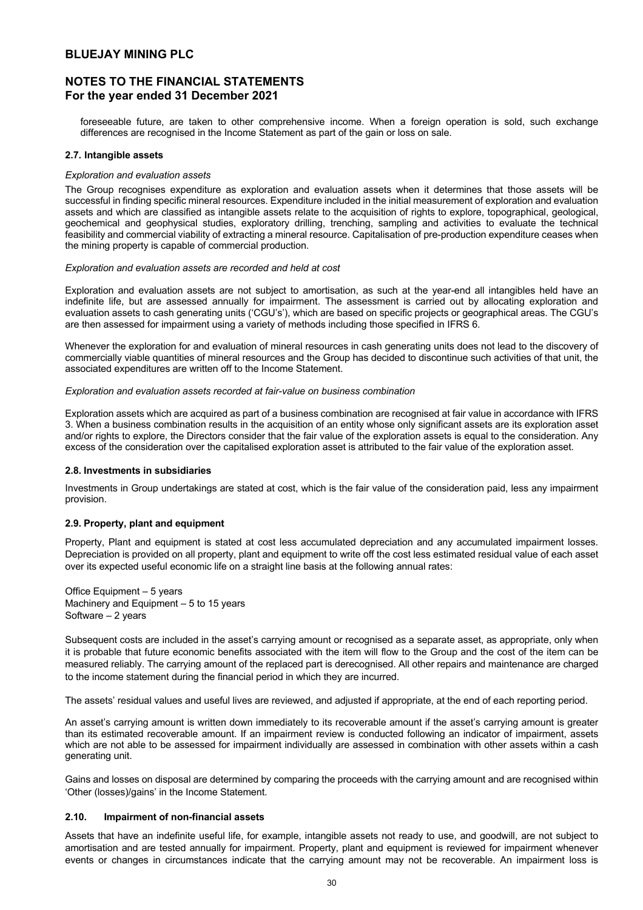# **NOTES TO THE FINANCIAL STATEMENTS For the year ended 31 December 2021**

foreseeable future, are taken to other comprehensive income. When a foreign operation is sold, such exchange differences are recognised in the Income Statement as part of the gain or loss on sale.

## **2.7. Intangible assets**

## *Exploration and evaluation assets*

The Group recognises expenditure as exploration and evaluation assets when it determines that those assets will be successful in finding specific mineral resources. Expenditure included in the initial measurement of exploration and evaluation assets and which are classified as intangible assets relate to the acquisition of rights to explore, topographical, geological, geochemical and geophysical studies, exploratory drilling, trenching, sampling and activities to evaluate the technical feasibility and commercial viability of extracting a mineral resource. Capitalisation of pre-production expenditure ceases when the mining property is capable of commercial production.

### *Exploration and evaluation assets are recorded and held at cost*

Exploration and evaluation assets are not subject to amortisation, as such at the year-end all intangibles held have an indefinite life, but are assessed annually for impairment. The assessment is carried out by allocating exploration and evaluation assets to cash generating units ('CGU's'), which are based on specific projects or geographical areas. The CGU's are then assessed for impairment using a variety of methods including those specified in IFRS 6.

Whenever the exploration for and evaluation of mineral resources in cash generating units does not lead to the discovery of commercially viable quantities of mineral resources and the Group has decided to discontinue such activities of that unit, the associated expenditures are written off to the Income Statement.

### *Exploration and evaluation assets recorded at fair-value on business combination*

Exploration assets which are acquired as part of a business combination are recognised at fair value in accordance with IFRS 3. When a business combination results in the acquisition of an entity whose only significant assets are its exploration asset and/or rights to explore, the Directors consider that the fair value of the exploration assets is equal to the consideration. Any excess of the consideration over the capitalised exploration asset is attributed to the fair value of the exploration asset.

## **2.8. Investments in subsidiaries**

Investments in Group undertakings are stated at cost, which is the fair value of the consideration paid, less any impairment provision.

## **2.9. Property, plant and equipment**

Property, Plant and equipment is stated at cost less accumulated depreciation and any accumulated impairment losses. Depreciation is provided on all property, plant and equipment to write off the cost less estimated residual value of each asset over its expected useful economic life on a straight line basis at the following annual rates:

Office Equipment – 5 years Machinery and Equipment – 5 to 15 years Software – 2 years

Subsequent costs are included in the asset's carrying amount or recognised as a separate asset, as appropriate, only when it is probable that future economic benefits associated with the item will flow to the Group and the cost of the item can be measured reliably. The carrying amount of the replaced part is derecognised. All other repairs and maintenance are charged to the income statement during the financial period in which they are incurred.

The assets' residual values and useful lives are reviewed, and adjusted if appropriate, at the end of each reporting period.

An asset's carrying amount is written down immediately to its recoverable amount if the asset's carrying amount is greater than its estimated recoverable amount. If an impairment review is conducted following an indicator of impairment, assets which are not able to be assessed for impairment individually are assessed in combination with other assets within a cash generating unit.

Gains and losses on disposal are determined by comparing the proceeds with the carrying amount and are recognised within 'Other (losses)/gains' in the Income Statement.

## **2.10. Impairment of non-financial assets**

Assets that have an indefinite useful life, for example, intangible assets not ready to use, and goodwill, are not subject to amortisation and are tested annually for impairment. Property, plant and equipment is reviewed for impairment whenever events or changes in circumstances indicate that the carrying amount may not be recoverable. An impairment loss is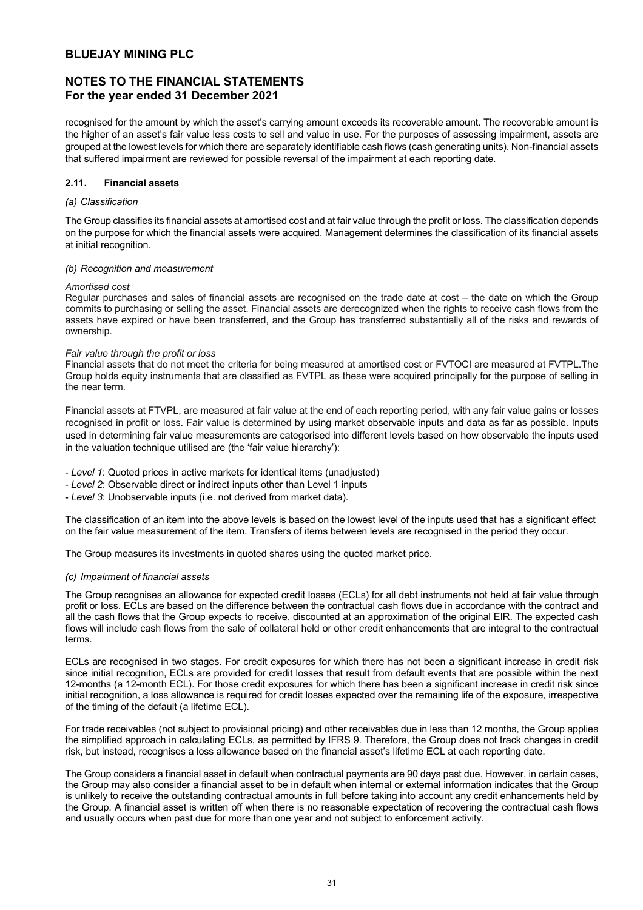# **NOTES TO THE FINANCIAL STATEMENTS For the year ended 31 December 2021**

recognised for the amount by which the asset's carrying amount exceeds its recoverable amount. The recoverable amount is the higher of an asset's fair value less costs to sell and value in use. For the purposes of assessing impairment, assets are grouped at the lowest levels for which there are separately identifiable cash flows (cash generating units). Non-financial assets that suffered impairment are reviewed for possible reversal of the impairment at each reporting date.

## **2.11. Financial assets**

## *(a) Classification*

The Group classifies its financial assets at amortised cost and at fair value through the profit or loss. The classification depends on the purpose for which the financial assets were acquired. Management determines the classification of its financial assets at initial recognition.

## *(b) Recognition and measurement*

### *Amortised cost*

Regular purchases and sales of financial assets are recognised on the trade date at cost – the date on which the Group commits to purchasing or selling the asset. Financial assets are derecognized when the rights to receive cash flows from the assets have expired or have been transferred, and the Group has transferred substantially all of the risks and rewards of ownership.

## *Fair value through the profit or loss*

Financial assets that do not meet the criteria for being measured at amortised cost or FVTOCI are measured at FVTPL.The Group holds equity instruments that are classified as FVTPL as these were acquired principally for the purpose of selling in the near term.

Financial assets at FTVPL, are measured at fair value at the end of each reporting period, with any fair value gains or losses recognised in profit or loss. Fair value is determined by using market observable inputs and data as far as possible. Inputs used in determining fair value measurements are categorised into different levels based on how observable the inputs used in the valuation technique utilised are (the 'fair value hierarchy'):

- *Level 1*: Quoted prices in active markets for identical items (unadjusted)
- *Level 2*: Observable direct or indirect inputs other than Level 1 inputs
- *Level 3*: Unobservable inputs (i.e. not derived from market data).

The classification of an item into the above levels is based on the lowest level of the inputs used that has a significant effect on the fair value measurement of the item. Transfers of items between levels are recognised in the period they occur.

The Group measures its investments in quoted shares using the quoted market price.

## *(c) Impairment of financial assets*

The Group recognises an allowance for expected credit losses (ECLs) for all debt instruments not held at fair value through profit or loss. ECLs are based on the difference between the contractual cash flows due in accordance with the contract and all the cash flows that the Group expects to receive, discounted at an approximation of the original EIR. The expected cash flows will include cash flows from the sale of collateral held or other credit enhancements that are integral to the contractual terms.

ECLs are recognised in two stages. For credit exposures for which there has not been a significant increase in credit risk since initial recognition, ECLs are provided for credit losses that result from default events that are possible within the next 12-months (a 12-month ECL). For those credit exposures for which there has been a significant increase in credit risk since initial recognition, a loss allowance is required for credit losses expected over the remaining life of the exposure, irrespective of the timing of the default (a lifetime ECL).

For trade receivables (not subject to provisional pricing) and other receivables due in less than 12 months, the Group applies the simplified approach in calculating ECLs, as permitted by IFRS 9. Therefore, the Group does not track changes in credit risk, but instead, recognises a loss allowance based on the financial asset's lifetime ECL at each reporting date.

The Group considers a financial asset in default when contractual payments are 90 days past due. However, in certain cases, the Group may also consider a financial asset to be in default when internal or external information indicates that the Group is unlikely to receive the outstanding contractual amounts in full before taking into account any credit enhancements held by the Group. A financial asset is written off when there is no reasonable expectation of recovering the contractual cash flows and usually occurs when past due for more than one year and not subject to enforcement activity.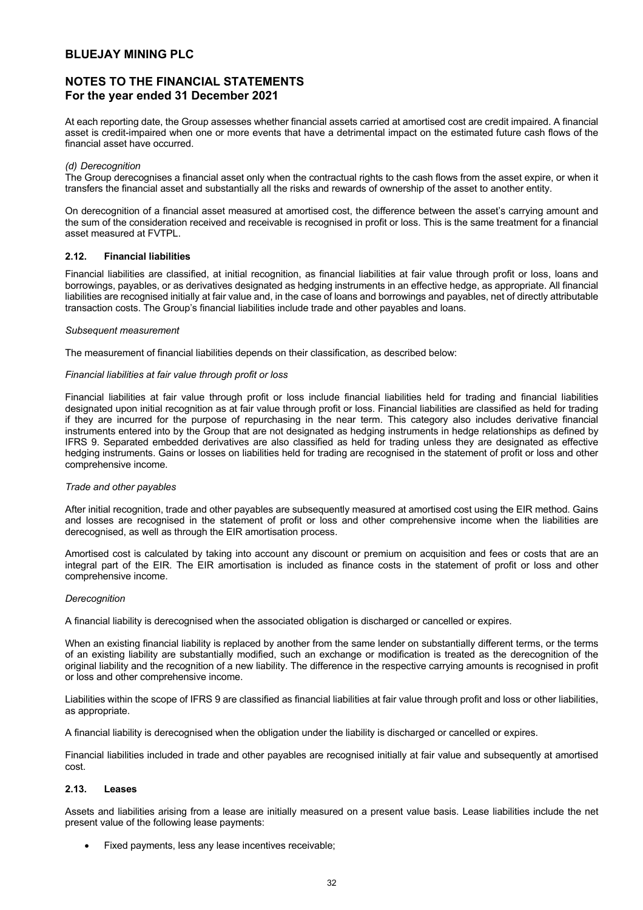# **NOTES TO THE FINANCIAL STATEMENTS For the year ended 31 December 2021**

At each reporting date, the Group assesses whether financial assets carried at amortised cost are credit impaired. A financial asset is credit-impaired when one or more events that have a detrimental impact on the estimated future cash flows of the financial asset have occurred.

#### *(d) Derecognition*

The Group derecognises a financial asset only when the contractual rights to the cash flows from the asset expire, or when it transfers the financial asset and substantially all the risks and rewards of ownership of the asset to another entity.

On derecognition of a financial asset measured at amortised cost, the difference between the asset's carrying amount and the sum of the consideration received and receivable is recognised in profit or loss. This is the same treatment for a financial asset measured at FVTPL.

## **2.12. Financial liabilities**

Financial liabilities are classified, at initial recognition, as financial liabilities at fair value through profit or loss, loans and borrowings, payables, or as derivatives designated as hedging instruments in an effective hedge, as appropriate. All financial liabilities are recognised initially at fair value and, in the case of loans and borrowings and payables, net of directly attributable transaction costs. The Group's financial liabilities include trade and other payables and loans.

### *Subsequent measurement*

The measurement of financial liabilities depends on their classification, as described below:

### *Financial liabilities at fair value through profit or loss*

Financial liabilities at fair value through profit or loss include financial liabilities held for trading and financial liabilities designated upon initial recognition as at fair value through profit or loss. Financial liabilities are classified as held for trading if they are incurred for the purpose of repurchasing in the near term. This category also includes derivative financial instruments entered into by the Group that are not designated as hedging instruments in hedge relationships as defined by IFRS 9. Separated embedded derivatives are also classified as held for trading unless they are designated as effective hedging instruments. Gains or losses on liabilities held for trading are recognised in the statement of profit or loss and other comprehensive income.

### *Trade and other payables*

After initial recognition, trade and other payables are subsequently measured at amortised cost using the EIR method. Gains and losses are recognised in the statement of profit or loss and other comprehensive income when the liabilities are derecognised, as well as through the EIR amortisation process.

Amortised cost is calculated by taking into account any discount or premium on acquisition and fees or costs that are an integral part of the EIR. The EIR amortisation is included as finance costs in the statement of profit or loss and other comprehensive income.

### *Derecognition*

A financial liability is derecognised when the associated obligation is discharged or cancelled or expires.

When an existing financial liability is replaced by another from the same lender on substantially different terms, or the terms of an existing liability are substantially modified, such an exchange or modification is treated as the derecognition of the original liability and the recognition of a new liability. The difference in the respective carrying amounts is recognised in profit or loss and other comprehensive income.

Liabilities within the scope of IFRS 9 are classified as financial liabilities at fair value through profit and loss or other liabilities, as appropriate.

A financial liability is derecognised when the obligation under the liability is discharged or cancelled or expires.

Financial liabilities included in trade and other payables are recognised initially at fair value and subsequently at amortised cost.

### **2.13. Leases**

Assets and liabilities arising from a lease are initially measured on a present value basis. Lease liabilities include the net present value of the following lease payments:

• Fixed payments, less any lease incentives receivable;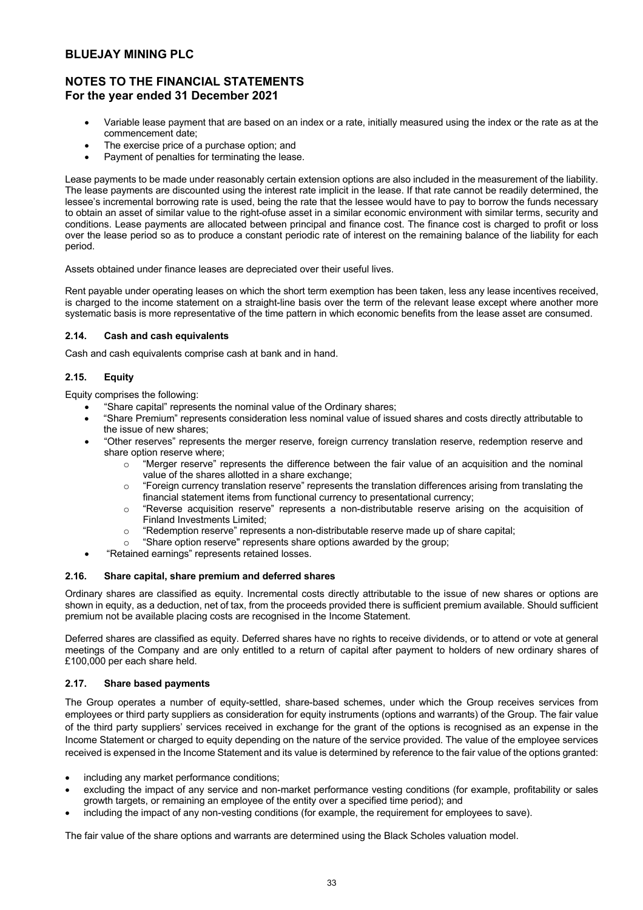# **NOTES TO THE FINANCIAL STATEMENTS For the year ended 31 December 2021**

- Variable lease payment that are based on an index or a rate, initially measured using the index or the rate as at the commencement date;
- The exercise price of a purchase option; and
- Payment of penalties for terminating the lease.

Lease payments to be made under reasonably certain extension options are also included in the measurement of the liability. The lease payments are discounted using the interest rate implicit in the lease. If that rate cannot be readily determined, the lessee's incremental borrowing rate is used, being the rate that the lessee would have to pay to borrow the funds necessary to obtain an asset of similar value to the right-ofuse asset in a similar economic environment with similar terms, security and conditions. Lease payments are allocated between principal and finance cost. The finance cost is charged to profit or loss over the lease period so as to produce a constant periodic rate of interest on the remaining balance of the liability for each period.

Assets obtained under finance leases are depreciated over their useful lives.

Rent payable under operating leases on which the short term exemption has been taken, less any lease incentives received, is charged to the income statement on a straight-line basis over the term of the relevant lease except where another more systematic basis is more representative of the time pattern in which economic benefits from the lease asset are consumed.

## **2.14. Cash and cash equivalents**

Cash and cash equivalents comprise cash at bank and in hand.

## **2.15. Equity**

Equity comprises the following:

- "Share capital" represents the nominal value of the Ordinary shares;
- "Share Premium" represents consideration less nominal value of issued shares and costs directly attributable to the issue of new shares;
- "Other reserves" represents the merger reserve, foreign currency translation reserve, redemption reserve and share option reserve where;
	- o "Merger reserve" represents the difference between the fair value of an acquisition and the nominal value of the shares allotted in a share exchange;
	- $\circ$  "Foreign currency translation reserve" represents the translation differences arising from translating the financial statement items from functional currency to presentational currency;
	- o "Reverse acquisition reserve" represents a non-distributable reserve arising on the acquisition of Finland Investments Limited;
	- $\circ$  "Redemption reserve" represents a non-distributable reserve made up of share capital:
	- "Share option reserve" represents share options awarded by the group;
- "Retained earnings" represents retained losses.

## **2.16. Share capital, share premium and deferred shares**

Ordinary shares are classified as equity. Incremental costs directly attributable to the issue of new shares or options are shown in equity, as a deduction, net of tax, from the proceeds provided there is sufficient premium available. Should sufficient premium not be available placing costs are recognised in the Income Statement.

Deferred shares are classified as equity. Deferred shares have no rights to receive dividends, or to attend or vote at general meetings of the Company and are only entitled to a return of capital after payment to holders of new ordinary shares of £100,000 per each share held.

## **2.17. Share based payments**

The Group operates a number of equity-settled, share-based schemes, under which the Group receives services from employees or third party suppliers as consideration for equity instruments (options and warrants) of the Group. The fair value of the third party suppliers' services received in exchange for the grant of the options is recognised as an expense in the Income Statement or charged to equity depending on the nature of the service provided. The value of the employee services received is expensed in the Income Statement and its value is determined by reference to the fair value of the options granted:

- including any market performance conditions;
- excluding the impact of any service and non-market performance vesting conditions (for example, profitability or sales growth targets, or remaining an employee of the entity over a specified time period); and
- including the impact of any non-vesting conditions (for example, the requirement for employees to save).

The fair value of the share options and warrants are determined using the Black Scholes valuation model.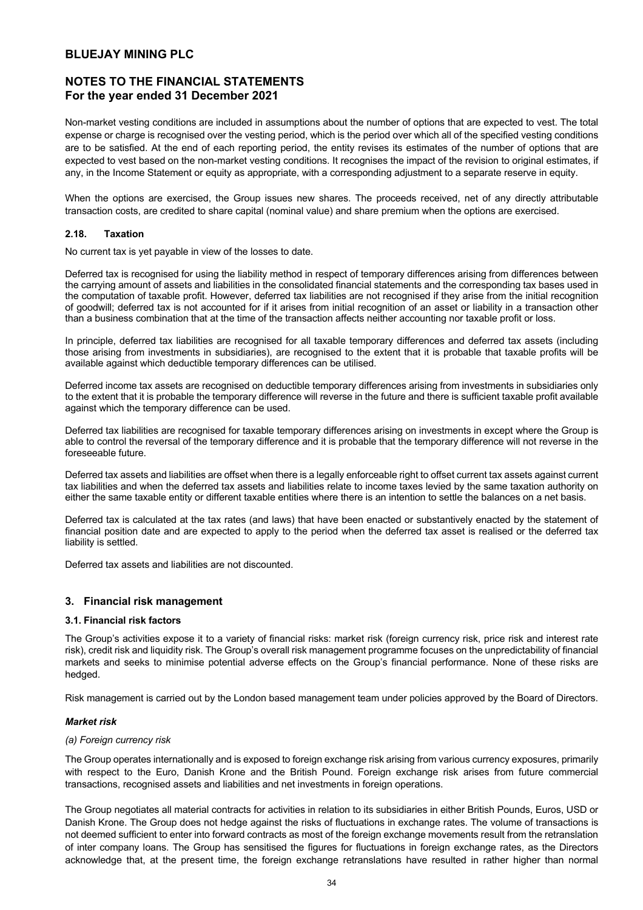# **NOTES TO THE FINANCIAL STATEMENTS For the year ended 31 December 2021**

Non-market vesting conditions are included in assumptions about the number of options that are expected to vest. The total expense or charge is recognised over the vesting period, which is the period over which all of the specified vesting conditions are to be satisfied. At the end of each reporting period, the entity revises its estimates of the number of options that are expected to vest based on the non-market vesting conditions. It recognises the impact of the revision to original estimates, if any, in the Income Statement or equity as appropriate, with a corresponding adjustment to a separate reserve in equity.

When the options are exercised, the Group issues new shares. The proceeds received, net of any directly attributable transaction costs, are credited to share capital (nominal value) and share premium when the options are exercised.

## **2.18. Taxation**

No current tax is yet payable in view of the losses to date.

Deferred tax is recognised for using the liability method in respect of temporary differences arising from differences between the carrying amount of assets and liabilities in the consolidated financial statements and the corresponding tax bases used in the computation of taxable profit. However, deferred tax liabilities are not recognised if they arise from the initial recognition of goodwill; deferred tax is not accounted for if it arises from initial recognition of an asset or liability in a transaction other than a business combination that at the time of the transaction affects neither accounting nor taxable profit or loss.

In principle, deferred tax liabilities are recognised for all taxable temporary differences and deferred tax assets (including those arising from investments in subsidiaries), are recognised to the extent that it is probable that taxable profits will be available against which deductible temporary differences can be utilised.

Deferred income tax assets are recognised on deductible temporary differences arising from investments in subsidiaries only to the extent that it is probable the temporary difference will reverse in the future and there is sufficient taxable profit available against which the temporary difference can be used.

Deferred tax liabilities are recognised for taxable temporary differences arising on investments in except where the Group is able to control the reversal of the temporary difference and it is probable that the temporary difference will not reverse in the foreseeable future.

Deferred tax assets and liabilities are offset when there is a legally enforceable right to offset current tax assets against current tax liabilities and when the deferred tax assets and liabilities relate to income taxes levied by the same taxation authority on either the same taxable entity or different taxable entities where there is an intention to settle the balances on a net basis.

Deferred tax is calculated at the tax rates (and laws) that have been enacted or substantively enacted by the statement of financial position date and are expected to apply to the period when the deferred tax asset is realised or the deferred tax liability is settled.

Deferred tax assets and liabilities are not discounted.

## **3. Financial risk management**

### **3.1. Financial risk factors**

The Group's activities expose it to a variety of financial risks: market risk (foreign currency risk, price risk and interest rate risk), credit risk and liquidity risk. The Group's overall risk management programme focuses on the unpredictability of financial markets and seeks to minimise potential adverse effects on the Group's financial performance. None of these risks are hedged.

Risk management is carried out by the London based management team under policies approved by the Board of Directors.

### *Market risk*

### *(a) Foreign currency risk*

The Group operates internationally and is exposed to foreign exchange risk arising from various currency exposures, primarily with respect to the Euro, Danish Krone and the British Pound. Foreign exchange risk arises from future commercial transactions, recognised assets and liabilities and net investments in foreign operations.

The Group negotiates all material contracts for activities in relation to its subsidiaries in either British Pounds, Euros, USD or Danish Krone. The Group does not hedge against the risks of fluctuations in exchange rates. The volume of transactions is not deemed sufficient to enter into forward contracts as most of the foreign exchange movements result from the retranslation of inter company loans. The Group has sensitised the figures for fluctuations in foreign exchange rates, as the Directors acknowledge that, at the present time, the foreign exchange retranslations have resulted in rather higher than normal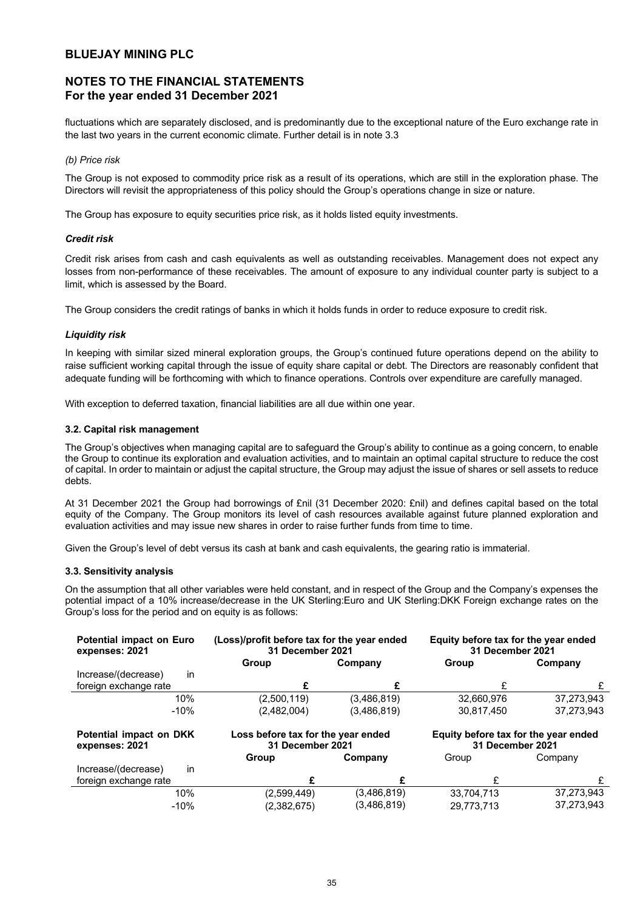# **NOTES TO THE FINANCIAL STATEMENTS For the year ended 31 December 2021**

fluctuations which are separately disclosed, and is predominantly due to the exceptional nature of the Euro exchange rate in the last two years in the current economic climate. Further detail is in note 3.3

## *(b) Price risk*

The Group is not exposed to commodity price risk as a result of its operations, which are still in the exploration phase. The Directors will revisit the appropriateness of this policy should the Group's operations change in size or nature.

The Group has exposure to equity securities price risk, as it holds listed equity investments.

## *Credit risk*

Credit risk arises from cash and cash equivalents as well as outstanding receivables. Management does not expect any losses from non-performance of these receivables. The amount of exposure to any individual counter party is subject to a limit, which is assessed by the Board.

The Group considers the credit ratings of banks in which it holds funds in order to reduce exposure to credit risk.

## *Liquidity risk*

In keeping with similar sized mineral exploration groups, the Group's continued future operations depend on the ability to raise sufficient working capital through the issue of equity share capital or debt. The Directors are reasonably confident that adequate funding will be forthcoming with which to finance operations. Controls over expenditure are carefully managed.

With exception to deferred taxation, financial liabilities are all due within one year.

### **3.2. Capital risk management**

The Group's objectives when managing capital are to safeguard the Group's ability to continue as a going concern, to enable the Group to continue its exploration and evaluation activities, and to maintain an optimal capital structure to reduce the cost of capital. In order to maintain or adjust the capital structure, the Group may adjust the issue of shares or sell assets to reduce debts.

At 31 December 2021 the Group had borrowings of £nil (31 December 2020: £nil) and defines capital based on the total equity of the Company. The Group monitors its level of cash resources available against future planned exploration and evaluation activities and may issue new shares in order to raise further funds from time to time.

Given the Group's level of debt versus its cash at bank and cash equivalents, the gearing ratio is immaterial.

### **3.3. Sensitivity analysis**

On the assumption that all other variables were held constant, and in respect of the Group and the Company's expenses the potential impact of a 10% increase/decrease in the UK Sterling:Euro and UK Sterling:DKK Foreign exchange rates on the Group's loss for the period and on equity is as follows:

| <b>Potential impact on Euro</b><br>expenses: 2021 |                                                        | (Loss)/profit before tax for the year ended<br>31 December 2021 |                                                          | Equity before tax for the year ended<br>31 December 2021 |
|---------------------------------------------------|--------------------------------------------------------|-----------------------------------------------------------------|----------------------------------------------------------|----------------------------------------------------------|
|                                                   | Group                                                  | Company                                                         | Group                                                    | Company                                                  |
| in<br>Increase/(decrease)                         |                                                        |                                                                 |                                                          |                                                          |
| foreign exchange rate                             | £                                                      |                                                                 |                                                          |                                                          |
| 10%                                               | (2,500,119)                                            | (3,486,819)                                                     | 32,660,976                                               | 37,273,943                                               |
| $-10%$                                            | (2,482,004)                                            | (3,486,819)                                                     | 30.817.450                                               | 37.273.943                                               |
| Potential impact on DKK<br>expenses: 2021         | Loss before tax for the year ended<br>31 December 2021 |                                                                 | Equity before tax for the year ended<br>31 December 2021 |                                                          |
|                                                   | Group                                                  | Company                                                         | Group                                                    | Company                                                  |
| in<br>Increase/(decrease)                         |                                                        |                                                                 |                                                          |                                                          |
| foreign exchange rate                             |                                                        |                                                                 |                                                          | £                                                        |
| 10%                                               | (2,599,449)                                            | (3,486,819)                                                     | 33,704,713                                               | 37,273,943                                               |
| $-10%$                                            | (2,382,675)                                            | (3,486,819)                                                     | 29.773.713                                               | 37.273.943                                               |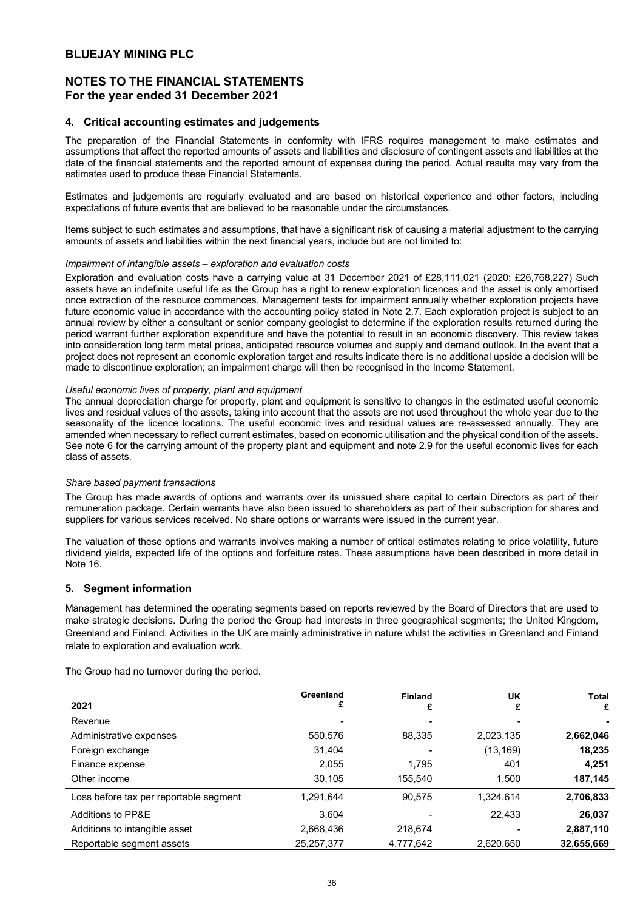# **NOTES TO THE FINANCIAL STATEMENTS For the year ended 31 December 2021**

## **4. Critical accounting estimates and judgements**

The preparation of the Financial Statements in conformity with IFRS requires management to make estimates and assumptions that affect the reported amounts of assets and liabilities and disclosure of contingent assets and liabilities at the date of the financial statements and the reported amount of expenses during the period. Actual results may vary from the estimates used to produce these Financial Statements.

Estimates and judgements are regularly evaluated and are based on historical experience and other factors, including expectations of future events that are believed to be reasonable under the circumstances.

Items subject to such estimates and assumptions, that have a significant risk of causing a material adjustment to the carrying amounts of assets and liabilities within the next financial years, include but are not limited to:

### *Impairment of intangible assets – exploration and evaluation costs*

Exploration and evaluation costs have a carrying value at 31 December 2021 of £28,111,021 (2020: £26,768,227) Such assets have an indefinite useful life as the Group has a right to renew exploration licences and the asset is only amortised once extraction of the resource commences. Management tests for impairment annually whether exploration projects have future economic value in accordance with the accounting policy stated in Note 2.7. Each exploration project is subject to an annual review by either a consultant or senior company geologist to determine if the exploration results returned during the period warrant further exploration expenditure and have the potential to result in an economic discovery. This review takes into consideration long term metal prices, anticipated resource volumes and supply and demand outlook. In the event that a project does not represent an economic exploration target and results indicate there is no additional upside a decision will be made to discontinue exploration; an impairment charge will then be recognised in the Income Statement.

#### *Useful economic lives of property, plant and equipment*

The annual depreciation charge for property, plant and equipment is sensitive to changes in the estimated useful economic lives and residual values of the assets, taking into account that the assets are not used throughout the whole year due to the seasonality of the licence locations. The useful economic lives and residual values are re-assessed annually. They are amended when necessary to reflect current estimates, based on economic utilisation and the physical condition of the assets. See note 6 for the carrying amount of the property plant and equipment and note 2.9 for the useful economic lives for each class of assets.

### *Share based payment transactions*

The Group has made awards of options and warrants over its unissued share capital to certain Directors as part of their remuneration package. Certain warrants have also been issued to shareholders as part of their subscription for shares and suppliers for various services received. No share options or warrants were issued in the current year.

The valuation of these options and warrants involves making a number of critical estimates relating to price volatility, future dividend yields, expected life of the options and forfeiture rates. These assumptions have been described in more detail in Note 16.

### **5. Segment information**

Management has determined the operating segments based on reports reviewed by the Board of Directors that are used to make strategic decisions. During the period the Group had interests in three geographical segments; the United Kingdom, Greenland and Finland. Activities in the UK are mainly administrative in nature whilst the activities in Greenland and Finland relate to exploration and evaluation work.

The Group had no turnover during the period.

| 2021                                   | Greenland  | <b>Finland</b> | UK<br>£   | Total<br>£ |
|----------------------------------------|------------|----------------|-----------|------------|
| Revenue                                |            |                |           |            |
| Administrative expenses                | 550,576    | 88,335         | 2,023,135 | 2,662,046  |
| Foreign exchange                       | 31.404     |                | (13, 169) | 18,235     |
| Finance expense                        | 2,055      | 1.795          | 401       | 4,251      |
| Other income                           | 30,105     | 155,540        | 1,500     | 187,145    |
| Loss before tax per reportable segment | 1,291,644  | 90,575         | 1,324,614 | 2,706,833  |
| Additions to PP&E                      | 3,604      |                | 22.433    | 26,037     |
| Additions to intangible asset          | 2,668,436  | 218.674        |           | 2,887,110  |
| Reportable segment assets              | 25,257,377 | 4,777,642      | 2,620,650 | 32,655,669 |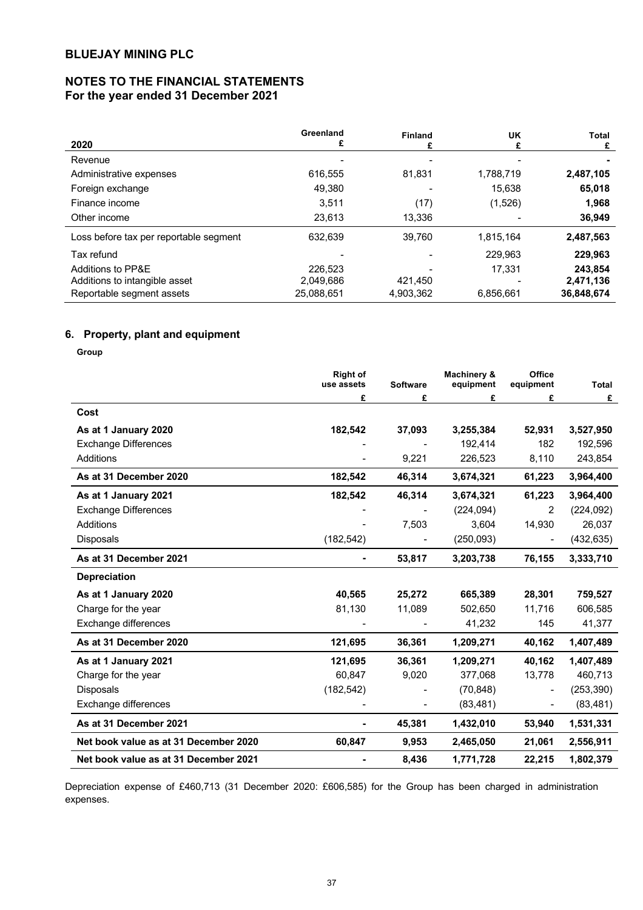# **NOTES TO THE FINANCIAL STATEMENTS For the year ended 31 December 2021**

|                                        | Greenland  | Finland   | <b>UK</b> | Total      |
|----------------------------------------|------------|-----------|-----------|------------|
| 2020                                   |            |           |           | £          |
| Revenue                                |            |           |           |            |
| Administrative expenses                | 616.555    | 81,831    | 1,788,719 | 2,487,105  |
| Foreign exchange                       | 49.380     |           | 15.638    | 65,018     |
| Finance income                         | 3.511      | (17)      | (1,526)   | 1,968      |
| Other income                           | 23,613     | 13.336    |           | 36,949     |
| Loss before tax per reportable segment | 632,639    | 39,760    | 1,815,164 | 2,487,563  |
| Tax refund                             |            |           | 229.963   | 229,963    |
| Additions to PP&E                      | 226.523    |           | 17.331    | 243.854    |
| Additions to intangible asset          | 2,049,686  | 421.450   |           | 2,471,136  |
| Reportable segment assets              | 25.088.651 | 4,903,362 | 6.856.661 | 36,848,674 |

# **6. Property, plant and equipment**

**Group**

|                                       | <b>Right of</b><br>use assets | <b>Software</b> | Machinery &<br>equipment | Office<br>equipment | <b>Total</b> |
|---------------------------------------|-------------------------------|-----------------|--------------------------|---------------------|--------------|
|                                       | £                             | £               | £                        | £                   | £            |
| Cost                                  |                               |                 |                          |                     |              |
| As at 1 January 2020                  | 182,542                       | 37,093          | 3,255,384                | 52,931              | 3,527,950    |
| <b>Exchange Differences</b>           |                               |                 | 192,414                  | 182                 | 192,596      |
| Additions                             |                               | 9,221           | 226,523                  | 8,110               | 243,854      |
| As at 31 December 2020                | 182,542                       | 46,314          | 3,674,321                | 61,223              | 3,964,400    |
| As at 1 January 2021                  | 182,542                       | 46,314          | 3,674,321                | 61,223              | 3,964,400    |
| <b>Exchange Differences</b>           |                               |                 | (224, 094)               | 2                   | (224, 092)   |
| <b>Additions</b>                      |                               | 7,503           | 3,604                    | 14,930              | 26,037       |
| <b>Disposals</b>                      | (182, 542)                    |                 | (250,093)                |                     | (432, 635)   |
| As at 31 December 2021                |                               | 53,817          | 3,203,738                | 76,155              | 3,333,710    |
| <b>Depreciation</b>                   |                               |                 |                          |                     |              |
| As at 1 January 2020                  | 40,565                        | 25,272          | 665,389                  | 28,301              | 759,527      |
| Charge for the year                   | 81,130                        | 11,089          | 502,650                  | 11,716              | 606,585      |
| Exchange differences                  |                               |                 | 41,232                   | 145                 | 41,377       |
| As at 31 December 2020                | 121,695                       | 36,361          | 1,209,271                | 40,162              | 1,407,489    |
| As at 1 January 2021                  | 121,695                       | 36,361          | 1,209,271                | 40,162              | 1,407,489    |
| Charge for the year                   | 60,847                        | 9,020           | 377,068                  | 13,778              | 460,713      |
| Disposals                             | (182, 542)                    |                 | (70, 848)                |                     | (253, 390)   |
| Exchange differences                  |                               |                 | (83, 481)                |                     | (83, 481)    |
| As at 31 December 2021                |                               | 45,381          | 1,432,010                | 53,940              | 1,531,331    |
| Net book value as at 31 December 2020 | 60,847                        | 9,953           | 2,465,050                | 21,061              | 2,556,911    |
| Net book value as at 31 December 2021 |                               | 8,436           | 1,771,728                | 22,215              | 1,802,379    |

Depreciation expense of £460,713 (31 December 2020: £606,585) for the Group has been charged in administration expenses.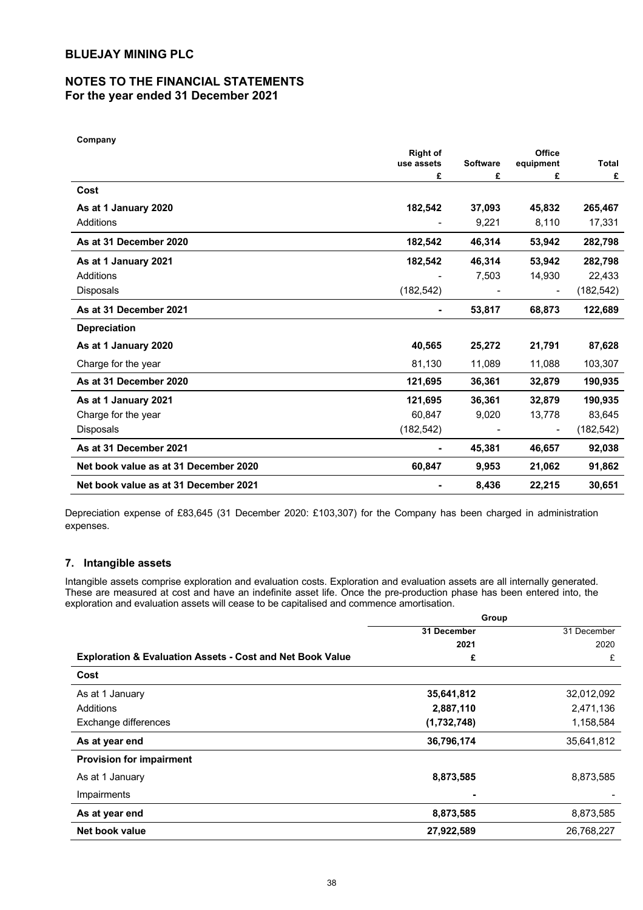# **NOTES TO THE FINANCIAL STATEMENTS For the year ended 31 December 2021**

| Company                               |                               |                 |                |            |
|---------------------------------------|-------------------------------|-----------------|----------------|------------|
|                                       | <b>Right of</b><br>use assets | <b>Software</b> | Office         | Total      |
|                                       | £                             | £               | equipment<br>£ | £          |
| Cost                                  |                               |                 |                |            |
| As at 1 January 2020                  | 182,542                       | 37,093          | 45,832         | 265,467    |
| Additions                             |                               | 9,221           | 8,110          | 17,331     |
| As at 31 December 2020                | 182,542                       | 46,314          | 53,942         | 282,798    |
| As at 1 January 2021                  | 182,542                       | 46,314          | 53,942         | 282,798    |
| Additions                             |                               | 7,503           | 14,930         | 22,433     |
| <b>Disposals</b>                      | (182, 542)                    |                 |                | (182, 542) |
| As at 31 December 2021                |                               | 53,817          | 68,873         | 122,689    |
| <b>Depreciation</b>                   |                               |                 |                |            |
| As at 1 January 2020                  | 40,565                        | 25,272          | 21,791         | 87,628     |
| Charge for the year                   | 81,130                        | 11,089          | 11,088         | 103,307    |
| As at 31 December 2020                | 121,695                       | 36,361          | 32,879         | 190,935    |
| As at 1 January 2021                  | 121,695                       | 36,361          | 32,879         | 190,935    |
| Charge for the year                   | 60,847                        | 9,020           | 13,778         | 83,645     |
| <b>Disposals</b>                      | (182, 542)                    |                 |                | (182, 542) |
| As at 31 December 2021                |                               | 45,381          | 46,657         | 92,038     |
| Net book value as at 31 December 2020 | 60,847                        | 9,953           | 21,062         | 91,862     |
| Net book value as at 31 December 2021 |                               | 8,436           | 22,215         | 30,651     |

Depreciation expense of £83,645 (31 December 2020: £103,307) for the Company has been charged in administration expenses.

# **7. Intangible assets**

Intangible assets comprise exploration and evaluation costs. Exploration and evaluation assets are all internally generated. These are measured at cost and have an indefinite asset life. Once the pre-production phase has been entered into, the exploration and evaluation assets will cease to be capitalised and commence amortisation.

**Group**

|                                                                      | -p          |             |  |
|----------------------------------------------------------------------|-------------|-------------|--|
|                                                                      | 31 December | 31 December |  |
|                                                                      | 2021        | 2020        |  |
| <b>Exploration &amp; Evaluation Assets - Cost and Net Book Value</b> | £           | £           |  |
| Cost                                                                 |             |             |  |
| As at 1 January                                                      | 35,641,812  | 32,012,092  |  |
| Additions                                                            | 2,887,110   | 2,471,136   |  |
| Exchange differences                                                 | (1,732,748) | 1,158,584   |  |
| As at year end                                                       | 36,796,174  | 35,641,812  |  |
| <b>Provision for impairment</b>                                      |             |             |  |
| As at 1 January                                                      | 8,873,585   | 8,873,585   |  |
| Impairments                                                          |             |             |  |
| As at year end                                                       | 8,873,585   | 8,873,585   |  |
| Net book value                                                       | 27,922,589  | 26,768,227  |  |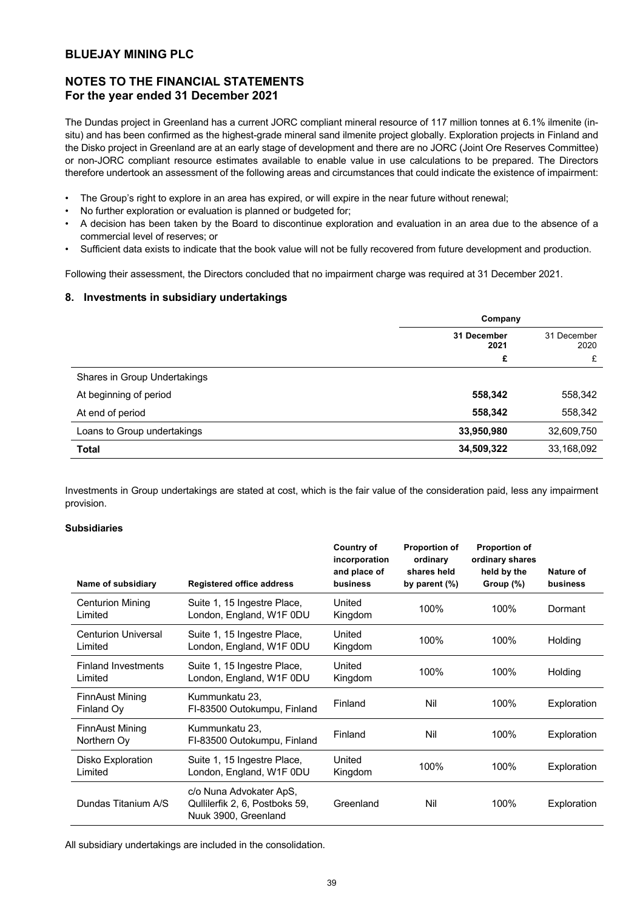# **NOTES TO THE FINANCIAL STATEMENTS For the year ended 31 December 2021**

The Dundas project in Greenland has a current JORC compliant mineral resource of 117 million tonnes at 6.1% ilmenite (insitu) and has been confirmed as the highest-grade mineral sand ilmenite project globally. Exploration projects in Finland and the Disko project in Greenland are at an early stage of development and there are no JORC (Joint Ore Reserves Committee) or non-JORC compliant resource estimates available to enable value in use calculations to be prepared. The Directors therefore undertook an assessment of the following areas and circumstances that could indicate the existence of impairment:

- The Group's right to explore in an area has expired, or will expire in the near future without renewal;
- No further exploration or evaluation is planned or budgeted for;
- A decision has been taken by the Board to discontinue exploration and evaluation in an area due to the absence of a commercial level of reserves; or
- Sufficient data exists to indicate that the book value will not be fully recovered from future development and production.

Following their assessment, the Directors concluded that no impairment charge was required at 31 December 2021.

## **8. Investments in subsidiary undertakings**

|                              | Company                            |            |  |
|------------------------------|------------------------------------|------------|--|
|                              | 31 December<br>31 December<br>2021 |            |  |
|                              | £                                  | £          |  |
| Shares in Group Undertakings |                                    |            |  |
| At beginning of period       | 558,342                            | 558,342    |  |
| At end of period             | 558,342                            | 558,342    |  |
| Loans to Group undertakings  | 33,950,980                         | 32,609,750 |  |
| Total                        | 34,509,322                         | 33,168,092 |  |

Investments in Group undertakings are stated at cost, which is the fair value of the consideration paid, less any impairment provision.

## **Subsidiaries**

| Name of subsidiary                    | <b>Registered office address</b>                                                 | Country of<br>incorporation<br>and place of<br>business | <b>Proportion of</b><br>ordinary<br>shares held<br>by parent $(\%)$ | <b>Proportion of</b><br>ordinary shares<br>held by the<br>Group (%) | Nature of<br>business |
|---------------------------------------|----------------------------------------------------------------------------------|---------------------------------------------------------|---------------------------------------------------------------------|---------------------------------------------------------------------|-----------------------|
| <b>Centurion Mining</b><br>Limited    | Suite 1, 15 Ingestre Place,<br>London, England, W1F 0DU                          | United<br>Kingdom                                       | 100%                                                                | 100%                                                                | Dormant               |
| <b>Centurion Universal</b><br>Limited | Suite 1, 15 Ingestre Place,<br>London, England, W1F 0DU                          | United<br>Kingdom                                       | 100%                                                                | 100%                                                                | Holding               |
| <b>Finland Investments</b><br>Limited | Suite 1, 15 Ingestre Place,<br>London, England, W1F 0DU                          | United<br>Kingdom                                       | 100%                                                                | 100%                                                                | Holding               |
| <b>FinnAust Mining</b><br>Finland Oy  | Kummunkatu 23,<br>FI-83500 Outokumpu, Finland                                    | Finland                                                 | Nil                                                                 | 100%                                                                | Exploration           |
| <b>FinnAust Mining</b><br>Northern Oy | Kummunkatu 23,<br>FI-83500 Outokumpu, Finland                                    | Finland                                                 | Nil                                                                 | 100%                                                                | Exploration           |
| Disko Exploration<br>Limited          | Suite 1, 15 Ingestre Place,<br>London, England, W1F 0DU                          | United<br>Kingdom                                       | 100%                                                                | 100%                                                                | Exploration           |
| Dundas Titanium A/S                   | c/o Nuna Advokater ApS,<br>Quillerfik 2, 6, Postboks 59,<br>Nuuk 3900, Greenland | Greenland                                               | Nil                                                                 | 100%                                                                | Exploration           |

All subsidiary undertakings are included in the consolidation.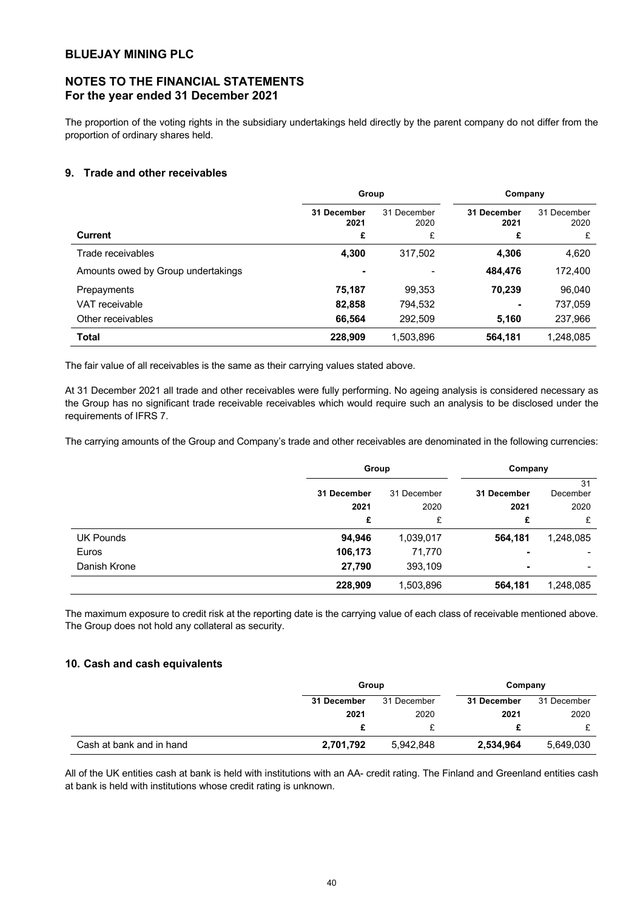# **NOTES TO THE FINANCIAL STATEMENTS For the year ended 31 December 2021**

The proportion of the voting rights in the subsidiary undertakings held directly by the parent company do not differ from the proportion of ordinary shares held.

## **9. Trade and other receivables**

|                                    | Group               |                     | Company             |                     |
|------------------------------------|---------------------|---------------------|---------------------|---------------------|
|                                    | 31 December<br>2021 | 31 December<br>2020 | 31 December<br>2021 | 31 December<br>2020 |
| Current                            | £                   | £                   | £                   | £                   |
| Trade receivables                  | 4,300               | 317,502             | 4,306               | 4,620               |
| Amounts owed by Group undertakings | ۰                   |                     | 484,476             | 172,400             |
| Prepayments                        | 75,187              | 99,353              | 70.239              | 96.040              |
| VAT receivable                     | 82,858              | 794,532             | ۰                   | 737,059             |
| Other receivables                  | 66,564              | 292,509             | 5,160               | 237,966             |
| <b>Total</b>                       | 228,909             | 1,503,896           | 564,181             | 1,248,085           |

The fair value of all receivables is the same as their carrying values stated above.

At 31 December 2021 all trade and other receivables were fully performing. No ageing analysis is considered necessary as the Group has no significant trade receivable receivables which would require such an analysis to be disclosed under the requirements of IFRS 7.

The carrying amounts of the Group and Company's trade and other receivables are denominated in the following currencies:

|                  | Group                      |           | Company |           |             |                |
|------------------|----------------------------|-----------|---------|-----------|-------------|----------------|
|                  | 31 December<br>31 December |           |         |           | 31 December | 31<br>December |
|                  | 2021                       | 2020      | 2021    | 2020      |             |                |
|                  | £                          | £         | £       | £         |             |                |
| <b>UK Pounds</b> | 94,946                     | 1,039,017 | 564,181 | 1,248,085 |             |                |
| Euros            | 106,173                    | 71,770    | ٠       |           |             |                |
| Danish Krone     | 27,790                     | 393,109   | ٠       |           |             |                |
|                  | 228,909                    | 1,503,896 | 564,181 | 1,248,085 |             |                |

The maximum exposure to credit risk at the reporting date is the carrying value of each class of receivable mentioned above. The Group does not hold any collateral as security.

## **10. Cash and cash equivalents**

|                          |             | Group       |             | Company     |  |
|--------------------------|-------------|-------------|-------------|-------------|--|
|                          | 31 December | 31 December | 31 December | 31 December |  |
|                          | 2021        | 2020        | 2021        | 2020        |  |
|                          |             |             |             |             |  |
| Cash at bank and in hand | 2,701,792   | 5.942.848   | 2,534,964   | 5,649,030   |  |

All of the UK entities cash at bank is held with institutions with an AA- credit rating. The Finland and Greenland entities cash at bank is held with institutions whose credit rating is unknown.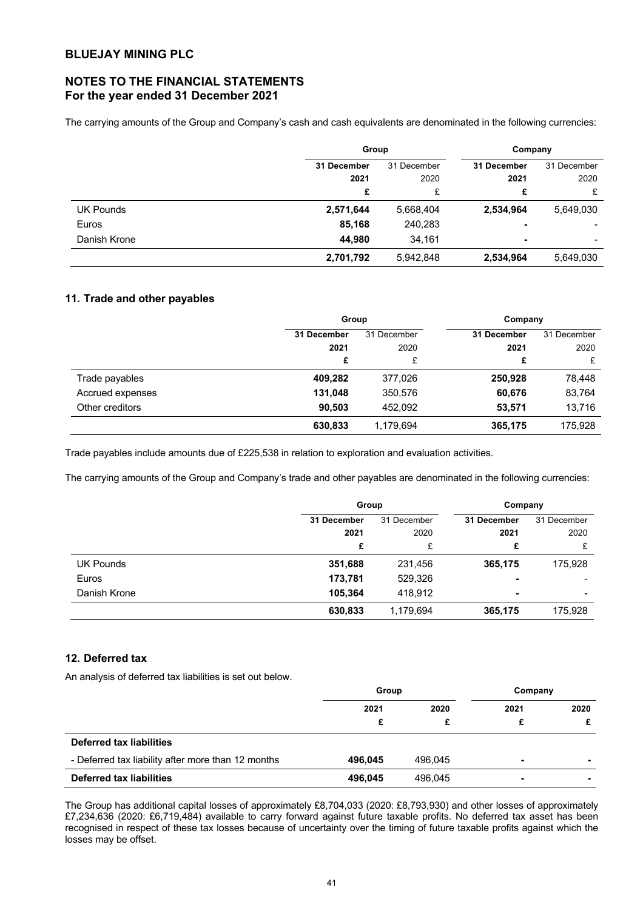# **NOTES TO THE FINANCIAL STATEMENTS For the year ended 31 December 2021**

The carrying amounts of the Group and Company's cash and cash equivalents are denominated in the following currencies:

|                  |             | Group       |             | Company        |
|------------------|-------------|-------------|-------------|----------------|
|                  | 31 December | 31 December | 31 December | 31 December    |
|                  | 2021        | 2020        | 2021        | 2020           |
|                  | £           | £           | £           | £              |
| <b>UK Pounds</b> | 2,571,644   | 5,668,404   | 2,534,964   | 5,649,030      |
| Euros            | 85,168      | 240,283     |             |                |
| Danish Krone     | 44,980      | 34,161      | ۰           | $\blacksquare$ |
|                  | 2,701,792   | 5,942,848   | 2,534,964   | 5,649,030      |

## **11. Trade and other payables**

|                  | Group       |             | Company     |             |
|------------------|-------------|-------------|-------------|-------------|
|                  | 31 December | 31 December | 31 December | 31 December |
|                  | 2021        | 2020        | 2021        | 2020        |
|                  | £           | £           | £           | £           |
| Trade payables   | 409,282     | 377,026     | 250,928     | 78,448      |
| Accrued expenses | 131,048     | 350,576     | 60,676      | 83,764      |
| Other creditors  | 90.503      | 452.092     | 53,571      | 13,716      |
|                  | 630,833     | 1,179,694   | 365,175     | 175,928     |

Trade payables include amounts due of £225,538 in relation to exploration and evaluation activities.

The carrying amounts of the Group and Company's trade and other payables are denominated in the following currencies:

|                  |             | Group       |             | Company |             |
|------------------|-------------|-------------|-------------|---------|-------------|
|                  | 31 December | 31 December | 31 December |         | 31 December |
|                  | 2021        | 2020        | 2021        | 2020    |             |
|                  | £           | £           | £           | £       |             |
| <b>UK Pounds</b> | 351,688     | 231,456     | 365,175     | 175,928 |             |
| Euros            | 173,781     | 529,326     |             | -       |             |
| Danish Krone     | 105,364     | 418.912     |             | ٠       |             |
|                  | 630,833     | 1,179,694   | 365,175     | 175,928 |             |

## **12. Deferred tax**

An analysis of deferred tax liabilities is set out below.

|                                                    | Group   |         | Company |                |
|----------------------------------------------------|---------|---------|---------|----------------|
|                                                    | 2021    | 2020    | 2021    | 2020           |
|                                                    | £       |         |         |                |
| Deferred tax liabilities                           |         |         |         |                |
| - Deferred tax liability after more than 12 months | 496.045 | 496.045 | ۰.      |                |
| <b>Deferred tax liabilities</b>                    | 496.045 | 496.045 | ۰       | $\blacksquare$ |

The Group has additional capital losses of approximately £8,704,033 (2020: £8,793,930) and other losses of approximately £7,234,636 (2020: £6,719,484) available to carry forward against future taxable profits. No deferred tax asset has been recognised in respect of these tax losses because of uncertainty over the timing of future taxable profits against which the losses may be offset.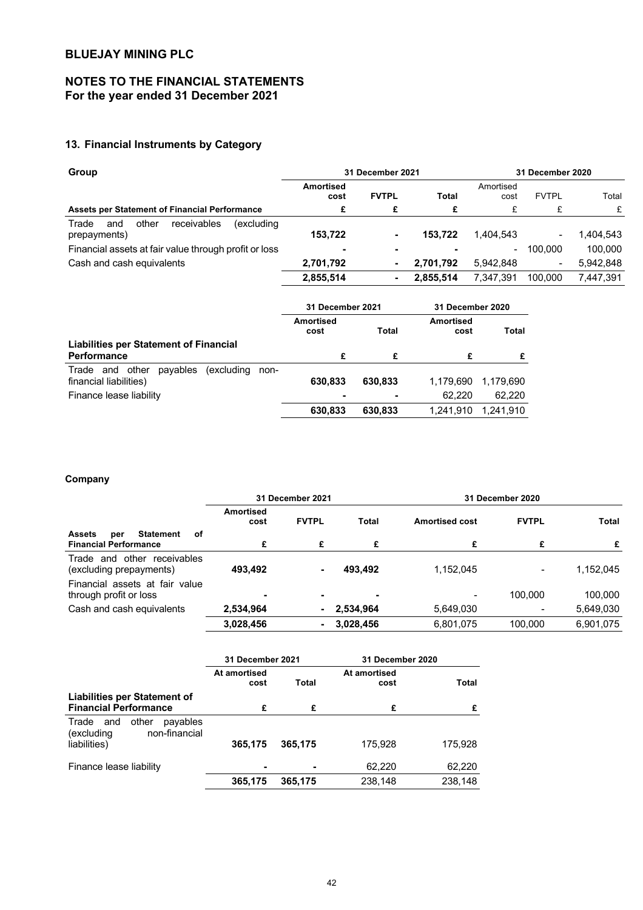# **NOTES TO THE FINANCIAL STATEMENTS For the year ended 31 December 2021**

# **13. Financial Instruments by Category**

| Group                                                              | 31 December 2021  |              |              |                   | 31 December 2020 |           |  |
|--------------------------------------------------------------------|-------------------|--------------|--------------|-------------------|------------------|-----------|--|
|                                                                    | Amortised<br>cost | <b>FVTPL</b> | <b>Total</b> | Amortised<br>cost | <b>FVTPL</b>     | Total     |  |
| <b>Assets per Statement of Financial Performance</b>               | £                 | £            | £            | £                 | £                | £         |  |
| receivables<br>other<br>(excludina<br>Trade<br>and<br>prepayments) | 153.722           |              | 153.722      | 1.404.543         | ۰.               | 1.404.543 |  |
| Financial assets at fair value through profit or loss              | ۰                 | ۰            |              | ۰.                | 100.000          | 100.000   |  |
| Cash and cash equivalents                                          | 2,701,792         |              | 2.701.792    | 5.942.848         | ۰.               | 5,942,848 |  |
|                                                                    | 2,855,514         | ۰            | 2,855,514    | 7.347.391         | 100.000          | 7,447,391 |  |

|                                                   | 31 December 2021           |         | 31 December 2020  |           |  |
|---------------------------------------------------|----------------------------|---------|-------------------|-----------|--|
|                                                   | Amortised<br>Total<br>cost |         | Amortised<br>cost | Total     |  |
| <b>Liabilities per Statement of Financial</b>     |                            |         |                   |           |  |
| <b>Performance</b>                                | £                          | £       | £                 |           |  |
| payables<br>Trade and other<br>excluding)<br>non- |                            |         |                   |           |  |
| financial liabilities)                            | 630.833                    | 630.833 | 1.179.690         | 1,179,690 |  |
| Finance lease liability                           |                            |         | 62.220            | 62.220    |  |
|                                                   | 630,833                    | 630.833 | 1.241.910         | 1.241,910 |  |

## **Company**

|                                                                                | 31 December 2021         |                |              | 31 December 2020      |              |           |
|--------------------------------------------------------------------------------|--------------------------|----------------|--------------|-----------------------|--------------|-----------|
|                                                                                | <b>Amortised</b><br>cost | <b>FVTPL</b>   | <b>Total</b> | <b>Amortised cost</b> | <b>FVTPL</b> | Total     |
| <b>Statement</b><br>оf<br><b>Assets</b><br>per<br><b>Financial Performance</b> | £                        | £              | £            | £                     | £            | £         |
| receivables<br>and other<br>Trade<br>(excluding prepayments)                   | 493,492                  | $\blacksquare$ | 493.492      | 1,152,045             |              | 1,152,045 |
| Financial assets at fair value<br>through profit or loss                       |                          | $\blacksquare$ | ۰            |                       | 100.000      | 100.000   |
| Cash and cash equivalents                                                      | 2,534,964                |                | $-2,534,964$ | 5,649,030             |              | 5,649,030 |
|                                                                                | 3,028,456                | $\blacksquare$ | 3,028,456    | 6,801,075             | 100.000      | 6,901,075 |

|                                                                  | 31 December 2021     |         | 31 December 2020     |         |
|------------------------------------------------------------------|----------------------|---------|----------------------|---------|
|                                                                  | At amortised<br>cost | Total   | At amortised<br>cost | Total   |
| Liabilities per Statement of<br><b>Financial Performance</b>     | £                    | £       | £                    |         |
| other<br>payables<br>Trade<br>and<br>non-financial<br>(excluding |                      |         |                      |         |
| liabilities)                                                     | 365,175              | 365.175 | 175.928              | 175.928 |
| Finance lease liability                                          |                      |         | 62,220               | 62,220  |
|                                                                  | 365,175              | 365,175 | 238,148              | 238,148 |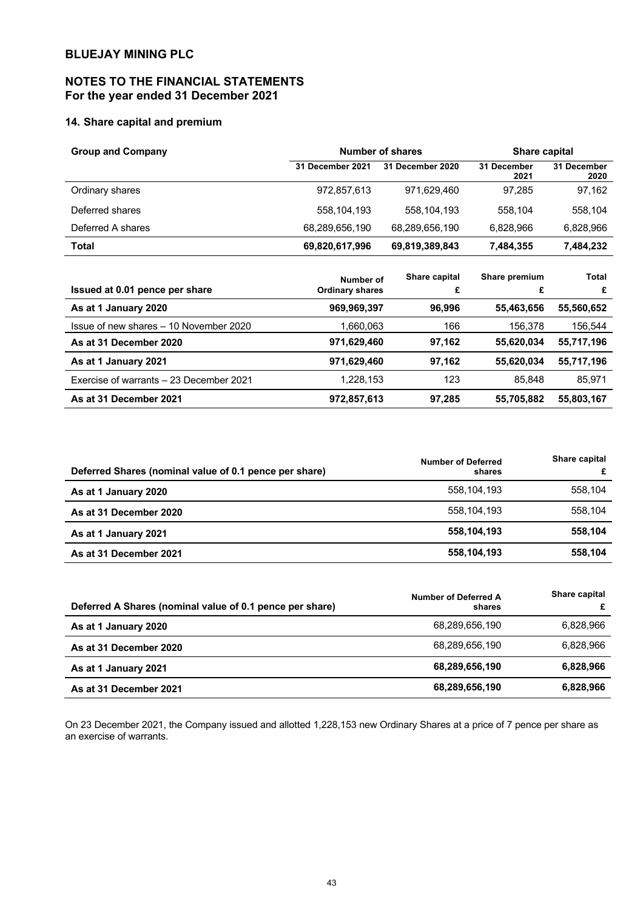# **NOTES TO THE FINANCIAL STATEMENTS For the year ended 31 December 2021**

# **14. Share capital and premium**

| <b>Group and Company</b> |                  | Number of shares | <b>Share capital</b> |                     |  |
|--------------------------|------------------|------------------|----------------------|---------------------|--|
|                          | 31 December 2021 | 31 December 2020 | 31 December<br>2021  | 31 December<br>2020 |  |
| Ordinary shares          | 972,857,613      | 971.629.460      | 97.285               | 97,162              |  |
| Deferred shares          | 558,104,193      | 558,104,193      | 558.104              | 558.104             |  |
| Deferred A shares        | 68,289,656,190   | 68,289,656,190   | 6.828.966            | 6,828,966           |  |
| Total                    | 69,820,617,996   | 69,819,389,843   | 7,484,355            | 7,484,232           |  |
|                          |                  |                  |                      |                     |  |

|                                         | Number of              | Share capital | Share premium | Total      |
|-----------------------------------------|------------------------|---------------|---------------|------------|
| Issued at 0.01 pence per share          | <b>Ordinary shares</b> | £             |               | £          |
| As at 1 January 2020                    | 969,969,397            | 96.996        | 55,463,656    | 55,560,652 |
| Issue of new shares - 10 November 2020  | .660,063               | 166           | 156.378       | 156,544    |
| As at 31 December 2020                  | 971,629,460            | 97.162        | 55,620,034    | 55,717,196 |
| As at 1 January 2021                    | 971,629,460            | 97.162        | 55,620,034    | 55,717,196 |
| Exercise of warrants - 23 December 2021 | 1,228,153              | 123           | 85.848        | 85.971     |
| As at 31 December 2021                  | 972,857,613            | 97.285        | 55,705,882    | 55,803,167 |

| Deferred Shares (nominal value of 0.1 pence per share) | <b>Number of Deferred</b><br>shares | Share capital<br>£ |
|--------------------------------------------------------|-------------------------------------|--------------------|
| As at 1 January 2020                                   | 558.104.193                         | 558.104            |
| As at 31 December 2020                                 | 558.104.193                         | 558.104            |
| As at 1 January 2021                                   | 558,104,193                         | 558.104            |
| As at 31 December 2021                                 | 558,104,193                         | 558,104            |

| Deferred A Shares (nominal value of 0.1 pence per share) | Number of Deferred A<br>shares | Share capital<br>£ |
|----------------------------------------------------------|--------------------------------|--------------------|
| As at 1 January 2020                                     | 68.289.656.190                 | 6.828.966          |
| As at 31 December 2020                                   | 68,289,656,190                 | 6.828.966          |
| As at 1 January 2021                                     | 68,289,656,190                 | 6,828,966          |
| As at 31 December 2021                                   | 68,289,656,190                 | 6,828,966          |

On 23 December 2021, the Company issued and allotted 1,228,153 new Ordinary Shares at a price of 7 pence per share as an exercise of warrants.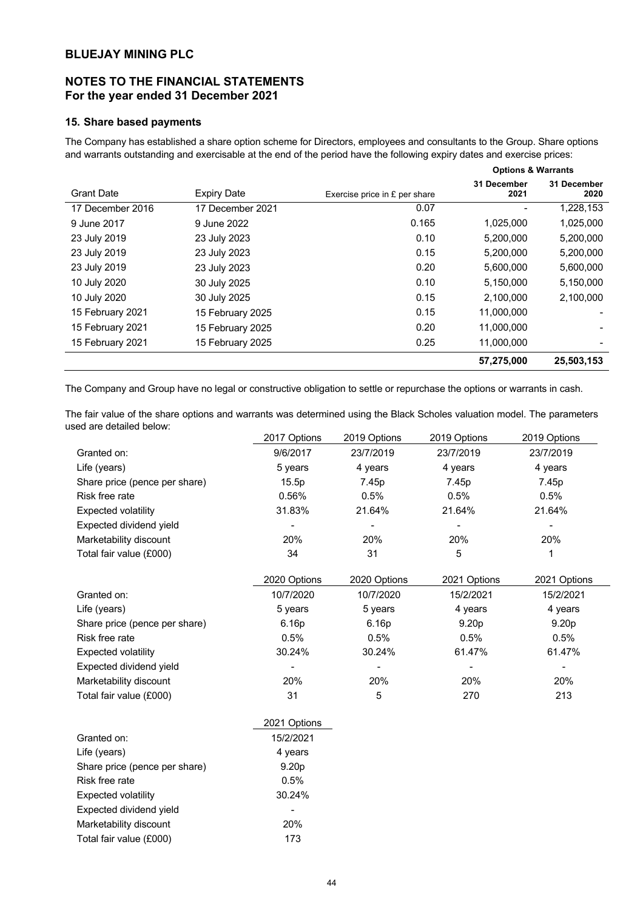# **NOTES TO THE FINANCIAL STATEMENTS For the year ended 31 December 2021**

## **15. Share based payments**

The Company has established a share option scheme for Directors, employees and consultants to the Group. Share options and warrants outstanding and exercisable at the end of the period have the following expiry dates and exercise prices:

|                   |                    |                               | <b>Options &amp; Warrants</b> |                     |  |
|-------------------|--------------------|-------------------------------|-------------------------------|---------------------|--|
| <b>Grant Date</b> | <b>Expiry Date</b> | Exercise price in £ per share | 31 December<br>2021           | 31 December<br>2020 |  |
| 17 December 2016  | 17 December 2021   | 0.07                          |                               | 1,228,153           |  |
| 9 June 2017       | 9 June 2022        | 0.165                         | 1,025,000                     | 1,025,000           |  |
| 23 July 2019      | 23 July 2023       | 0.10                          | 5,200,000                     | 5,200,000           |  |
| 23 July 2019      | 23 July 2023       | 0.15                          | 5,200,000                     | 5,200,000           |  |
| 23 July 2019      | 23 July 2023       | 0.20                          | 5,600,000                     | 5,600,000           |  |
| 10 July 2020      | 30 July 2025       | 0.10                          | 5,150,000                     | 5,150,000           |  |
| 10 July 2020      | 30 July 2025       | 0.15                          | 2,100,000                     | 2,100,000           |  |
| 15 February 2021  | 15 February 2025   | 0.15                          | 11.000.000                    |                     |  |
| 15 February 2021  | 15 February 2025   | 0.20                          | 11.000.000                    |                     |  |
| 15 February 2021  | 15 February 2025   | 0.25                          | 11,000,000                    |                     |  |
|                   |                    |                               | 57,275,000                    | 25,503,153          |  |

The Company and Group have no legal or constructive obligation to settle or repurchase the options or warrants in cash.

The fair value of the share options and warrants was determined using the Black Scholes valuation model. The parameters used are detailed below:

|                               | 2017 Options | 2019 Options | 2019 Options      | 2019 Options      |
|-------------------------------|--------------|--------------|-------------------|-------------------|
| Granted on:                   | 9/6/2017     | 23/7/2019    | 23/7/2019         | 23/7/2019         |
| Life (years)                  | 5 years      | 4 years      | 4 years           | 4 years           |
| Share price (pence per share) | 15.5p        | 7.45p        | 7.45p             | 7.45p             |
| Risk free rate                | 0.56%        | 0.5%         | 0.5%              | 0.5%              |
| <b>Expected volatility</b>    | 31.83%       | 21.64%       | 21.64%            | 21.64%            |
| Expected dividend yield       |              |              |                   |                   |
| Marketability discount        | 20%          | 20%          | 20%               | 20%               |
| Total fair value (£000)       | 34           | 31           | 5                 |                   |
|                               |              |              |                   |                   |
|                               |              |              |                   |                   |
|                               | 2020 Options | 2020 Options | 2021 Options      | 2021 Options      |
| Granted on:                   | 10/7/2020    | 10/7/2020    | 15/2/2021         | 15/2/2021         |
| Life (years)                  | 5 years      | 5 years      | 4 years           | 4 years           |
| Share price (pence per share) | 6.16p        | 6.16p        | 9.20 <sub>p</sub> | 9.20 <sub>p</sub> |
| Risk free rate                | 0.5%         | 0.5%         | 0.5%              | 0.5%              |
| <b>Expected volatility</b>    | 30.24%       | 30.24%       | 61.47%            | 61.47%            |
| Expected dividend yield       |              |              |                   |                   |
| Marketability discount        | 20%          | 20%          | 20%               | 20%               |

|                               | 2021 Options      |
|-------------------------------|-------------------|
| Granted on:                   | 15/2/2021         |
| Life (years)                  | 4 years           |
| Share price (pence per share) | 9.20 <sub>p</sub> |
| Risk free rate                | 0.5%              |
| <b>Expected volatility</b>    | 30.24%            |
| Expected dividend yield       |                   |
| Marketability discount        | <b>20%</b>        |
| Total fair value (£000)       | 173               |
|                               |                   |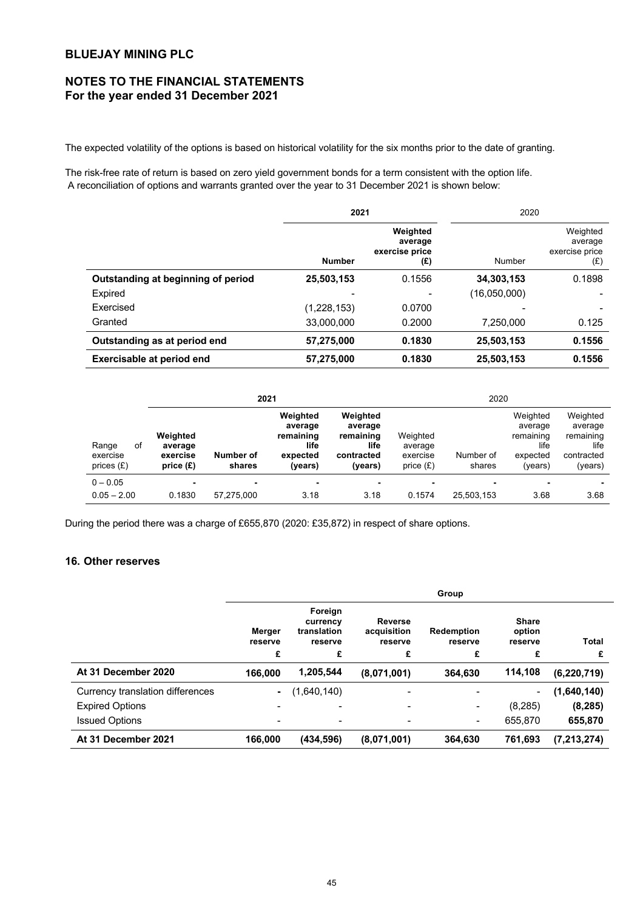# **NOTES TO THE FINANCIAL STATEMENTS For the year ended 31 December 2021**

The expected volatility of the options is based on historical volatility for the six months prior to the date of granting.

The risk-free rate of return is based on zero yield government bonds for a term consistent with the option life. A reconciliation of options and warrants granted over the year to 31 December 2021 is shown below:

|                                    |               | 2021                                         |              | 2020                                         |
|------------------------------------|---------------|----------------------------------------------|--------------|----------------------------------------------|
|                                    | <b>Number</b> | Weighted<br>average<br>exercise price<br>(£) | Number       | Weighted<br>average<br>exercise price<br>(E) |
| Outstanding at beginning of period | 25,503,153    | 0.1556                                       | 34,303,153   | 0.1898                                       |
| Expired                            |               |                                              | (16,050,000) |                                              |
| Exercised                          | (1,228,153)   | 0.0700                                       |              |                                              |
| Granted                            | 33,000,000    | 0.2000                                       | 7,250,000    | 0.125                                        |
| Outstanding as at period end       | 57,275,000    | 0.1830                                       | 25,503,153   | 0.1556                                       |
| Exercisable at period end          | 57,275,000    | 0.1830                                       | 25,503,153   | 0.1556                                       |

|                                         | 2021                                           |                     |                                                                 | 2020                                                              |                                                |                     |                                                                 |                                                                   |
|-----------------------------------------|------------------------------------------------|---------------------|-----------------------------------------------------------------|-------------------------------------------------------------------|------------------------------------------------|---------------------|-----------------------------------------------------------------|-------------------------------------------------------------------|
| Range<br>оf<br>exercise<br>prices $(E)$ | Weighted<br>average<br>exercise<br>price $(E)$ | Number of<br>shares | Weighted<br>average<br>remaining<br>life<br>expected<br>(years) | Weighted<br>average<br>remaining<br>life<br>contracted<br>(years) | Weighted<br>average<br>exercise<br>price $(E)$ | Number of<br>shares | Weighted<br>average<br>remaining<br>life<br>expected<br>(years) | Weighted<br>average<br>remaining<br>life<br>contracted<br>(years) |
| $0 - 0.05$<br>$0.05 - 2.00$             | ۰<br>0.1830                                    | ۰<br>57.275.000     | $\blacksquare$<br>3.18                                          | 3.18                                                              | 0.1574                                         | ۰<br>25,503,153     | ۰<br>3.68                                                       | 3.68                                                              |

During the period there was a charge of £655,870 (2020: £35,872) in respect of share options.

## **16. Other reserves**

|                                  | Group                  |                                                    |                                               |                                   |                                        |               |
|----------------------------------|------------------------|----------------------------------------------------|-----------------------------------------------|-----------------------------------|----------------------------------------|---------------|
|                                  | Merger<br>reserve<br>£ | Foreign<br>currency<br>translation<br>reserve<br>£ | <b>Reverse</b><br>acquisition<br>reserve<br>£ | <b>Redemption</b><br>reserve<br>£ | <b>Share</b><br>option<br>reserve<br>£ | Total<br>£    |
|                                  |                        |                                                    |                                               |                                   |                                        |               |
| At 31 December 2020              | 166.000                | 1,205,544                                          | (8,071,001)                                   | 364,630                           | 114,108                                | (6, 220, 719) |
| Currency translation differences |                        | (1,640,140)                                        | $\overline{\phantom{0}}$                      | $\overline{\phantom{0}}$          | $\sim$                                 | (1,640,140)   |
| <b>Expired Options</b>           |                        |                                                    |                                               | ۰                                 | (8,285)                                | (8, 285)      |
| <b>Issued Options</b>            |                        | -                                                  |                                               | -                                 | 655,870                                | 655,870       |
| At 31 December 2021              | 166,000                | (434, 596)                                         | (8,071,001)                                   | 364,630                           | 761.693                                | (7, 213, 274) |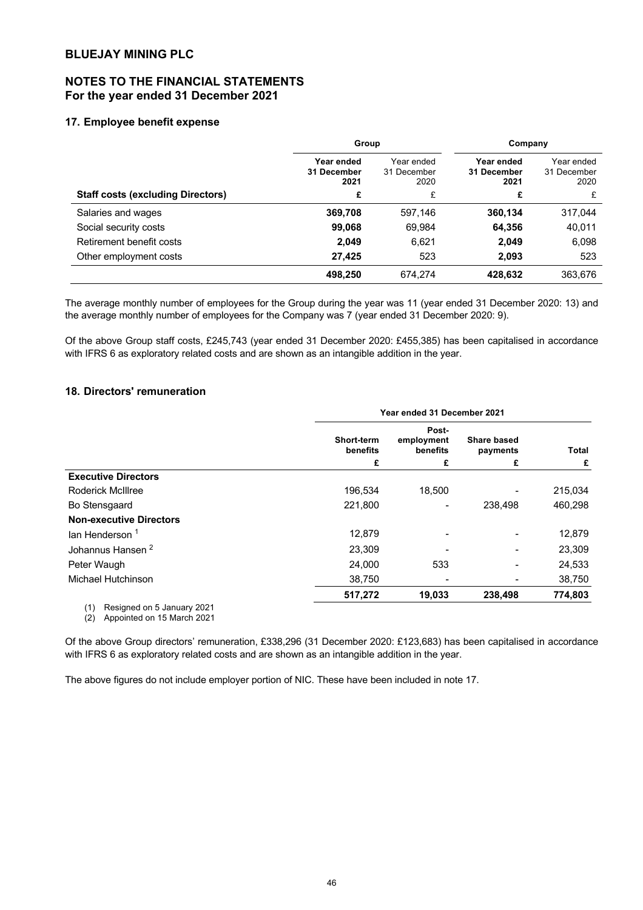# **NOTES TO THE FINANCIAL STATEMENTS For the year ended 31 December 2021**

## **17. Employee benefit expense**

|                                          | Group                             |                                   | Company                           |                                   |
|------------------------------------------|-----------------------------------|-----------------------------------|-----------------------------------|-----------------------------------|
|                                          | Year ended<br>31 December<br>2021 | Year ended<br>31 December<br>2020 | Year ended<br>31 December<br>2021 | Year ended<br>31 December<br>2020 |
| <b>Staff costs (excluding Directors)</b> | £                                 | £                                 | £                                 | £                                 |
| Salaries and wages                       | 369,708                           | 597,146                           | 360,134                           | 317,044                           |
| Social security costs                    | 99,068                            | 69.984                            | 64,356                            | 40,011                            |
| Retirement benefit costs                 | 2.049                             | 6,621                             | 2,049                             | 6,098                             |
| Other employment costs                   | 27.425                            | 523                               | 2,093                             | 523                               |
|                                          | 498.250                           | 674.274                           | 428.632                           | 363,676                           |

The average monthly number of employees for the Group during the year was 11 (year ended 31 December 2020: 13) and the average monthly number of employees for the Company was 7 (year ended 31 December 2020: 9).

Of the above Group staff costs, £245,743 (year ended 31 December 2020: £455,385) has been capitalised in accordance with IFRS 6 as exploratory related costs and are shown as an intangible addition in the year.

## **18. Directors' remuneration**

|                                   | Year ended 31 December 2021   |                                 |                                |         |  |  |
|-----------------------------------|-------------------------------|---------------------------------|--------------------------------|---------|--|--|
|                                   | <b>Short-term</b><br>benefits | Post-<br>employment<br>benefits | <b>Share based</b><br>payments | Total   |  |  |
|                                   | £                             | £                               | £                              | £       |  |  |
| <b>Executive Directors</b>        |                               |                                 |                                |         |  |  |
| <b>Roderick McIllree</b>          | 196.534                       | 18.500                          |                                | 215,034 |  |  |
| Bo Stensgaard                     | 221,800                       |                                 | 238,498                        | 460,298 |  |  |
| <b>Non-executive Directors</b>    |                               |                                 |                                |         |  |  |
| lan Henderson <sup>1</sup>        | 12,879                        |                                 |                                | 12,879  |  |  |
| Johannus Hansen <sup>2</sup>      | 23,309                        |                                 |                                | 23,309  |  |  |
| Peter Waugh                       | 24,000                        | 533                             |                                | 24,533  |  |  |
| Michael Hutchinson                | 38,750                        |                                 |                                | 38,750  |  |  |
|                                   | 517,272                       | 19,033                          | 238,498                        | 774,803 |  |  |
| (1)<br>Resigned on 5 January 2021 |                               |                                 |                                |         |  |  |

Resign (2) Appointed on 15 March 2021

Of the above Group directors' remuneration, £338,296 (31 December 2020: £123,683) has been capitalised in accordance with IFRS 6 as exploratory related costs and are shown as an intangible addition in the year.

The above figures do not include employer portion of NIC. These have been included in note 17.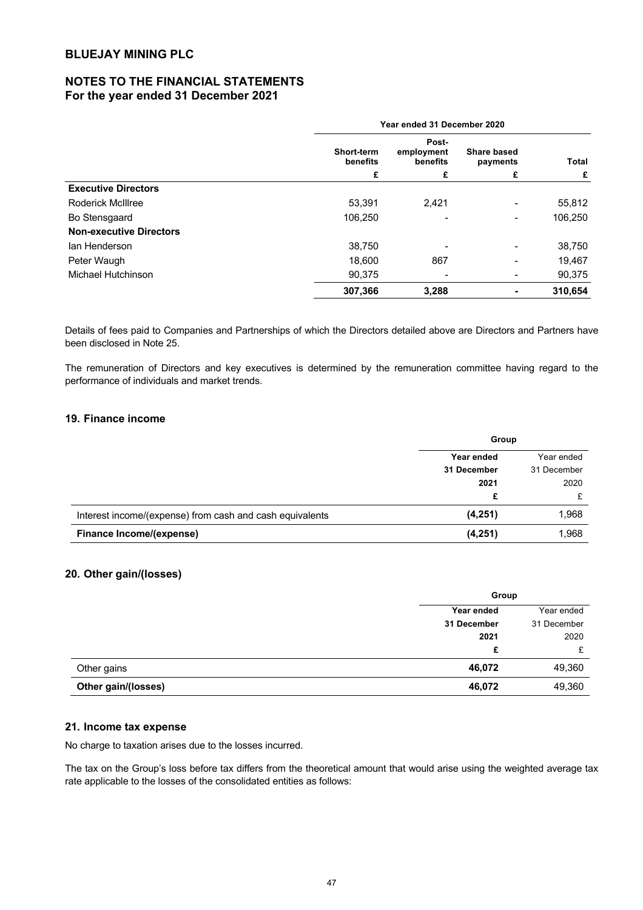# **NOTES TO THE FINANCIAL STATEMENTS For the year ended 31 December 2021**

|                                | Year ended 31 December 2020 |                                 |                                |         |   |
|--------------------------------|-----------------------------|---------------------------------|--------------------------------|---------|---|
|                                | Short-term<br>benefits      | Post-<br>employment<br>benefits | <b>Share based</b><br>payments | Total   |   |
|                                | £                           |                                 | £                              | £       | £ |
| <b>Executive Directors</b>     |                             |                                 |                                |         |   |
| <b>Roderick McIllree</b>       | 53,391                      | 2,421                           |                                | 55,812  |   |
| Bo Stensgaard                  | 106,250                     |                                 | Ξ.                             | 106,250 |   |
| <b>Non-executive Directors</b> |                             |                                 |                                |         |   |
| lan Henderson                  | 38,750                      |                                 |                                | 38,750  |   |
| Peter Waugh                    | 18,600                      | 867                             |                                | 19,467  |   |
| Michael Hutchinson             | 90.375                      |                                 |                                | 90,375  |   |
|                                | 307,366                     | 3,288                           |                                | 310,654 |   |

Details of fees paid to Companies and Partnerships of which the Directors detailed above are Directors and Partners have been disclosed in Note 25.

The remuneration of Directors and key executives is determined by the remuneration committee having regard to the performance of individuals and market trends.

## **19. Finance income**

|                                                          | Group       |             |
|----------------------------------------------------------|-------------|-------------|
|                                                          | Year ended  | Year ended  |
|                                                          | 31 December | 31 December |
|                                                          | 2021        | 2020        |
|                                                          |             |             |
| Interest income/(expense) from cash and cash equivalents | (4,251)     | 1,968       |
| Finance Income/(expense)                                 | (4,251)     | 1,968       |

## **20. Other gain/(losses)**

|                     | Group       |             |
|---------------------|-------------|-------------|
|                     | Year ended  | Year ended  |
|                     | 31 December | 31 December |
|                     | 2021        | 2020        |
|                     | £           | £           |
| Other gains         | 46,072      | 49,360      |
| Other gain/(losses) | 46,072      | 49,360      |

## **21. Income tax expense**

No charge to taxation arises due to the losses incurred.

The tax on the Group's loss before tax differs from the theoretical amount that would arise using the weighted average tax rate applicable to the losses of the consolidated entities as follows: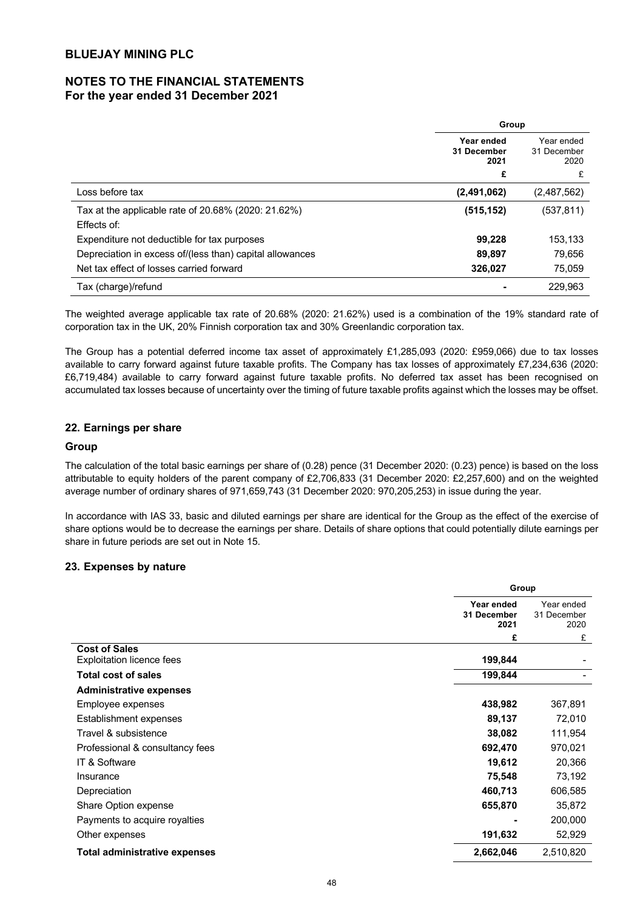# **NOTES TO THE FINANCIAL STATEMENTS For the year ended 31 December 2021**

|                                                          | Group                             |                                   |
|----------------------------------------------------------|-----------------------------------|-----------------------------------|
|                                                          | Year ended<br>31 December<br>2021 | Year ended<br>31 December<br>2020 |
|                                                          | £                                 | £                                 |
| Loss before tax                                          | (2,491,062)                       | (2,487,562)                       |
| Tax at the applicable rate of 20.68% (2020: 21.62%)      | (515, 152)                        | (537, 811)                        |
| Effects of:                                              |                                   |                                   |
| Expenditure not deductible for tax purposes              | 99,228                            | 153,133                           |
| Depreciation in excess of/(less than) capital allowances | 89,897                            | 79.656                            |
| Net tax effect of losses carried forward                 | 326,027                           | 75,059                            |
| Tax (charge)/refund                                      |                                   | 229.963                           |

The weighted average applicable tax rate of 20.68% (2020: 21.62%) used is a combination of the 19% standard rate of corporation tax in the UK, 20% Finnish corporation tax and 30% Greenlandic corporation tax.

The Group has a potential deferred income tax asset of approximately £1,285,093 (2020: £959,066) due to tax losses available to carry forward against future taxable profits. The Company has tax losses of approximately £7,234,636 (2020: £6,719,484) available to carry forward against future taxable profits. No deferred tax asset has been recognised on accumulated tax losses because of uncertainty over the timing of future taxable profits against which the losses may be offset.

## **22. Earnings per share**

## **Group**

The calculation of the total basic earnings per share of (0.28) pence (31 December 2020: (0.23) pence) is based on the loss attributable to equity holders of the parent company of £2,706,833 (31 December 2020: £2,257,600) and on the weighted average number of ordinary shares of 971,659,743 (31 December 2020: 970,205,253) in issue during the year.

In accordance with IAS 33, basic and diluted earnings per share are identical for the Group as the effect of the exercise of share options would be to decrease the earnings per share. Details of share options that could potentially dilute earnings per share in future periods are set out in Note 15.

## **23. Expenses by nature**

|                                                          | Group                             |                                   |
|----------------------------------------------------------|-----------------------------------|-----------------------------------|
|                                                          | Year ended<br>31 December<br>2021 | Year ended<br>31 December<br>2020 |
|                                                          | £                                 | £                                 |
| <b>Cost of Sales</b><br><b>Exploitation licence fees</b> | 199,844                           |                                   |
| <b>Total cost of sales</b>                               | 199,844                           |                                   |
| <b>Administrative expenses</b>                           |                                   |                                   |
| Employee expenses                                        | 438,982                           | 367,891                           |
| Establishment expenses                                   | 89,137                            | 72,010                            |
| Travel & subsistence                                     | 38,082                            | 111,954                           |
| Professional & consultancy fees                          | 692,470                           | 970,021                           |
| IT & Software                                            | 19,612                            | 20,366                            |
| Insurance                                                | 75,548                            | 73,192                            |
| Depreciation                                             | 460,713                           | 606,585                           |
| Share Option expense                                     | 655,870                           | 35,872                            |
| Payments to acquire royalties                            |                                   | 200,000                           |
| Other expenses                                           | 191,632                           | 52,929                            |
| Total administrative expenses                            | 2,662,046                         | 2,510,820                         |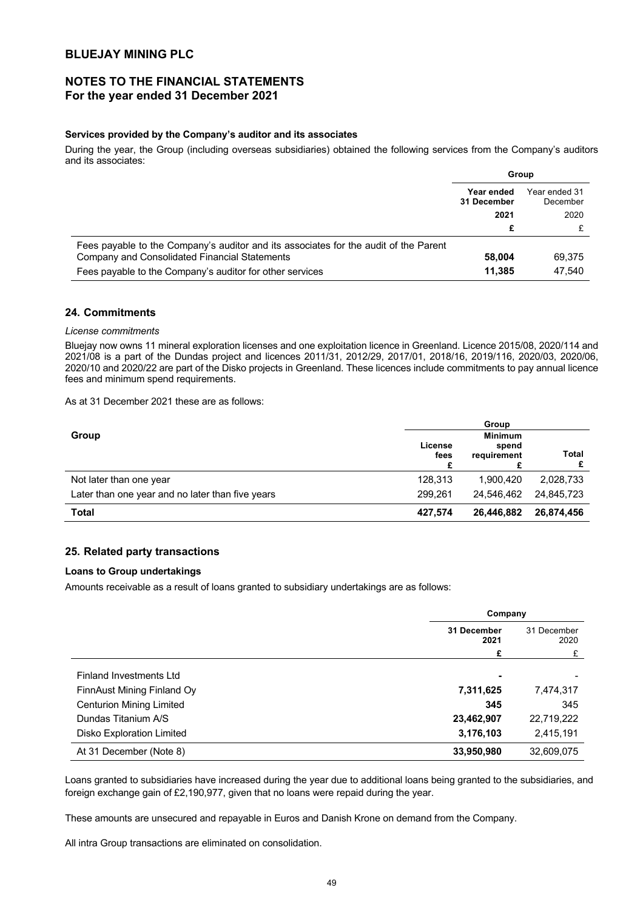# **NOTES TO THE FINANCIAL STATEMENTS For the year ended 31 December 2021**

## **Services provided by the Company's auditor and its associates**

During the year, the Group (including overseas subsidiaries) obtained the following services from the Company's auditors and its associates:

|                                                                                      | Group                     |                           |
|--------------------------------------------------------------------------------------|---------------------------|---------------------------|
|                                                                                      | Year ended<br>31 December | Year ended 31<br>December |
|                                                                                      | 2021                      | 2020                      |
|                                                                                      | £                         |                           |
| Fees payable to the Company's auditor and its associates for the audit of the Parent |                           |                           |
| Company and Consolidated Financial Statements                                        | 58,004                    | 69,375                    |
| Fees payable to the Company's auditor for other services                             | 11.385                    | 47.540                    |

## **24. Commitments**

#### *License commitments*

Bluejay now owns 11 mineral exploration licenses and one exploitation licence in Greenland. Licence 2015/08, 2020/114 and 2021/08 is a part of the Dundas project and licences 2011/31, 2012/29, 2017/01, 2018/16, 2019/116, 2020/03, 2020/06, 2020/10 and 2020/22 are part of the Disko projects in Greenland. These licences include commitments to pay annual licence fees and minimum spend requirements.

As at 31 December 2021 these are as follows:

|                                                  |                      | Group                                  |              |
|--------------------------------------------------|----------------------|----------------------------------------|--------------|
| Group                                            | License<br>fees<br>£ | <b>Minimum</b><br>spend<br>requirement | <b>Total</b> |
| Not later than one year                          | 128.313              | 1.900.420                              | 2,028,733    |
| Later than one year and no later than five years | 299.261              | 24.546.462                             | 24.845.723   |
| <b>Total</b>                                     | 427,574              | 26,446,882                             | 26,874,456   |

## **25. Related party transactions**

### **Loans to Group undertakings**

Amounts receivable as a result of loans granted to subsidiary undertakings are as follows:

|                                 | Company             |                     |
|---------------------------------|---------------------|---------------------|
|                                 | 31 December<br>2021 | 31 December<br>2020 |
|                                 | £                   | £                   |
| Finland Investments Ltd         | ۰                   |                     |
| FinnAust Mining Finland Oy      | 7,311,625           | 7,474,317           |
| <b>Centurion Mining Limited</b> | 345                 | 345                 |
| Dundas Titanium A/S             | 23,462,907          | 22,719,222          |
| Disko Exploration Limited       | 3,176,103           | 2,415,191           |
| At 31 December (Note 8)         | 33,950,980          | 32,609,075          |

Loans granted to subsidiaries have increased during the year due to additional loans being granted to the subsidiaries, and foreign exchange gain of £2,190,977, given that no loans were repaid during the year.

These amounts are unsecured and repayable in Euros and Danish Krone on demand from the Company.

All intra Group transactions are eliminated on consolidation.